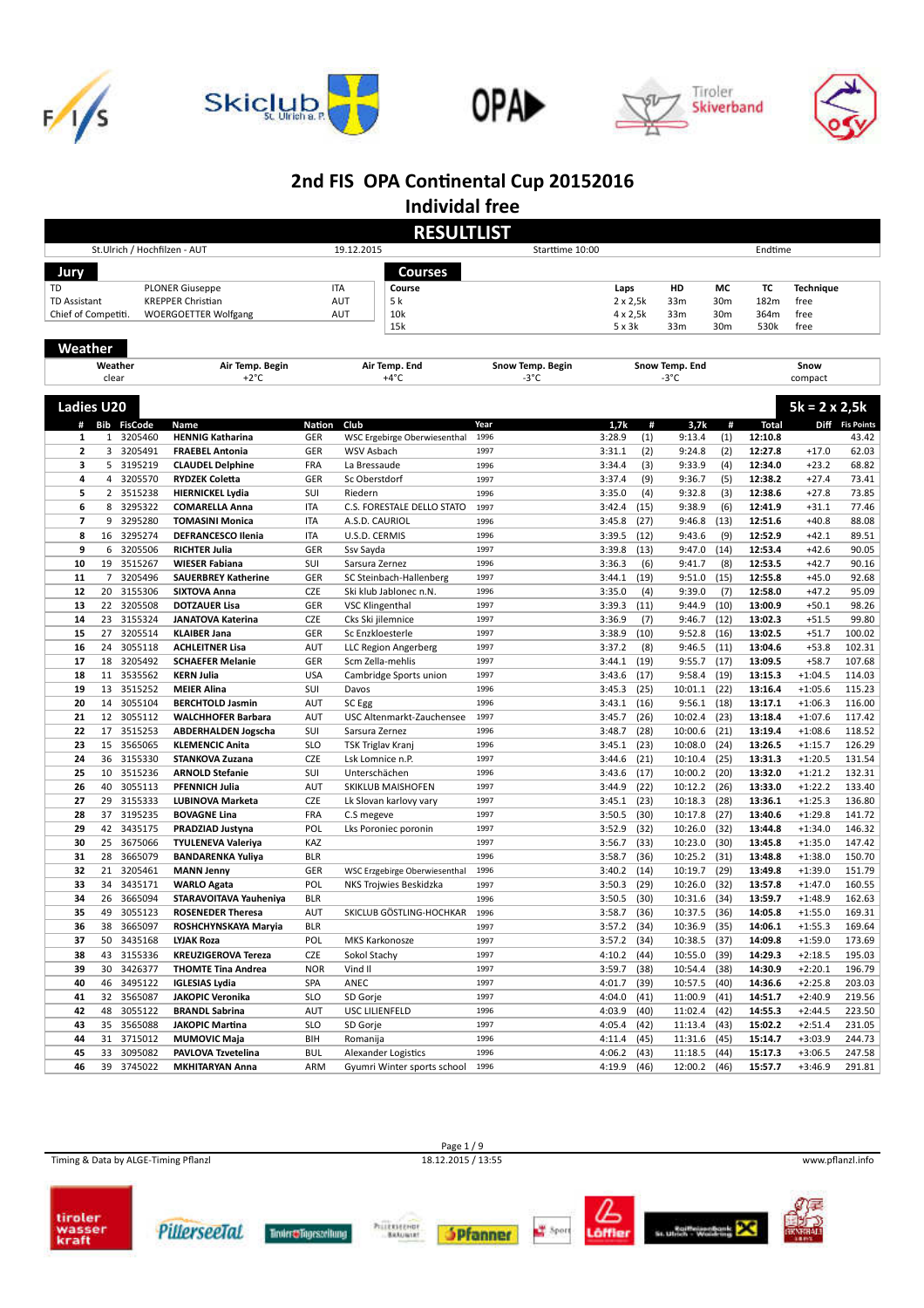









**Individal free**

|                         |                |                              |                                               |                   | <b>RESULTLIST</b>                        |                          |                  |              |                        |              |                    |                        |                  |
|-------------------------|----------------|------------------------------|-----------------------------------------------|-------------------|------------------------------------------|--------------------------|------------------|--------------|------------------------|--------------|--------------------|------------------------|------------------|
|                         |                | St.Ulrich / Hochfilzen - AUT |                                               |                   | 19.12.2015                               | Starttime 10:00          |                  |              |                        |              | Endtime            |                        |                  |
| Jury                    |                |                              |                                               |                   | Courses                                  |                          |                  |              |                        |              |                    |                        |                  |
| TD                      |                |                              | <b>PLONER Giuseppe</b>                        | <b>ITA</b>        | Course                                   |                          | Laps             |              | HD                     | МC           | ТC                 | <b>Technique</b>       |                  |
| <b>TD Assistant</b>     |                |                              | <b>KREPPER Christian</b>                      |                   | 5 k<br><b>AUT</b>                        |                          | $2 \times 2,5k$  |              | 33m                    | 30m          | 182m               | free                   |                  |
| Chief of Competiti.     |                |                              | <b>WOERGOETTER Wolfgang</b>                   |                   | 10k<br><b>AUT</b>                        |                          | $4 \times 2,5k$  |              | 33 <sub>m</sub>        | 30m          | 364m               | free                   |                  |
|                         |                |                              |                                               |                   | 15k                                      |                          | 5x3k             |              | 33 <sub>m</sub>        | 30m          | 530k               | free                   |                  |
| Weather                 |                |                              |                                               |                   |                                          |                          |                  |              |                        |              |                    |                        |                  |
|                         |                |                              |                                               |                   |                                          |                          |                  |              |                        |              |                    |                        |                  |
|                         | clear          | Weather                      | Air Temp. Begin<br>$+2^{\circ}C$              |                   | Air Temp. End<br>+4°C                    | Snow Temp. Begin<br>-3°C |                  |              | Snow Temp. End<br>-3°C |              |                    | Snow<br>compact        |                  |
|                         |                |                              |                                               |                   |                                          |                          |                  |              |                        |              |                    |                        |                  |
| <b>Ladies U20</b>       |                |                              |                                               |                   |                                          |                          |                  |              |                        |              |                    | $5k = 2 \times 2, 5k$  |                  |
|                         |                | # Bib FisCode                | Name                                          | <b>Nation</b>     | Club                                     | Year                     | 1,7k             | #            | 3,7k                   | #            | <b>Total</b>       |                        | Diff Fis Points  |
| 1                       | $\mathbf{1}$   | 3205460                      | <b>HENNIG Katharina</b>                       | GER               | WSC Ergebirge Oberwiesenthal             | 1996                     | 3:28.9           | (1)          | 9:13.4                 | (1)          | 12:10.8            |                        | 43.42            |
| $\mathbf{2}$            | 3              | 3205491                      | <b>FRAEBEL Antonia</b>                        | GER               | WSV Asbach                               | 1997                     | 3:31.1           | (2)          | 9:24.8                 | (2)          | 12:27.8            | $+17.0$                | 62.03            |
| з                       | 5              | 3195219                      | <b>CLAUDEL Delphine</b>                       | <b>FRA</b>        | La Bressaude                             | 1996                     | 3:34.4           | (3)          | 9:33.9                 | (4)          | 12:34.0            | $+23.2$                | 68.82            |
| 4                       | 4              | 3205570                      | <b>RYDZEK Coletta</b>                         | GER               | Sc Oberstdorf                            | 1997                     | 3:37.4           | (9)          | 9:36.7                 | (5)          | 12:38.2            | $+27.4$                | 73.41            |
| 5                       | $\overline{2}$ | 3515238                      | <b>HIERNICKEL Lydia</b>                       | SUI               | Riedern                                  | 1996                     | 3:35.0           | (4)          | 9:32.8                 | (3)          | 12:38.6            | $+27.8$                | 73.85            |
| 6                       | 8              | 3295322                      | <b>COMARELLA Anna</b>                         | <b>ITA</b>        | C.S. FORESTALE DELLO STATO               | 1997                     | 3:42.4           | (15)         | 9:38.9                 | (6)          | 12:41.9            | $+31.1$                | 77.46            |
| $\overline{\mathbf{z}}$ | 9              | 3295280                      | <b>TOMASINI Monica</b>                        | <b>ITA</b>        | A.S.D. CAURIOL                           | 1996                     | 3:45.8           | (27)         | 9:46.8                 | (13)         | 12:51.6            | $+40.8$                | 88.08            |
| 8                       | 16             | 3295274                      | <b>DEFRANCESCO Ilenia</b>                     | <b>ITA</b>        | U.S.D. CERMIS                            | 1996                     | 3:39.5           | (12)         | 9:43.6                 | (9)          | 12:52.9            | $+42.1$                | 89.51            |
| 9                       | 6              | 3205506                      | <b>RICHTER Julia</b>                          | GER               | Ssv Sayda                                | 1997                     | 3:39.8           | (13)         | 9:47.0                 | (14)         | 12:53.4            | $+42.6$                | 90.05            |
| 10                      | 19             | 3515267                      | <b>WIESER Fabiana</b>                         | SUI               | Sarsura Zernez                           | 1996                     | 3:36.3           | (6)          | 9:41.7                 | (8)          | 12:53.5            | $+42.7$                | 90.16            |
| 11                      | 7              | 3205496                      | <b>SAUERBREY Katherine</b>                    | GER               | SC Steinbach-Hallenberg                  | 1997                     | 3:44.1           | (19)         | 9:51.0                 | (15)         | 12:55.8            | $+45.0$                | 92.68            |
| 12                      | 20             | 3155306                      | <b>SIXTOVA Anna</b>                           | CZE               | Ski klub Jablonec n.N.                   | 1996                     | 3:35.0           | (4)          | 9:39.0                 | (7)          | 12:58.0            | $+47.2$                | 95.09            |
| 13                      | 22             | 3205508                      | <b>DOTZAUER Lisa</b>                          | GER               | <b>VSC Klingenthal</b>                   | 1997                     | 3:39.3           | (11)         | 9:44.9                 | (10)         | 13:00.9            | $+50.1$                | 98.26            |
| 14                      | 23<br>27       | 3155324                      | <b>JANATOVA Katerina</b>                      | CZE               | Cks Ski jilemnice                        | 1997<br>1997             | 3:36.9           | (7)          | 9:46.7                 | (12)         | 13:02.3            | $+51.5$                | 99.80            |
| 15<br>16                | 24             | 3205514<br>3055118           | <b>KLAIBER Jana</b><br><b>ACHLEITNER Lisa</b> | GER<br>AUT        | Sc Enzkloesterle<br>LLC Region Angerberg | 1997                     | 3:38.9<br>3:37.2 | (10)<br>(8)  | 9:52.8<br>9:46.5       | (16)<br>(11) | 13:02.5<br>13:04.6 | $+51.7$<br>$+53.8$     | 100.02<br>102.31 |
| 17                      | 18             | 3205492                      | <b>SCHAEFER Melanie</b>                       | GER               | Scm Zella-mehlis                         | 1997                     | 3:44.1           | (19)         | 9:55.7                 | (17)         | 13:09.5            | $+58.7$                | 107.68           |
| 18                      | 11             | 3535562                      | <b>KERN Julia</b>                             | <b>USA</b>        | Cambridge Sports union                   | 1997                     | 3:43.6           | (17)         | 9:58.4                 | (19)         | 13:15.3            | $+1:04.5$              | 114.03           |
| 19                      | 13             | 3515252                      | <b>MEIER Alina</b>                            | SUI               | Davos                                    | 1996                     | 3:45.3           | (25)         | 10:01.1                | (22)         | 13:16.4            | $+1:05.6$              | 115.23           |
| 20                      | 14             | 3055104                      | <b>BERCHTOLD Jasmin</b>                       | AUT               | SC Egg                                   | 1996                     | 3:43.1           | (16)         | 9:56.1                 | (18)         | 13:17.1            | $+1:06.3$              | 116.00           |
| 21                      | 12             | 3055112                      | <b>WALCHHOFER Barbara</b>                     | AUT               | USC Altenmarkt-Zauchensee                | 1997                     | 3:45.7           | (26)         | 10:02.4                | (23)         | 13:18.4            | $+1:07.6$              | 117.42           |
| 22                      | 17             | 3515253                      | <b>ABDERHALDEN Jogscha</b>                    | SUI               | Sarsura Zernez                           | 1996                     | 3:48.7           | (28)         | 10:00.6                | (21)         | 13:19.4            | $+1:08.6$              | 118.52           |
| 23                      | 15             | 3565065                      | <b>KLEMENCIC Anita</b>                        | <b>SLO</b>        | <b>TSK Triglav Kranj</b>                 | 1996                     | 3:45.1           | (23)         | 10:08.0                | (24)         | 13:26.5            | $+1:15.7$              | 126.29           |
| 24                      | 36             | 3155330                      | STANKOVA Zuzana                               | <b>CZE</b>        | Lsk Lomnice n.P.                         | 1997                     | 3:44.6           | (21)         | 10:10.4                | (25)         | 13:31.3            | $+1:20.5$              | 131.54           |
| 25                      | 10             | 3515236                      | <b>ARNOLD Stefanie</b>                        | SUI               | Unterschächen                            | 1996                     | 3:43.6           | (17)         | 10:00.2                | (20)         | 13:32.0            | $+1:21.2$              | 132.31           |
| 26                      | 40             | 3055113                      | <b>PFENNICH Julia</b>                         | AUT               | SKIKLUB MAISHOFEN                        | 1997                     | 3:44.9           | (22)         | 10:12.2                | (26)         | 13:33.0            | $+1:22.2$              | 133.40           |
| 27                      | 29             | 3155333                      | <b>LUBINOVA Marketa</b>                       | <b>CZE</b>        | Lk Slovan karlovy vary                   | 1997                     | 3:45.1           | (23)         | 10:18.3                | (28)         | 13:36.1            | $+1:25.3$              | 136.80           |
| 28                      | 37             | 3195235                      | <b>BOVAGNE Lina</b>                           | <b>FRA</b>        | C.S megeve                               | 1997                     | 3:50.5           | (30)         | 10:17.8                | (27)         | 13:40.6            | $+1:29.8$              | 141.72           |
| 29                      | 42             | 3435175                      | PRADZIAD Justyna                              | POL               | Lks Poroniec poronin                     | 1997                     | 3:52.9           | (32)         | 10:26.0                | (32)         | 13:44.8            | $+1:34.0$              | 146.32           |
| 30                      | 25             | 3675066                      | <b>TYULENEVA Valeriya</b>                     | KAZ               |                                          | 1997                     | 3:56.7           | (33)         | 10:23.0                | (30)         | 13:45.8            | $+1:35.0$              | 147.42           |
| 31                      | 28             | 3665079                      | <b>BANDARENKA Yuliya</b>                      | <b>BLR</b>        |                                          | 1996                     | 3:58.7           | (36)         | 10:25.2                | (31)         | 13:48.8            | $+1:38.0$              | 150.70           |
| 32                      | 21             | 3205461                      | <b>MANN Jenny</b>                             | GER               | WSC Erzgebirge Oberwiesenthal            | 1996                     | 3:40.2           | (14)         | 10:19.7                | (29)         | 13:49.8            | $+1:39.0$              | 151.79           |
| 33                      | 34             | 3435171                      | <b>WARLO Agata</b>                            | POL               | NKS Trojwies Beskidzka                   | 1997<br>1996             | 3:50.3           | (29)         | 10:26.0                | (32)         | 13:57.8            | $+1:47.0$              | 160.55           |
| 34<br>35                | 26<br>49       | 3665094<br>3055123           | STARAVOITAVA Yauheniya                        | <b>BLR</b><br>AUT | SKICLUB GÖSTLING-HOCHKAR                 | 1996                     | 3:50.5<br>3:58.7 | (30)<br>(36) | 10:31.6<br>10:37.5     | (34)<br>(36) | 13:59.7<br>14:05.8 | $+1:48.9$<br>$+1:55.0$ | 162.63<br>169.31 |
|                         | 38             | 3665097                      | <b>ROSENEDER Theresa</b>                      | <b>BLR</b>        |                                          | 1997                     | $3:57.2$ (34)    |              | 10:36.9                |              | 14:06.1            | $+1:55.3$              | 169.64           |
| 36<br>37                | 50             | 3435168                      | ROSHCHYNSKAYA Maryia<br>LYJAK Roza            | POL               | MKS Karkonosze                           | 1997                     | 3:57.2           | (34)         | 10:38.5                | (35)<br>(37) | 14:09.8            | $+1:59.0$              | 173.69           |
| 38                      |                | 43 3155336                   | <b>KREUZIGEROVA Tereza</b>                    | CZE               | Sokol Stachy                             | 1997                     | 4:10.2           | (44)         | 10:55.0                | (39)         | 14:29.3            | $+2:18.5$              | 195.03           |
| 39                      | 30             | 3426377                      | <b>THOMTE Tina Andrea</b>                     | <b>NOR</b>        | Vind II                                  | 1997                     | 3:59.7           | (38)         | 10:54.4                | (38)         | 14:30.9            | $+2:20.1$              | 196.79           |
| 40                      |                | 46 3495122                   | <b>IGLESIAS Lydia</b>                         | SPA               | ANEC                                     | 1997                     | 4:01.7           | (39)         | 10:57.5                | (40)         | 14:36.6            | $+2:25.8$              | 203.03           |
| 41                      | 32             | 3565087                      | <b>JAKOPIC Veronika</b>                       | <b>SLO</b>        | SD Gorje                                 | 1997                     | 4:04.0           | (41)         | 11:00.9                | (41)         | 14:51.7            | $+2:40.9$              | 219.56           |
| 42                      | 48             | 3055122                      | <b>BRANDL Sabrina</b>                         | AUT               | USC LILIENFELD                           | 1996                     | 4:03.9           | (40)         | 11:02.4 (42)           |              | 14:55.3            | $+2:44.5$              | 223.50           |
| 43                      | 35             | 3565088                      | <b>JAKOPIC Martina</b>                        | <b>SLO</b>        | SD Gorje                                 | 1997                     | 4:05.4           | (42)         | $11:13.4$ (43)         |              | 15:02.2            | $+2:51.4$              | 231.05           |
| 44                      | 31             | 3715012                      | <b>MUMOVIC Maja</b>                           | BIH               | Romanija                                 | 1996                     | 4:11.4           | (45)         | 11:31.6 (45)           |              | 15:14.7            | $+3:03.9$              | 244.73           |
| 45                      | 33             | 3095082                      | PAVLOVA Tzvetelina                            | <b>BUL</b>        | Alexander Logistics                      | 1996                     | 4:06.2           | (43)         | 11:18.5                | (44)         | 15:17.3            | $+3:06.5$              | 247.58           |
| 46                      |                | 39 3745022                   | <b>MKHITARYAN Anna</b>                        | ARM               | Gyumri Winter sports school              | 1996                     | 4:19.9 (46)      |              | 12:00.2 (46)           |              | 15:57.7            | $+3:46.9$              | 291.81           |

Timing & Data by ALGE-Timing Pflanzl 18.12.2015 / 13:55 www.pflanzl.info

Page 1 / 9<br>18.12.2015 / 13:55













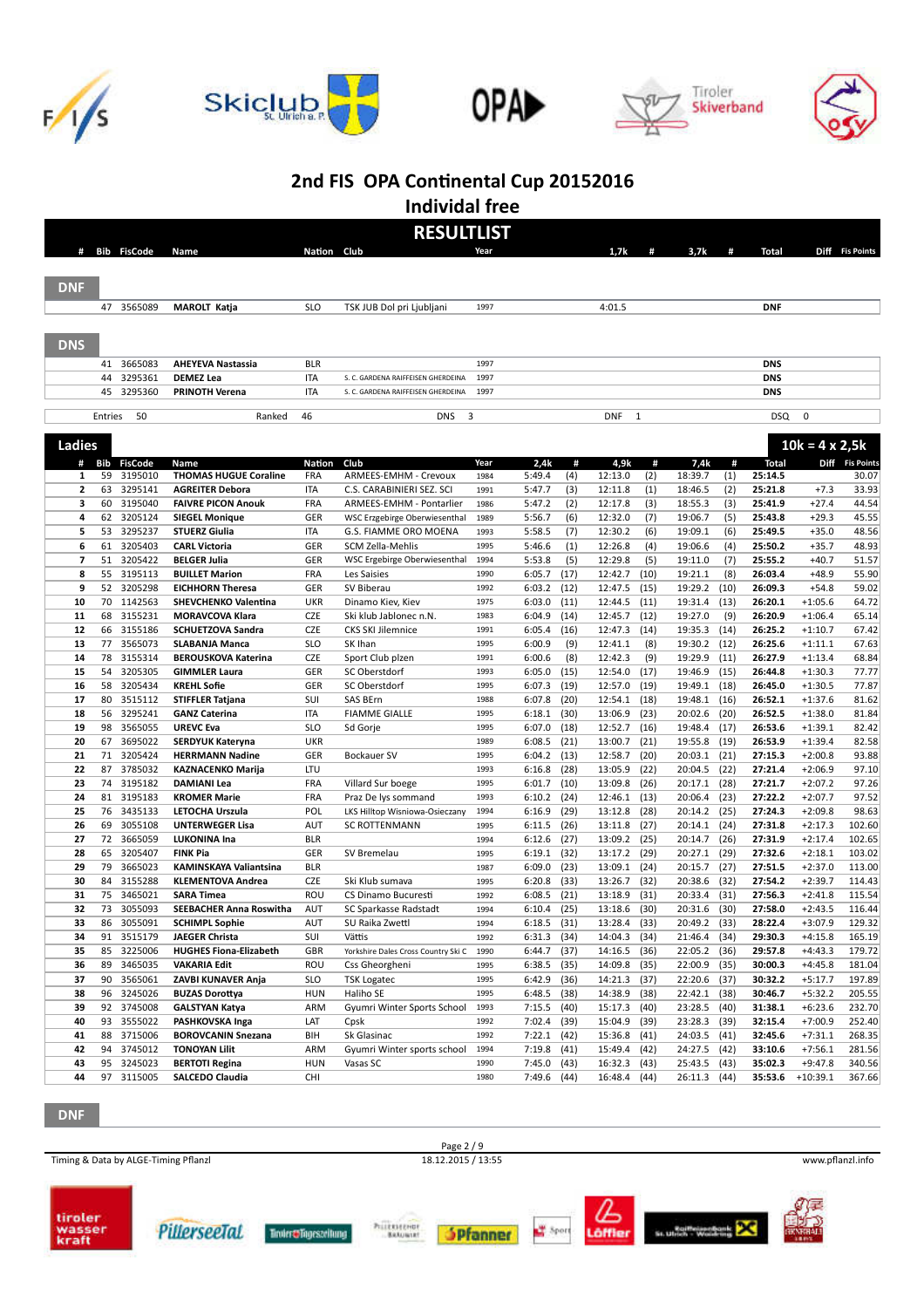









**Individal free**

| Nation Club<br>Diff Fis Points<br><b>Bib FisCode</b><br>1,7k<br>3,7k<br><b>Total</b><br>#<br>Name<br>#<br>#<br>Year<br><b>DNF</b><br>47 3565089<br><b>SLO</b><br>4:01.5<br><b>DNF</b><br><b>MAROLT Katja</b><br>TSK JUB Dol pri Ljubljani<br>1997<br><b>DNS</b><br>3665083<br><b>DNS</b><br>41<br><b>AHEYEVA Nastassia</b><br><b>BLR</b><br>1997<br>3295361<br><b>DNS</b><br>44<br><b>DEMEZ Lea</b><br>ITA<br>1997<br>S. C. GARDENA RAIFFEISEN GHERDEINA<br>3295360<br><b>DNS</b><br>45<br><b>PRINOTH Verena</b><br><b>ITA</b><br>1997<br>S. C. GARDENA RAIFFEISEN GHERDEINA<br>3<br><b>DSQ</b><br>0<br>Entries<br>50<br>Ranked<br>46<br><b>DNS</b><br><b>DNF</b><br>$\mathbf{1}$<br>Ladies<br>$10k = 4 \times 2,5k$<br>Bib<br><b>FisCode</b><br>Nation<br>Club<br>Year<br>2,4k<br>#<br>4,9k<br>#<br>7,4k<br>#<br>Total<br>Diff Fis Points<br>#<br>Name<br>59<br>3195010<br><b>THOMAS HUGUE Coraline</b><br>ARMEES-EMHM - Crevoux<br>5:49.4<br>(4)<br>12:13.0<br>(2)<br>18:39.7<br>(1)<br>25:14.5<br>1<br>FRA<br>1984<br>$\overline{\mathbf{2}}$<br>63<br>3295141<br>5:47.7<br>$+7.3$<br>33.93<br>ITA<br>C.S. CARABINIERI SEZ. SCI<br>1991<br>(3)<br>12:11.8<br>(1)<br>18:46.5<br>(2)<br>25:21.8<br><b>AGREITER Debora</b><br>з<br>60<br>3195040<br>18:55.3<br>(3)<br>$+27.4$<br>44.54<br><b>FAIVRE PICON Anouk</b><br><b>FRA</b><br>ARMEES-EMHM - Pontarlier<br>1986<br>5:47.2<br>(2)<br>12:17.8<br>(3)<br>25:41.9<br>62<br>3205124<br>GER<br>(6)<br>12:32.0<br>(7)<br>19:06.7<br>(5)<br>$+29.3$<br>4<br><b>SIEGEL Monique</b><br>1989<br>5:56.7<br>25:43.8<br>WSC Erzgebirge Oberwiesenthal<br>3295237<br>5<br>53<br>12:30.2<br>(6)<br>19:09.1<br><b>STUERZ Giulia</b><br>ITA<br>G.S. FIAMME ORO MOENA<br>5:58.5<br>(7)<br>(6)<br>25:49.5<br>$+35.0$<br>1993<br>6<br>61<br>3205403<br>GER<br>5:46.6<br>12:26.8<br>19:06.6<br><b>CARL Victoria</b><br>SCM Zella-Mehlis<br>1995<br>(1)<br>(4)<br>(4)<br>25:50.2<br>$+35.7$<br>7<br>51<br>3205422<br>GER<br>(5)<br>12:29.8<br>(5)<br><b>BELGER Julia</b><br>5:53.8<br>19:11.0<br>(7)<br>25:55.2<br>$+40.7$<br>WSC Ergebirge Oberwiesenthal<br>1994<br>3195113<br>8<br>55<br>FRA<br>6:05.7<br>(17)<br>12:42.7<br>(10)<br>19:21.1<br>(8)<br>Les Saisies<br>1990<br>26:03.4<br>$+48.9$<br><b>BUILLET Marion</b><br>9<br>52<br>3205298<br>GER<br>(12)<br>12:47.5<br>19:29.2<br>$+54.8$<br>SV Biberau<br>6:03.2<br>(15)<br>(10)<br>26:09.3<br><b>EICHHORN Theresa</b><br>1992<br>70<br>1142563<br>(11)<br>12:44.5<br>(11)<br>19:31.4<br>$+1:05.6$<br>10<br><b>SHEVCHENKO Valentina</b><br><b>UKR</b><br>1975<br>6:03.0<br>(13)<br>26:20.1<br>Dinamo Kiev, Kiev<br>68<br>3155231<br><b>CZE</b><br>12:45.7<br>19:27.0<br>11<br><b>MORAVCOVA Klara</b><br>6:04.9<br>(14)<br>(12)<br>(9)<br>26:20.9<br>$+1:06.4$<br>Ski klub Jablonec n.N.<br>1983<br>66<br>3155186<br><b>CZE</b><br>(14)<br>19:35.3<br>26:25.2<br>$+1:10.7$<br>67.42<br>12<br><b>SCHUETZOVA Sandra</b><br><b>CKS SKI Jilemnice</b><br>1991<br>6:05.4<br>(16)<br>12:47.3<br>(14)<br>3565073<br>77<br><b>SLO</b><br>19:30.2<br>67.63<br>13<br>SK Ihan<br>1995<br>6:00.9<br>(9)<br>12:41.1<br>(8)<br>(12)<br>26:25.6<br>$+1:11.1$<br><b>SLABANJA Manca</b><br>78<br>3155314<br><b>CZE</b><br>6:00.6<br>(8)<br>12:42.3<br>(9)<br>19:29.9<br>26:27.9<br>$+1:13.4$<br>68.84<br>14<br>Sport Club plzen<br>1991<br>(11)<br><b>BEROUSKOVA Katerina</b><br>54<br>3205305<br>GER<br>6:05.0<br>12:54.0<br>19:46.9<br>$+1:30.3$<br>15<br><b>GIMMLER Laura</b><br>SC Oberstdorf<br>1993<br>(15)<br>(17)<br>(15)<br>26:44.8<br>58<br>3205434<br>GER<br>6:07.3<br>(19)<br>12:57.0<br>(19)<br>19:49.1<br>$+1:30.5$<br>16<br><b>KREHL Sofie</b><br>SC Oberstdorf<br>1995<br>(18)<br>26:45.0<br>80<br>3515112<br>SUI<br>(20)<br>12:54.1<br>$+1:37.6$<br>17<br><b>STIFFLER Tatjana</b><br><b>SAS BErn</b><br>1988<br>6:07.8<br>(18)<br>19:48.1<br>(16)<br>26:52.1<br>56<br>3295241<br>(30)<br>13:06.9<br>(23)<br>20:02.6<br>$+1:38.0$<br>18<br><b>GANZ Caterina</b><br>ITA<br><b>FIAMME GIALLE</b><br>1995<br>6:18.1<br>(20)<br>26:52.5<br>3565055<br>98<br>12:52.7<br>(16)<br>$+1:39.1$<br>19<br><b>UREVC Eva</b><br><b>SLO</b><br>Sd Gorje<br>1995<br>6:07.0<br>(18)<br>19:48.4<br>(17)<br>26:53.6<br>3695022<br>20<br><b>UKR</b><br>6:08.5<br>(21)<br>13:00.7<br>(21)<br>19:55.8<br>26:53.9<br>$+1:39.4$<br>67<br><b>SERDYUK Kateryna</b><br>1989<br>(19)<br>21<br>71<br>3205424<br>GER<br>6:04.2<br>(13)<br>12:58.7<br>(20)<br>27:15.3<br>$+2:00.8$<br><b>Bockauer SV</b><br>1995<br>20:03.1<br>(21)<br><b>HERRMANN Nadine</b><br>3785032<br>22<br>87<br>LTU<br>(28)<br>13:05.9<br>(22)<br>20:04.5<br>(22)<br>27:21.4<br>$+2:06.9$<br>97.10<br><b>KAZNACENKO Marija</b><br>1993<br>6:16.8<br>3195182<br>23<br>74<br>(10)<br>13:09.8<br>(26)<br>20:17.1<br>$+2:07.2$<br>97.26<br><b>FRA</b><br>Villard Sur boege<br>1995<br>6:01.7<br>(28)<br>27:21.7<br><b>DAMIANI Lea</b><br>3195183<br>24<br>81<br>FRA<br>(24)<br>12:46.1<br>(13)<br>20:06.4<br>(23)<br>27:22.2<br>$+2:07.7$<br>97.52<br>1993<br>6:10.2<br><b>KROMER Marie</b><br>Praz De lys sommand<br>25<br>76<br>3435133<br>6:16.9<br>(29)<br>13:12.8<br>(28)<br>(25)<br>$+2:09.8$<br>POL<br>20:14.2<br>27:24.3<br><b>LETOCHA Urszula</b><br>LKS Hilltop Wisniowa-Osieczany<br>1994<br>26<br>69<br>3055108<br>13:11.8<br>(27)<br>$+2:17.3$<br><b>UNTERWEGER Lisa</b><br><b>AUT</b><br><b>SC ROTTENMANN</b><br>6:11.5<br>(26)<br>20:14.1<br>(24)<br>27:31.8<br>1995<br>3665059<br>27<br>72<br><b>BLR</b><br>(27)<br>13:09.2<br>(25)<br>$+2:17.4$<br><b>LUKONINA Ina</b><br>6:12.6<br>20:14.7<br>(26)<br>27:31.9<br>1994<br>28<br>65<br>3205407<br>GER<br>6:19.1<br>(32)<br>13:17.2<br>(29)<br>20:27.1<br>(29)<br>27:32.6<br>$+2:18.1$<br><b>FINK Pia</b><br>SV Bremelau<br>1995<br>29<br>79<br>3665023<br>(23)<br>13:09.1<br>20:15.7<br>$+2:37.0$<br><b>KAMINSKAYA Valiantsina</b><br><b>BLR</b><br>6:09.0<br>(24)<br>(27)<br>27:51.5<br>1987<br>30<br>84<br>3155288<br><b>CZE</b><br>(33)<br>13:26.7<br>(32)<br>20:38.6<br>27:54.2<br>$+2:39.7$<br><b>KLEMENTOVA Andrea</b><br>Ski Klub sumava<br>6:20.8<br>(32)<br>1995<br>31<br>75<br>3465021<br>(21)<br>13:18.9<br>ROU<br>6:08.5<br>(31)<br>20:33.4<br>(31)<br>27:56.3<br>$+2:41.8$<br><b>SARA Timea</b><br>CS Dinamo Bucuresti<br>1992<br>32<br>73<br>3055093<br>(25)<br>(30)<br>20:31.6<br>(30)<br>27:58.0<br>$+2:43.5$<br><b>SEEBACHER Anna Roswitha</b><br>AUT<br>SC Sparkasse Radstadt<br>1994<br>6:10.4<br>13:18.6<br>33<br>86<br>3055091<br><b>SCHIMPL Sophie</b><br>AUT<br>SU Raika Zwettl<br>1994<br>6:18.5<br>(31)<br>13:28.4 (33)<br>20:49.2<br>(33)<br>28:22.4<br>$+3:07.9$<br>91 3515179<br><b>JAEGER Christa</b><br>SUI<br>14:04.3 (34)<br>29:30.3<br>$+4:15.8$<br>165.19<br>34<br>Vättis<br>1992<br>$6:31.3$ (34)<br>21:46.4<br>(34)<br>$+4:43.3$<br>85 3225006<br><b>HUGHES Fiona-Elizabeth</b><br>GBR<br>Yorkshire Dales Cross Country Ski C<br>1990<br>$6:44.7$ (37)<br>14:16.5<br>(36)<br>22:05.2<br>29:57.8<br>179.72<br>35<br>(36)<br>89 3465035<br><b>VAKARIA Edit</b><br>ROU<br>$6:38.5$ (35)<br>14:09.8 (35)<br>22:00.9<br>(35)<br>30:00.3<br>$+4:45.8$<br>181.04<br>36<br>Css Gheorgheni<br>1995<br>90 3565061<br><b>SLO</b><br>6:42.9 (36)<br>14:21.3 (37)<br>22:20.6 (37)<br>30:32.2<br>$+5:17.7$<br>197.89<br>37<br>ZAVBI KUNAVER Anja<br><b>TSK Logatec</b><br>1995<br>96 3245026<br>Haliho SE<br>$6:48.5$ (38)<br>14:38.9 (38)<br>22:42.1 (38)<br>30:46.7<br>$+5:32.2$<br>38<br><b>BUZAS Dorottya</b><br><b>HUN</b><br>1995<br>$+6:23.6$<br>92 3745008<br>Gyumri Winter Sports School<br>$7:15.5$ (40)<br>15:17.3 (40)<br>23:28.5<br>39<br><b>GALSTYAN Katya</b><br>ARM<br>1993<br>(40)<br>31:38.1<br>$+7:00.9$<br>93 3555022<br>LAT<br>Cpsk<br>7:02.4 (39)<br>15:04.9 (39)<br>23:28.3 (39)<br>32:15.4<br>40<br>PASHKOVSKA Inga<br>1992<br>88 3715006<br><b>BOROVCANIN Snezana</b><br>$7:22.1$ (42)<br>15:36.8<br>24:03.5 (41)<br>32:45.6<br>$+7:31.1$<br>41<br>BIH<br>Sk Glasinac<br>1992<br>(41)<br>94 3745012<br>$+7:56.1$<br>Gyumri Winter sports school<br>$7:19.8$ (41)<br>15:49.4<br>(42)<br>24:27.5 (42)<br>33:10.6<br>42<br><b>TONOYAN Lilit</b><br>ARM<br>1994<br>$+9:47.8$<br>95 3245023<br><b>HUN</b><br>7:45.0<br>(43)<br>16:32.3<br>(43)<br>25:43.5<br>(43)<br>35:02.3<br>43<br><b>BERTOTI Regina</b><br>Vasas SC<br>1990<br>97 3115005<br><b>SALCEDO Claudia</b><br>CHI<br>7:49.6 (44)<br>16:48.4 (44)<br>26:11.3 (44)<br>35:53.6<br>$+10:39.1$<br>44<br>1980 |  |  | <b>RESULTLIST</b> |  |  |  |  |        |
|------------------------------------------------------------------------------------------------------------------------------------------------------------------------------------------------------------------------------------------------------------------------------------------------------------------------------------------------------------------------------------------------------------------------------------------------------------------------------------------------------------------------------------------------------------------------------------------------------------------------------------------------------------------------------------------------------------------------------------------------------------------------------------------------------------------------------------------------------------------------------------------------------------------------------------------------------------------------------------------------------------------------------------------------------------------------------------------------------------------------------------------------------------------------------------------------------------------------------------------------------------------------------------------------------------------------------------------------------------------------------------------------------------------------------------------------------------------------------------------------------------------------------------------------------------------------------------------------------------------------------------------------------------------------------------------------------------------------------------------------------------------------------------------------------------------------------------------------------------------------------------------------------------------------------------------------------------------------------------------------------------------------------------------------------------------------------------------------------------------------------------------------------------------------------------------------------------------------------------------------------------------------------------------------------------------------------------------------------------------------------------------------------------------------------------------------------------------------------------------------------------------------------------------------------------------------------------------------------------------------------------------------------------------------------------------------------------------------------------------------------------------------------------------------------------------------------------------------------------------------------------------------------------------------------------------------------------------------------------------------------------------------------------------------------------------------------------------------------------------------------------------------------------------------------------------------------------------------------------------------------------------------------------------------------------------------------------------------------------------------------------------------------------------------------------------------------------------------------------------------------------------------------------------------------------------------------------------------------------------------------------------------------------------------------------------------------------------------------------------------------------------------------------------------------------------------------------------------------------------------------------------------------------------------------------------------------------------------------------------------------------------------------------------------------------------------------------------------------------------------------------------------------------------------------------------------------------------------------------------------------------------------------------------------------------------------------------------------------------------------------------------------------------------------------------------------------------------------------------------------------------------------------------------------------------------------------------------------------------------------------------------------------------------------------------------------------------------------------------------------------------------------------------------------------------------------------------------------------------------------------------------------------------------------------------------------------------------------------------------------------------------------------------------------------------------------------------------------------------------------------------------------------------------------------------------------------------------------------------------------------------------------------------------------------------------------------------------------------------------------------------------------------------------------------------------------------------------------------------------------------------------------------------------------------------------------------------------------------------------------------------------------------------------------------------------------------------------------------------------------------------------------------------------------------------------------------------------------------------------------------------------------------------------------------------------------------------------------------------------------------------------------------------------------------------------------------------------------------------------------------------------------------------------------------------------------------------------------------------------------------------------------------------------------------------------------------------------------------------------------------------------------------------------------------------------------------------------------------------------------------------------------------------------------------------------------------------------------------------------------------------------------------------------------------------------------------------------------------------------------------------------------------------------------------------------------------------------------------------------------------------------------------------------------------------------------------------------------------------------------------------------------------------------------------------------------------------------------------------------------------------------------------------------------------------------------------------------------------------------------------------------------------------------------------------------------------------------------------------------------------------------------------------------------------------------------------------------------------------------------------------------------------------------------------------------------------------------------------------------------------------------------------------------------------------------------------------------------------------------------------------------------------------------------------------------------------------------------------------------------------------------------------------------------------------------------------------------------------------------------------------------------------------------------------------------------------------------------------------------------------------------------------------------------------------------------------------------------------------------------------------------------------------------------------------------------------------------------------------------------------------------------------------|--|--|-------------------|--|--|--|--|--------|
|                                                                                                                                                                                                                                                                                                                                                                                                                                                                                                                                                                                                                                                                                                                                                                                                                                                                                                                                                                                                                                                                                                                                                                                                                                                                                                                                                                                                                                                                                                                                                                                                                                                                                                                                                                                                                                                                                                                                                                                                                                                                                                                                                                                                                                                                                                                                                                                                                                                                                                                                                                                                                                                                                                                                                                                                                                                                                                                                                                                                                                                                                                                                                                                                                                                                                                                                                                                                                                                                                                                                                                                                                                                                                                                                                                                                                                                                                                                                                                                                                                                                                                                                                                                                                                                                                                                                                                                                                                                                                                                                                                                                                                                                                                                                                                                                                                                                                                                                                                                                                                                                                                                                                                                                                                                                                                                                                                                                                                                                                                                                                                                                                                                                                                                                                                                                                                                                                                                                                                                                                                                                                                                                                                                                                                                                                                                                                                                                                                                                                                                                                                                                                                                                                                                                                                                                                                                                                                                                                                                                                                                                                                                                                                                                                                                                                                                                                                                                                                                                                                                                                                                                                                                                                                                                                                                                                                                                                                                                                                                                                                                                                                                                                                                                                                                                                                                                                                                                            |  |  |                   |  |  |  |  |        |
|                                                                                                                                                                                                                                                                                                                                                                                                                                                                                                                                                                                                                                                                                                                                                                                                                                                                                                                                                                                                                                                                                                                                                                                                                                                                                                                                                                                                                                                                                                                                                                                                                                                                                                                                                                                                                                                                                                                                                                                                                                                                                                                                                                                                                                                                                                                                                                                                                                                                                                                                                                                                                                                                                                                                                                                                                                                                                                                                                                                                                                                                                                                                                                                                                                                                                                                                                                                                                                                                                                                                                                                                                                                                                                                                                                                                                                                                                                                                                                                                                                                                                                                                                                                                                                                                                                                                                                                                                                                                                                                                                                                                                                                                                                                                                                                                                                                                                                                                                                                                                                                                                                                                                                                                                                                                                                                                                                                                                                                                                                                                                                                                                                                                                                                                                                                                                                                                                                                                                                                                                                                                                                                                                                                                                                                                                                                                                                                                                                                                                                                                                                                                                                                                                                                                                                                                                                                                                                                                                                                                                                                                                                                                                                                                                                                                                                                                                                                                                                                                                                                                                                                                                                                                                                                                                                                                                                                                                                                                                                                                                                                                                                                                                                                                                                                                                                                                                                                                            |  |  |                   |  |  |  |  |        |
|                                                                                                                                                                                                                                                                                                                                                                                                                                                                                                                                                                                                                                                                                                                                                                                                                                                                                                                                                                                                                                                                                                                                                                                                                                                                                                                                                                                                                                                                                                                                                                                                                                                                                                                                                                                                                                                                                                                                                                                                                                                                                                                                                                                                                                                                                                                                                                                                                                                                                                                                                                                                                                                                                                                                                                                                                                                                                                                                                                                                                                                                                                                                                                                                                                                                                                                                                                                                                                                                                                                                                                                                                                                                                                                                                                                                                                                                                                                                                                                                                                                                                                                                                                                                                                                                                                                                                                                                                                                                                                                                                                                                                                                                                                                                                                                                                                                                                                                                                                                                                                                                                                                                                                                                                                                                                                                                                                                                                                                                                                                                                                                                                                                                                                                                                                                                                                                                                                                                                                                                                                                                                                                                                                                                                                                                                                                                                                                                                                                                                                                                                                                                                                                                                                                                                                                                                                                                                                                                                                                                                                                                                                                                                                                                                                                                                                                                                                                                                                                                                                                                                                                                                                                                                                                                                                                                                                                                                                                                                                                                                                                                                                                                                                                                                                                                                                                                                                                                            |  |  |                   |  |  |  |  |        |
|                                                                                                                                                                                                                                                                                                                                                                                                                                                                                                                                                                                                                                                                                                                                                                                                                                                                                                                                                                                                                                                                                                                                                                                                                                                                                                                                                                                                                                                                                                                                                                                                                                                                                                                                                                                                                                                                                                                                                                                                                                                                                                                                                                                                                                                                                                                                                                                                                                                                                                                                                                                                                                                                                                                                                                                                                                                                                                                                                                                                                                                                                                                                                                                                                                                                                                                                                                                                                                                                                                                                                                                                                                                                                                                                                                                                                                                                                                                                                                                                                                                                                                                                                                                                                                                                                                                                                                                                                                                                                                                                                                                                                                                                                                                                                                                                                                                                                                                                                                                                                                                                                                                                                                                                                                                                                                                                                                                                                                                                                                                                                                                                                                                                                                                                                                                                                                                                                                                                                                                                                                                                                                                                                                                                                                                                                                                                                                                                                                                                                                                                                                                                                                                                                                                                                                                                                                                                                                                                                                                                                                                                                                                                                                                                                                                                                                                                                                                                                                                                                                                                                                                                                                                                                                                                                                                                                                                                                                                                                                                                                                                                                                                                                                                                                                                                                                                                                                                                            |  |  |                   |  |  |  |  |        |
|                                                                                                                                                                                                                                                                                                                                                                                                                                                                                                                                                                                                                                                                                                                                                                                                                                                                                                                                                                                                                                                                                                                                                                                                                                                                                                                                                                                                                                                                                                                                                                                                                                                                                                                                                                                                                                                                                                                                                                                                                                                                                                                                                                                                                                                                                                                                                                                                                                                                                                                                                                                                                                                                                                                                                                                                                                                                                                                                                                                                                                                                                                                                                                                                                                                                                                                                                                                                                                                                                                                                                                                                                                                                                                                                                                                                                                                                                                                                                                                                                                                                                                                                                                                                                                                                                                                                                                                                                                                                                                                                                                                                                                                                                                                                                                                                                                                                                                                                                                                                                                                                                                                                                                                                                                                                                                                                                                                                                                                                                                                                                                                                                                                                                                                                                                                                                                                                                                                                                                                                                                                                                                                                                                                                                                                                                                                                                                                                                                                                                                                                                                                                                                                                                                                                                                                                                                                                                                                                                                                                                                                                                                                                                                                                                                                                                                                                                                                                                                                                                                                                                                                                                                                                                                                                                                                                                                                                                                                                                                                                                                                                                                                                                                                                                                                                                                                                                                                                            |  |  |                   |  |  |  |  |        |
|                                                                                                                                                                                                                                                                                                                                                                                                                                                                                                                                                                                                                                                                                                                                                                                                                                                                                                                                                                                                                                                                                                                                                                                                                                                                                                                                                                                                                                                                                                                                                                                                                                                                                                                                                                                                                                                                                                                                                                                                                                                                                                                                                                                                                                                                                                                                                                                                                                                                                                                                                                                                                                                                                                                                                                                                                                                                                                                                                                                                                                                                                                                                                                                                                                                                                                                                                                                                                                                                                                                                                                                                                                                                                                                                                                                                                                                                                                                                                                                                                                                                                                                                                                                                                                                                                                                                                                                                                                                                                                                                                                                                                                                                                                                                                                                                                                                                                                                                                                                                                                                                                                                                                                                                                                                                                                                                                                                                                                                                                                                                                                                                                                                                                                                                                                                                                                                                                                                                                                                                                                                                                                                                                                                                                                                                                                                                                                                                                                                                                                                                                                                                                                                                                                                                                                                                                                                                                                                                                                                                                                                                                                                                                                                                                                                                                                                                                                                                                                                                                                                                                                                                                                                                                                                                                                                                                                                                                                                                                                                                                                                                                                                                                                                                                                                                                                                                                                                                            |  |  |                   |  |  |  |  |        |
|                                                                                                                                                                                                                                                                                                                                                                                                                                                                                                                                                                                                                                                                                                                                                                                                                                                                                                                                                                                                                                                                                                                                                                                                                                                                                                                                                                                                                                                                                                                                                                                                                                                                                                                                                                                                                                                                                                                                                                                                                                                                                                                                                                                                                                                                                                                                                                                                                                                                                                                                                                                                                                                                                                                                                                                                                                                                                                                                                                                                                                                                                                                                                                                                                                                                                                                                                                                                                                                                                                                                                                                                                                                                                                                                                                                                                                                                                                                                                                                                                                                                                                                                                                                                                                                                                                                                                                                                                                                                                                                                                                                                                                                                                                                                                                                                                                                                                                                                                                                                                                                                                                                                                                                                                                                                                                                                                                                                                                                                                                                                                                                                                                                                                                                                                                                                                                                                                                                                                                                                                                                                                                                                                                                                                                                                                                                                                                                                                                                                                                                                                                                                                                                                                                                                                                                                                                                                                                                                                                                                                                                                                                                                                                                                                                                                                                                                                                                                                                                                                                                                                                                                                                                                                                                                                                                                                                                                                                                                                                                                                                                                                                                                                                                                                                                                                                                                                                                                            |  |  |                   |  |  |  |  |        |
|                                                                                                                                                                                                                                                                                                                                                                                                                                                                                                                                                                                                                                                                                                                                                                                                                                                                                                                                                                                                                                                                                                                                                                                                                                                                                                                                                                                                                                                                                                                                                                                                                                                                                                                                                                                                                                                                                                                                                                                                                                                                                                                                                                                                                                                                                                                                                                                                                                                                                                                                                                                                                                                                                                                                                                                                                                                                                                                                                                                                                                                                                                                                                                                                                                                                                                                                                                                                                                                                                                                                                                                                                                                                                                                                                                                                                                                                                                                                                                                                                                                                                                                                                                                                                                                                                                                                                                                                                                                                                                                                                                                                                                                                                                                                                                                                                                                                                                                                                                                                                                                                                                                                                                                                                                                                                                                                                                                                                                                                                                                                                                                                                                                                                                                                                                                                                                                                                                                                                                                                                                                                                                                                                                                                                                                                                                                                                                                                                                                                                                                                                                                                                                                                                                                                                                                                                                                                                                                                                                                                                                                                                                                                                                                                                                                                                                                                                                                                                                                                                                                                                                                                                                                                                                                                                                                                                                                                                                                                                                                                                                                                                                                                                                                                                                                                                                                                                                                                            |  |  |                   |  |  |  |  |        |
|                                                                                                                                                                                                                                                                                                                                                                                                                                                                                                                                                                                                                                                                                                                                                                                                                                                                                                                                                                                                                                                                                                                                                                                                                                                                                                                                                                                                                                                                                                                                                                                                                                                                                                                                                                                                                                                                                                                                                                                                                                                                                                                                                                                                                                                                                                                                                                                                                                                                                                                                                                                                                                                                                                                                                                                                                                                                                                                                                                                                                                                                                                                                                                                                                                                                                                                                                                                                                                                                                                                                                                                                                                                                                                                                                                                                                                                                                                                                                                                                                                                                                                                                                                                                                                                                                                                                                                                                                                                                                                                                                                                                                                                                                                                                                                                                                                                                                                                                                                                                                                                                                                                                                                                                                                                                                                                                                                                                                                                                                                                                                                                                                                                                                                                                                                                                                                                                                                                                                                                                                                                                                                                                                                                                                                                                                                                                                                                                                                                                                                                                                                                                                                                                                                                                                                                                                                                                                                                                                                                                                                                                                                                                                                                                                                                                                                                                                                                                                                                                                                                                                                                                                                                                                                                                                                                                                                                                                                                                                                                                                                                                                                                                                                                                                                                                                                                                                                                                            |  |  |                   |  |  |  |  |        |
|                                                                                                                                                                                                                                                                                                                                                                                                                                                                                                                                                                                                                                                                                                                                                                                                                                                                                                                                                                                                                                                                                                                                                                                                                                                                                                                                                                                                                                                                                                                                                                                                                                                                                                                                                                                                                                                                                                                                                                                                                                                                                                                                                                                                                                                                                                                                                                                                                                                                                                                                                                                                                                                                                                                                                                                                                                                                                                                                                                                                                                                                                                                                                                                                                                                                                                                                                                                                                                                                                                                                                                                                                                                                                                                                                                                                                                                                                                                                                                                                                                                                                                                                                                                                                                                                                                                                                                                                                                                                                                                                                                                                                                                                                                                                                                                                                                                                                                                                                                                                                                                                                                                                                                                                                                                                                                                                                                                                                                                                                                                                                                                                                                                                                                                                                                                                                                                                                                                                                                                                                                                                                                                                                                                                                                                                                                                                                                                                                                                                                                                                                                                                                                                                                                                                                                                                                                                                                                                                                                                                                                                                                                                                                                                                                                                                                                                                                                                                                                                                                                                                                                                                                                                                                                                                                                                                                                                                                                                                                                                                                                                                                                                                                                                                                                                                                                                                                                                                            |  |  |                   |  |  |  |  |        |
|                                                                                                                                                                                                                                                                                                                                                                                                                                                                                                                                                                                                                                                                                                                                                                                                                                                                                                                                                                                                                                                                                                                                                                                                                                                                                                                                                                                                                                                                                                                                                                                                                                                                                                                                                                                                                                                                                                                                                                                                                                                                                                                                                                                                                                                                                                                                                                                                                                                                                                                                                                                                                                                                                                                                                                                                                                                                                                                                                                                                                                                                                                                                                                                                                                                                                                                                                                                                                                                                                                                                                                                                                                                                                                                                                                                                                                                                                                                                                                                                                                                                                                                                                                                                                                                                                                                                                                                                                                                                                                                                                                                                                                                                                                                                                                                                                                                                                                                                                                                                                                                                                                                                                                                                                                                                                                                                                                                                                                                                                                                                                                                                                                                                                                                                                                                                                                                                                                                                                                                                                                                                                                                                                                                                                                                                                                                                                                                                                                                                                                                                                                                                                                                                                                                                                                                                                                                                                                                                                                                                                                                                                                                                                                                                                                                                                                                                                                                                                                                                                                                                                                                                                                                                                                                                                                                                                                                                                                                                                                                                                                                                                                                                                                                                                                                                                                                                                                                                            |  |  |                   |  |  |  |  |        |
|                                                                                                                                                                                                                                                                                                                                                                                                                                                                                                                                                                                                                                                                                                                                                                                                                                                                                                                                                                                                                                                                                                                                                                                                                                                                                                                                                                                                                                                                                                                                                                                                                                                                                                                                                                                                                                                                                                                                                                                                                                                                                                                                                                                                                                                                                                                                                                                                                                                                                                                                                                                                                                                                                                                                                                                                                                                                                                                                                                                                                                                                                                                                                                                                                                                                                                                                                                                                                                                                                                                                                                                                                                                                                                                                                                                                                                                                                                                                                                                                                                                                                                                                                                                                                                                                                                                                                                                                                                                                                                                                                                                                                                                                                                                                                                                                                                                                                                                                                                                                                                                                                                                                                                                                                                                                                                                                                                                                                                                                                                                                                                                                                                                                                                                                                                                                                                                                                                                                                                                                                                                                                                                                                                                                                                                                                                                                                                                                                                                                                                                                                                                                                                                                                                                                                                                                                                                                                                                                                                                                                                                                                                                                                                                                                                                                                                                                                                                                                                                                                                                                                                                                                                                                                                                                                                                                                                                                                                                                                                                                                                                                                                                                                                                                                                                                                                                                                                                                            |  |  |                   |  |  |  |  |        |
|                                                                                                                                                                                                                                                                                                                                                                                                                                                                                                                                                                                                                                                                                                                                                                                                                                                                                                                                                                                                                                                                                                                                                                                                                                                                                                                                                                                                                                                                                                                                                                                                                                                                                                                                                                                                                                                                                                                                                                                                                                                                                                                                                                                                                                                                                                                                                                                                                                                                                                                                                                                                                                                                                                                                                                                                                                                                                                                                                                                                                                                                                                                                                                                                                                                                                                                                                                                                                                                                                                                                                                                                                                                                                                                                                                                                                                                                                                                                                                                                                                                                                                                                                                                                                                                                                                                                                                                                                                                                                                                                                                                                                                                                                                                                                                                                                                                                                                                                                                                                                                                                                                                                                                                                                                                                                                                                                                                                                                                                                                                                                                                                                                                                                                                                                                                                                                                                                                                                                                                                                                                                                                                                                                                                                                                                                                                                                                                                                                                                                                                                                                                                                                                                                                                                                                                                                                                                                                                                                                                                                                                                                                                                                                                                                                                                                                                                                                                                                                                                                                                                                                                                                                                                                                                                                                                                                                                                                                                                                                                                                                                                                                                                                                                                                                                                                                                                                                                                            |  |  |                   |  |  |  |  |        |
|                                                                                                                                                                                                                                                                                                                                                                                                                                                                                                                                                                                                                                                                                                                                                                                                                                                                                                                                                                                                                                                                                                                                                                                                                                                                                                                                                                                                                                                                                                                                                                                                                                                                                                                                                                                                                                                                                                                                                                                                                                                                                                                                                                                                                                                                                                                                                                                                                                                                                                                                                                                                                                                                                                                                                                                                                                                                                                                                                                                                                                                                                                                                                                                                                                                                                                                                                                                                                                                                                                                                                                                                                                                                                                                                                                                                                                                                                                                                                                                                                                                                                                                                                                                                                                                                                                                                                                                                                                                                                                                                                                                                                                                                                                                                                                                                                                                                                                                                                                                                                                                                                                                                                                                                                                                                                                                                                                                                                                                                                                                                                                                                                                                                                                                                                                                                                                                                                                                                                                                                                                                                                                                                                                                                                                                                                                                                                                                                                                                                                                                                                                                                                                                                                                                                                                                                                                                                                                                                                                                                                                                                                                                                                                                                                                                                                                                                                                                                                                                                                                                                                                                                                                                                                                                                                                                                                                                                                                                                                                                                                                                                                                                                                                                                                                                                                                                                                                                                            |  |  |                   |  |  |  |  |        |
|                                                                                                                                                                                                                                                                                                                                                                                                                                                                                                                                                                                                                                                                                                                                                                                                                                                                                                                                                                                                                                                                                                                                                                                                                                                                                                                                                                                                                                                                                                                                                                                                                                                                                                                                                                                                                                                                                                                                                                                                                                                                                                                                                                                                                                                                                                                                                                                                                                                                                                                                                                                                                                                                                                                                                                                                                                                                                                                                                                                                                                                                                                                                                                                                                                                                                                                                                                                                                                                                                                                                                                                                                                                                                                                                                                                                                                                                                                                                                                                                                                                                                                                                                                                                                                                                                                                                                                                                                                                                                                                                                                                                                                                                                                                                                                                                                                                                                                                                                                                                                                                                                                                                                                                                                                                                                                                                                                                                                                                                                                                                                                                                                                                                                                                                                                                                                                                                                                                                                                                                                                                                                                                                                                                                                                                                                                                                                                                                                                                                                                                                                                                                                                                                                                                                                                                                                                                                                                                                                                                                                                                                                                                                                                                                                                                                                                                                                                                                                                                                                                                                                                                                                                                                                                                                                                                                                                                                                                                                                                                                                                                                                                                                                                                                                                                                                                                                                                                                            |  |  |                   |  |  |  |  | 30.07  |
|                                                                                                                                                                                                                                                                                                                                                                                                                                                                                                                                                                                                                                                                                                                                                                                                                                                                                                                                                                                                                                                                                                                                                                                                                                                                                                                                                                                                                                                                                                                                                                                                                                                                                                                                                                                                                                                                                                                                                                                                                                                                                                                                                                                                                                                                                                                                                                                                                                                                                                                                                                                                                                                                                                                                                                                                                                                                                                                                                                                                                                                                                                                                                                                                                                                                                                                                                                                                                                                                                                                                                                                                                                                                                                                                                                                                                                                                                                                                                                                                                                                                                                                                                                                                                                                                                                                                                                                                                                                                                                                                                                                                                                                                                                                                                                                                                                                                                                                                                                                                                                                                                                                                                                                                                                                                                                                                                                                                                                                                                                                                                                                                                                                                                                                                                                                                                                                                                                                                                                                                                                                                                                                                                                                                                                                                                                                                                                                                                                                                                                                                                                                                                                                                                                                                                                                                                                                                                                                                                                                                                                                                                                                                                                                                                                                                                                                                                                                                                                                                                                                                                                                                                                                                                                                                                                                                                                                                                                                                                                                                                                                                                                                                                                                                                                                                                                                                                                                                            |  |  |                   |  |  |  |  |        |
|                                                                                                                                                                                                                                                                                                                                                                                                                                                                                                                                                                                                                                                                                                                                                                                                                                                                                                                                                                                                                                                                                                                                                                                                                                                                                                                                                                                                                                                                                                                                                                                                                                                                                                                                                                                                                                                                                                                                                                                                                                                                                                                                                                                                                                                                                                                                                                                                                                                                                                                                                                                                                                                                                                                                                                                                                                                                                                                                                                                                                                                                                                                                                                                                                                                                                                                                                                                                                                                                                                                                                                                                                                                                                                                                                                                                                                                                                                                                                                                                                                                                                                                                                                                                                                                                                                                                                                                                                                                                                                                                                                                                                                                                                                                                                                                                                                                                                                                                                                                                                                                                                                                                                                                                                                                                                                                                                                                                                                                                                                                                                                                                                                                                                                                                                                                                                                                                                                                                                                                                                                                                                                                                                                                                                                                                                                                                                                                                                                                                                                                                                                                                                                                                                                                                                                                                                                                                                                                                                                                                                                                                                                                                                                                                                                                                                                                                                                                                                                                                                                                                                                                                                                                                                                                                                                                                                                                                                                                                                                                                                                                                                                                                                                                                                                                                                                                                                                                                            |  |  |                   |  |  |  |  | 45.55  |
|                                                                                                                                                                                                                                                                                                                                                                                                                                                                                                                                                                                                                                                                                                                                                                                                                                                                                                                                                                                                                                                                                                                                                                                                                                                                                                                                                                                                                                                                                                                                                                                                                                                                                                                                                                                                                                                                                                                                                                                                                                                                                                                                                                                                                                                                                                                                                                                                                                                                                                                                                                                                                                                                                                                                                                                                                                                                                                                                                                                                                                                                                                                                                                                                                                                                                                                                                                                                                                                                                                                                                                                                                                                                                                                                                                                                                                                                                                                                                                                                                                                                                                                                                                                                                                                                                                                                                                                                                                                                                                                                                                                                                                                                                                                                                                                                                                                                                                                                                                                                                                                                                                                                                                                                                                                                                                                                                                                                                                                                                                                                                                                                                                                                                                                                                                                                                                                                                                                                                                                                                                                                                                                                                                                                                                                                                                                                                                                                                                                                                                                                                                                                                                                                                                                                                                                                                                                                                                                                                                                                                                                                                                                                                                                                                                                                                                                                                                                                                                                                                                                                                                                                                                                                                                                                                                                                                                                                                                                                                                                                                                                                                                                                                                                                                                                                                                                                                                                                            |  |  |                   |  |  |  |  | 48.56  |
|                                                                                                                                                                                                                                                                                                                                                                                                                                                                                                                                                                                                                                                                                                                                                                                                                                                                                                                                                                                                                                                                                                                                                                                                                                                                                                                                                                                                                                                                                                                                                                                                                                                                                                                                                                                                                                                                                                                                                                                                                                                                                                                                                                                                                                                                                                                                                                                                                                                                                                                                                                                                                                                                                                                                                                                                                                                                                                                                                                                                                                                                                                                                                                                                                                                                                                                                                                                                                                                                                                                                                                                                                                                                                                                                                                                                                                                                                                                                                                                                                                                                                                                                                                                                                                                                                                                                                                                                                                                                                                                                                                                                                                                                                                                                                                                                                                                                                                                                                                                                                                                                                                                                                                                                                                                                                                                                                                                                                                                                                                                                                                                                                                                                                                                                                                                                                                                                                                                                                                                                                                                                                                                                                                                                                                                                                                                                                                                                                                                                                                                                                                                                                                                                                                                                                                                                                                                                                                                                                                                                                                                                                                                                                                                                                                                                                                                                                                                                                                                                                                                                                                                                                                                                                                                                                                                                                                                                                                                                                                                                                                                                                                                                                                                                                                                                                                                                                                                                            |  |  |                   |  |  |  |  | 48.93  |
|                                                                                                                                                                                                                                                                                                                                                                                                                                                                                                                                                                                                                                                                                                                                                                                                                                                                                                                                                                                                                                                                                                                                                                                                                                                                                                                                                                                                                                                                                                                                                                                                                                                                                                                                                                                                                                                                                                                                                                                                                                                                                                                                                                                                                                                                                                                                                                                                                                                                                                                                                                                                                                                                                                                                                                                                                                                                                                                                                                                                                                                                                                                                                                                                                                                                                                                                                                                                                                                                                                                                                                                                                                                                                                                                                                                                                                                                                                                                                                                                                                                                                                                                                                                                                                                                                                                                                                                                                                                                                                                                                                                                                                                                                                                                                                                                                                                                                                                                                                                                                                                                                                                                                                                                                                                                                                                                                                                                                                                                                                                                                                                                                                                                                                                                                                                                                                                                                                                                                                                                                                                                                                                                                                                                                                                                                                                                                                                                                                                                                                                                                                                                                                                                                                                                                                                                                                                                                                                                                                                                                                                                                                                                                                                                                                                                                                                                                                                                                                                                                                                                                                                                                                                                                                                                                                                                                                                                                                                                                                                                                                                                                                                                                                                                                                                                                                                                                                                                            |  |  |                   |  |  |  |  | 51.57  |
|                                                                                                                                                                                                                                                                                                                                                                                                                                                                                                                                                                                                                                                                                                                                                                                                                                                                                                                                                                                                                                                                                                                                                                                                                                                                                                                                                                                                                                                                                                                                                                                                                                                                                                                                                                                                                                                                                                                                                                                                                                                                                                                                                                                                                                                                                                                                                                                                                                                                                                                                                                                                                                                                                                                                                                                                                                                                                                                                                                                                                                                                                                                                                                                                                                                                                                                                                                                                                                                                                                                                                                                                                                                                                                                                                                                                                                                                                                                                                                                                                                                                                                                                                                                                                                                                                                                                                                                                                                                                                                                                                                                                                                                                                                                                                                                                                                                                                                                                                                                                                                                                                                                                                                                                                                                                                                                                                                                                                                                                                                                                                                                                                                                                                                                                                                                                                                                                                                                                                                                                                                                                                                                                                                                                                                                                                                                                                                                                                                                                                                                                                                                                                                                                                                                                                                                                                                                                                                                                                                                                                                                                                                                                                                                                                                                                                                                                                                                                                                                                                                                                                                                                                                                                                                                                                                                                                                                                                                                                                                                                                                                                                                                                                                                                                                                                                                                                                                                                            |  |  |                   |  |  |  |  | 55.90  |
|                                                                                                                                                                                                                                                                                                                                                                                                                                                                                                                                                                                                                                                                                                                                                                                                                                                                                                                                                                                                                                                                                                                                                                                                                                                                                                                                                                                                                                                                                                                                                                                                                                                                                                                                                                                                                                                                                                                                                                                                                                                                                                                                                                                                                                                                                                                                                                                                                                                                                                                                                                                                                                                                                                                                                                                                                                                                                                                                                                                                                                                                                                                                                                                                                                                                                                                                                                                                                                                                                                                                                                                                                                                                                                                                                                                                                                                                                                                                                                                                                                                                                                                                                                                                                                                                                                                                                                                                                                                                                                                                                                                                                                                                                                                                                                                                                                                                                                                                                                                                                                                                                                                                                                                                                                                                                                                                                                                                                                                                                                                                                                                                                                                                                                                                                                                                                                                                                                                                                                                                                                                                                                                                                                                                                                                                                                                                                                                                                                                                                                                                                                                                                                                                                                                                                                                                                                                                                                                                                                                                                                                                                                                                                                                                                                                                                                                                                                                                                                                                                                                                                                                                                                                                                                                                                                                                                                                                                                                                                                                                                                                                                                                                                                                                                                                                                                                                                                                                            |  |  |                   |  |  |  |  | 59.02  |
|                                                                                                                                                                                                                                                                                                                                                                                                                                                                                                                                                                                                                                                                                                                                                                                                                                                                                                                                                                                                                                                                                                                                                                                                                                                                                                                                                                                                                                                                                                                                                                                                                                                                                                                                                                                                                                                                                                                                                                                                                                                                                                                                                                                                                                                                                                                                                                                                                                                                                                                                                                                                                                                                                                                                                                                                                                                                                                                                                                                                                                                                                                                                                                                                                                                                                                                                                                                                                                                                                                                                                                                                                                                                                                                                                                                                                                                                                                                                                                                                                                                                                                                                                                                                                                                                                                                                                                                                                                                                                                                                                                                                                                                                                                                                                                                                                                                                                                                                                                                                                                                                                                                                                                                                                                                                                                                                                                                                                                                                                                                                                                                                                                                                                                                                                                                                                                                                                                                                                                                                                                                                                                                                                                                                                                                                                                                                                                                                                                                                                                                                                                                                                                                                                                                                                                                                                                                                                                                                                                                                                                                                                                                                                                                                                                                                                                                                                                                                                                                                                                                                                                                                                                                                                                                                                                                                                                                                                                                                                                                                                                                                                                                                                                                                                                                                                                                                                                                                            |  |  |                   |  |  |  |  | 64.72  |
|                                                                                                                                                                                                                                                                                                                                                                                                                                                                                                                                                                                                                                                                                                                                                                                                                                                                                                                                                                                                                                                                                                                                                                                                                                                                                                                                                                                                                                                                                                                                                                                                                                                                                                                                                                                                                                                                                                                                                                                                                                                                                                                                                                                                                                                                                                                                                                                                                                                                                                                                                                                                                                                                                                                                                                                                                                                                                                                                                                                                                                                                                                                                                                                                                                                                                                                                                                                                                                                                                                                                                                                                                                                                                                                                                                                                                                                                                                                                                                                                                                                                                                                                                                                                                                                                                                                                                                                                                                                                                                                                                                                                                                                                                                                                                                                                                                                                                                                                                                                                                                                                                                                                                                                                                                                                                                                                                                                                                                                                                                                                                                                                                                                                                                                                                                                                                                                                                                                                                                                                                                                                                                                                                                                                                                                                                                                                                                                                                                                                                                                                                                                                                                                                                                                                                                                                                                                                                                                                                                                                                                                                                                                                                                                                                                                                                                                                                                                                                                                                                                                                                                                                                                                                                                                                                                                                                                                                                                                                                                                                                                                                                                                                                                                                                                                                                                                                                                                                            |  |  |                   |  |  |  |  | 65.14  |
|                                                                                                                                                                                                                                                                                                                                                                                                                                                                                                                                                                                                                                                                                                                                                                                                                                                                                                                                                                                                                                                                                                                                                                                                                                                                                                                                                                                                                                                                                                                                                                                                                                                                                                                                                                                                                                                                                                                                                                                                                                                                                                                                                                                                                                                                                                                                                                                                                                                                                                                                                                                                                                                                                                                                                                                                                                                                                                                                                                                                                                                                                                                                                                                                                                                                                                                                                                                                                                                                                                                                                                                                                                                                                                                                                                                                                                                                                                                                                                                                                                                                                                                                                                                                                                                                                                                                                                                                                                                                                                                                                                                                                                                                                                                                                                                                                                                                                                                                                                                                                                                                                                                                                                                                                                                                                                                                                                                                                                                                                                                                                                                                                                                                                                                                                                                                                                                                                                                                                                                                                                                                                                                                                                                                                                                                                                                                                                                                                                                                                                                                                                                                                                                                                                                                                                                                                                                                                                                                                                                                                                                                                                                                                                                                                                                                                                                                                                                                                                                                                                                                                                                                                                                                                                                                                                                                                                                                                                                                                                                                                                                                                                                                                                                                                                                                                                                                                                                                            |  |  |                   |  |  |  |  |        |
|                                                                                                                                                                                                                                                                                                                                                                                                                                                                                                                                                                                                                                                                                                                                                                                                                                                                                                                                                                                                                                                                                                                                                                                                                                                                                                                                                                                                                                                                                                                                                                                                                                                                                                                                                                                                                                                                                                                                                                                                                                                                                                                                                                                                                                                                                                                                                                                                                                                                                                                                                                                                                                                                                                                                                                                                                                                                                                                                                                                                                                                                                                                                                                                                                                                                                                                                                                                                                                                                                                                                                                                                                                                                                                                                                                                                                                                                                                                                                                                                                                                                                                                                                                                                                                                                                                                                                                                                                                                                                                                                                                                                                                                                                                                                                                                                                                                                                                                                                                                                                                                                                                                                                                                                                                                                                                                                                                                                                                                                                                                                                                                                                                                                                                                                                                                                                                                                                                                                                                                                                                                                                                                                                                                                                                                                                                                                                                                                                                                                                                                                                                                                                                                                                                                                                                                                                                                                                                                                                                                                                                                                                                                                                                                                                                                                                                                                                                                                                                                                                                                                                                                                                                                                                                                                                                                                                                                                                                                                                                                                                                                                                                                                                                                                                                                                                                                                                                                                            |  |  |                   |  |  |  |  |        |
|                                                                                                                                                                                                                                                                                                                                                                                                                                                                                                                                                                                                                                                                                                                                                                                                                                                                                                                                                                                                                                                                                                                                                                                                                                                                                                                                                                                                                                                                                                                                                                                                                                                                                                                                                                                                                                                                                                                                                                                                                                                                                                                                                                                                                                                                                                                                                                                                                                                                                                                                                                                                                                                                                                                                                                                                                                                                                                                                                                                                                                                                                                                                                                                                                                                                                                                                                                                                                                                                                                                                                                                                                                                                                                                                                                                                                                                                                                                                                                                                                                                                                                                                                                                                                                                                                                                                                                                                                                                                                                                                                                                                                                                                                                                                                                                                                                                                                                                                                                                                                                                                                                                                                                                                                                                                                                                                                                                                                                                                                                                                                                                                                                                                                                                                                                                                                                                                                                                                                                                                                                                                                                                                                                                                                                                                                                                                                                                                                                                                                                                                                                                                                                                                                                                                                                                                                                                                                                                                                                                                                                                                                                                                                                                                                                                                                                                                                                                                                                                                                                                                                                                                                                                                                                                                                                                                                                                                                                                                                                                                                                                                                                                                                                                                                                                                                                                                                                                                            |  |  |                   |  |  |  |  | 77.77  |
|                                                                                                                                                                                                                                                                                                                                                                                                                                                                                                                                                                                                                                                                                                                                                                                                                                                                                                                                                                                                                                                                                                                                                                                                                                                                                                                                                                                                                                                                                                                                                                                                                                                                                                                                                                                                                                                                                                                                                                                                                                                                                                                                                                                                                                                                                                                                                                                                                                                                                                                                                                                                                                                                                                                                                                                                                                                                                                                                                                                                                                                                                                                                                                                                                                                                                                                                                                                                                                                                                                                                                                                                                                                                                                                                                                                                                                                                                                                                                                                                                                                                                                                                                                                                                                                                                                                                                                                                                                                                                                                                                                                                                                                                                                                                                                                                                                                                                                                                                                                                                                                                                                                                                                                                                                                                                                                                                                                                                                                                                                                                                                                                                                                                                                                                                                                                                                                                                                                                                                                                                                                                                                                                                                                                                                                                                                                                                                                                                                                                                                                                                                                                                                                                                                                                                                                                                                                                                                                                                                                                                                                                                                                                                                                                                                                                                                                                                                                                                                                                                                                                                                                                                                                                                                                                                                                                                                                                                                                                                                                                                                                                                                                                                                                                                                                                                                                                                                                                            |  |  |                   |  |  |  |  | 77.87  |
|                                                                                                                                                                                                                                                                                                                                                                                                                                                                                                                                                                                                                                                                                                                                                                                                                                                                                                                                                                                                                                                                                                                                                                                                                                                                                                                                                                                                                                                                                                                                                                                                                                                                                                                                                                                                                                                                                                                                                                                                                                                                                                                                                                                                                                                                                                                                                                                                                                                                                                                                                                                                                                                                                                                                                                                                                                                                                                                                                                                                                                                                                                                                                                                                                                                                                                                                                                                                                                                                                                                                                                                                                                                                                                                                                                                                                                                                                                                                                                                                                                                                                                                                                                                                                                                                                                                                                                                                                                                                                                                                                                                                                                                                                                                                                                                                                                                                                                                                                                                                                                                                                                                                                                                                                                                                                                                                                                                                                                                                                                                                                                                                                                                                                                                                                                                                                                                                                                                                                                                                                                                                                                                                                                                                                                                                                                                                                                                                                                                                                                                                                                                                                                                                                                                                                                                                                                                                                                                                                                                                                                                                                                                                                                                                                                                                                                                                                                                                                                                                                                                                                                                                                                                                                                                                                                                                                                                                                                                                                                                                                                                                                                                                                                                                                                                                                                                                                                                                            |  |  |                   |  |  |  |  | 81.62  |
|                                                                                                                                                                                                                                                                                                                                                                                                                                                                                                                                                                                                                                                                                                                                                                                                                                                                                                                                                                                                                                                                                                                                                                                                                                                                                                                                                                                                                                                                                                                                                                                                                                                                                                                                                                                                                                                                                                                                                                                                                                                                                                                                                                                                                                                                                                                                                                                                                                                                                                                                                                                                                                                                                                                                                                                                                                                                                                                                                                                                                                                                                                                                                                                                                                                                                                                                                                                                                                                                                                                                                                                                                                                                                                                                                                                                                                                                                                                                                                                                                                                                                                                                                                                                                                                                                                                                                                                                                                                                                                                                                                                                                                                                                                                                                                                                                                                                                                                                                                                                                                                                                                                                                                                                                                                                                                                                                                                                                                                                                                                                                                                                                                                                                                                                                                                                                                                                                                                                                                                                                                                                                                                                                                                                                                                                                                                                                                                                                                                                                                                                                                                                                                                                                                                                                                                                                                                                                                                                                                                                                                                                                                                                                                                                                                                                                                                                                                                                                                                                                                                                                                                                                                                                                                                                                                                                                                                                                                                                                                                                                                                                                                                                                                                                                                                                                                                                                                                                            |  |  |                   |  |  |  |  | 81.84  |
|                                                                                                                                                                                                                                                                                                                                                                                                                                                                                                                                                                                                                                                                                                                                                                                                                                                                                                                                                                                                                                                                                                                                                                                                                                                                                                                                                                                                                                                                                                                                                                                                                                                                                                                                                                                                                                                                                                                                                                                                                                                                                                                                                                                                                                                                                                                                                                                                                                                                                                                                                                                                                                                                                                                                                                                                                                                                                                                                                                                                                                                                                                                                                                                                                                                                                                                                                                                                                                                                                                                                                                                                                                                                                                                                                                                                                                                                                                                                                                                                                                                                                                                                                                                                                                                                                                                                                                                                                                                                                                                                                                                                                                                                                                                                                                                                                                                                                                                                                                                                                                                                                                                                                                                                                                                                                                                                                                                                                                                                                                                                                                                                                                                                                                                                                                                                                                                                                                                                                                                                                                                                                                                                                                                                                                                                                                                                                                                                                                                                                                                                                                                                                                                                                                                                                                                                                                                                                                                                                                                                                                                                                                                                                                                                                                                                                                                                                                                                                                                                                                                                                                                                                                                                                                                                                                                                                                                                                                                                                                                                                                                                                                                                                                                                                                                                                                                                                                                                            |  |  |                   |  |  |  |  | 82.42  |
|                                                                                                                                                                                                                                                                                                                                                                                                                                                                                                                                                                                                                                                                                                                                                                                                                                                                                                                                                                                                                                                                                                                                                                                                                                                                                                                                                                                                                                                                                                                                                                                                                                                                                                                                                                                                                                                                                                                                                                                                                                                                                                                                                                                                                                                                                                                                                                                                                                                                                                                                                                                                                                                                                                                                                                                                                                                                                                                                                                                                                                                                                                                                                                                                                                                                                                                                                                                                                                                                                                                                                                                                                                                                                                                                                                                                                                                                                                                                                                                                                                                                                                                                                                                                                                                                                                                                                                                                                                                                                                                                                                                                                                                                                                                                                                                                                                                                                                                                                                                                                                                                                                                                                                                                                                                                                                                                                                                                                                                                                                                                                                                                                                                                                                                                                                                                                                                                                                                                                                                                                                                                                                                                                                                                                                                                                                                                                                                                                                                                                                                                                                                                                                                                                                                                                                                                                                                                                                                                                                                                                                                                                                                                                                                                                                                                                                                                                                                                                                                                                                                                                                                                                                                                                                                                                                                                                                                                                                                                                                                                                                                                                                                                                                                                                                                                                                                                                                                                            |  |  |                   |  |  |  |  | 82.58  |
|                                                                                                                                                                                                                                                                                                                                                                                                                                                                                                                                                                                                                                                                                                                                                                                                                                                                                                                                                                                                                                                                                                                                                                                                                                                                                                                                                                                                                                                                                                                                                                                                                                                                                                                                                                                                                                                                                                                                                                                                                                                                                                                                                                                                                                                                                                                                                                                                                                                                                                                                                                                                                                                                                                                                                                                                                                                                                                                                                                                                                                                                                                                                                                                                                                                                                                                                                                                                                                                                                                                                                                                                                                                                                                                                                                                                                                                                                                                                                                                                                                                                                                                                                                                                                                                                                                                                                                                                                                                                                                                                                                                                                                                                                                                                                                                                                                                                                                                                                                                                                                                                                                                                                                                                                                                                                                                                                                                                                                                                                                                                                                                                                                                                                                                                                                                                                                                                                                                                                                                                                                                                                                                                                                                                                                                                                                                                                                                                                                                                                                                                                                                                                                                                                                                                                                                                                                                                                                                                                                                                                                                                                                                                                                                                                                                                                                                                                                                                                                                                                                                                                                                                                                                                                                                                                                                                                                                                                                                                                                                                                                                                                                                                                                                                                                                                                                                                                                                                            |  |  |                   |  |  |  |  | 93.88  |
|                                                                                                                                                                                                                                                                                                                                                                                                                                                                                                                                                                                                                                                                                                                                                                                                                                                                                                                                                                                                                                                                                                                                                                                                                                                                                                                                                                                                                                                                                                                                                                                                                                                                                                                                                                                                                                                                                                                                                                                                                                                                                                                                                                                                                                                                                                                                                                                                                                                                                                                                                                                                                                                                                                                                                                                                                                                                                                                                                                                                                                                                                                                                                                                                                                                                                                                                                                                                                                                                                                                                                                                                                                                                                                                                                                                                                                                                                                                                                                                                                                                                                                                                                                                                                                                                                                                                                                                                                                                                                                                                                                                                                                                                                                                                                                                                                                                                                                                                                                                                                                                                                                                                                                                                                                                                                                                                                                                                                                                                                                                                                                                                                                                                                                                                                                                                                                                                                                                                                                                                                                                                                                                                                                                                                                                                                                                                                                                                                                                                                                                                                                                                                                                                                                                                                                                                                                                                                                                                                                                                                                                                                                                                                                                                                                                                                                                                                                                                                                                                                                                                                                                                                                                                                                                                                                                                                                                                                                                                                                                                                                                                                                                                                                                                                                                                                                                                                                                                            |  |  |                   |  |  |  |  |        |
|                                                                                                                                                                                                                                                                                                                                                                                                                                                                                                                                                                                                                                                                                                                                                                                                                                                                                                                                                                                                                                                                                                                                                                                                                                                                                                                                                                                                                                                                                                                                                                                                                                                                                                                                                                                                                                                                                                                                                                                                                                                                                                                                                                                                                                                                                                                                                                                                                                                                                                                                                                                                                                                                                                                                                                                                                                                                                                                                                                                                                                                                                                                                                                                                                                                                                                                                                                                                                                                                                                                                                                                                                                                                                                                                                                                                                                                                                                                                                                                                                                                                                                                                                                                                                                                                                                                                                                                                                                                                                                                                                                                                                                                                                                                                                                                                                                                                                                                                                                                                                                                                                                                                                                                                                                                                                                                                                                                                                                                                                                                                                                                                                                                                                                                                                                                                                                                                                                                                                                                                                                                                                                                                                                                                                                                                                                                                                                                                                                                                                                                                                                                                                                                                                                                                                                                                                                                                                                                                                                                                                                                                                                                                                                                                                                                                                                                                                                                                                                                                                                                                                                                                                                                                                                                                                                                                                                                                                                                                                                                                                                                                                                                                                                                                                                                                                                                                                                                                            |  |  |                   |  |  |  |  |        |
|                                                                                                                                                                                                                                                                                                                                                                                                                                                                                                                                                                                                                                                                                                                                                                                                                                                                                                                                                                                                                                                                                                                                                                                                                                                                                                                                                                                                                                                                                                                                                                                                                                                                                                                                                                                                                                                                                                                                                                                                                                                                                                                                                                                                                                                                                                                                                                                                                                                                                                                                                                                                                                                                                                                                                                                                                                                                                                                                                                                                                                                                                                                                                                                                                                                                                                                                                                                                                                                                                                                                                                                                                                                                                                                                                                                                                                                                                                                                                                                                                                                                                                                                                                                                                                                                                                                                                                                                                                                                                                                                                                                                                                                                                                                                                                                                                                                                                                                                                                                                                                                                                                                                                                                                                                                                                                                                                                                                                                                                                                                                                                                                                                                                                                                                                                                                                                                                                                                                                                                                                                                                                                                                                                                                                                                                                                                                                                                                                                                                                                                                                                                                                                                                                                                                                                                                                                                                                                                                                                                                                                                                                                                                                                                                                                                                                                                                                                                                                                                                                                                                                                                                                                                                                                                                                                                                                                                                                                                                                                                                                                                                                                                                                                                                                                                                                                                                                                                                            |  |  |                   |  |  |  |  | 98.63  |
|                                                                                                                                                                                                                                                                                                                                                                                                                                                                                                                                                                                                                                                                                                                                                                                                                                                                                                                                                                                                                                                                                                                                                                                                                                                                                                                                                                                                                                                                                                                                                                                                                                                                                                                                                                                                                                                                                                                                                                                                                                                                                                                                                                                                                                                                                                                                                                                                                                                                                                                                                                                                                                                                                                                                                                                                                                                                                                                                                                                                                                                                                                                                                                                                                                                                                                                                                                                                                                                                                                                                                                                                                                                                                                                                                                                                                                                                                                                                                                                                                                                                                                                                                                                                                                                                                                                                                                                                                                                                                                                                                                                                                                                                                                                                                                                                                                                                                                                                                                                                                                                                                                                                                                                                                                                                                                                                                                                                                                                                                                                                                                                                                                                                                                                                                                                                                                                                                                                                                                                                                                                                                                                                                                                                                                                                                                                                                                                                                                                                                                                                                                                                                                                                                                                                                                                                                                                                                                                                                                                                                                                                                                                                                                                                                                                                                                                                                                                                                                                                                                                                                                                                                                                                                                                                                                                                                                                                                                                                                                                                                                                                                                                                                                                                                                                                                                                                                                                                            |  |  |                   |  |  |  |  | 102.60 |
|                                                                                                                                                                                                                                                                                                                                                                                                                                                                                                                                                                                                                                                                                                                                                                                                                                                                                                                                                                                                                                                                                                                                                                                                                                                                                                                                                                                                                                                                                                                                                                                                                                                                                                                                                                                                                                                                                                                                                                                                                                                                                                                                                                                                                                                                                                                                                                                                                                                                                                                                                                                                                                                                                                                                                                                                                                                                                                                                                                                                                                                                                                                                                                                                                                                                                                                                                                                                                                                                                                                                                                                                                                                                                                                                                                                                                                                                                                                                                                                                                                                                                                                                                                                                                                                                                                                                                                                                                                                                                                                                                                                                                                                                                                                                                                                                                                                                                                                                                                                                                                                                                                                                                                                                                                                                                                                                                                                                                                                                                                                                                                                                                                                                                                                                                                                                                                                                                                                                                                                                                                                                                                                                                                                                                                                                                                                                                                                                                                                                                                                                                                                                                                                                                                                                                                                                                                                                                                                                                                                                                                                                                                                                                                                                                                                                                                                                                                                                                                                                                                                                                                                                                                                                                                                                                                                                                                                                                                                                                                                                                                                                                                                                                                                                                                                                                                                                                                                                            |  |  |                   |  |  |  |  | 102.65 |
|                                                                                                                                                                                                                                                                                                                                                                                                                                                                                                                                                                                                                                                                                                                                                                                                                                                                                                                                                                                                                                                                                                                                                                                                                                                                                                                                                                                                                                                                                                                                                                                                                                                                                                                                                                                                                                                                                                                                                                                                                                                                                                                                                                                                                                                                                                                                                                                                                                                                                                                                                                                                                                                                                                                                                                                                                                                                                                                                                                                                                                                                                                                                                                                                                                                                                                                                                                                                                                                                                                                                                                                                                                                                                                                                                                                                                                                                                                                                                                                                                                                                                                                                                                                                                                                                                                                                                                                                                                                                                                                                                                                                                                                                                                                                                                                                                                                                                                                                                                                                                                                                                                                                                                                                                                                                                                                                                                                                                                                                                                                                                                                                                                                                                                                                                                                                                                                                                                                                                                                                                                                                                                                                                                                                                                                                                                                                                                                                                                                                                                                                                                                                                                                                                                                                                                                                                                                                                                                                                                                                                                                                                                                                                                                                                                                                                                                                                                                                                                                                                                                                                                                                                                                                                                                                                                                                                                                                                                                                                                                                                                                                                                                                                                                                                                                                                                                                                                                                            |  |  |                   |  |  |  |  | 103.02 |
|                                                                                                                                                                                                                                                                                                                                                                                                                                                                                                                                                                                                                                                                                                                                                                                                                                                                                                                                                                                                                                                                                                                                                                                                                                                                                                                                                                                                                                                                                                                                                                                                                                                                                                                                                                                                                                                                                                                                                                                                                                                                                                                                                                                                                                                                                                                                                                                                                                                                                                                                                                                                                                                                                                                                                                                                                                                                                                                                                                                                                                                                                                                                                                                                                                                                                                                                                                                                                                                                                                                                                                                                                                                                                                                                                                                                                                                                                                                                                                                                                                                                                                                                                                                                                                                                                                                                                                                                                                                                                                                                                                                                                                                                                                                                                                                                                                                                                                                                                                                                                                                                                                                                                                                                                                                                                                                                                                                                                                                                                                                                                                                                                                                                                                                                                                                                                                                                                                                                                                                                                                                                                                                                                                                                                                                                                                                                                                                                                                                                                                                                                                                                                                                                                                                                                                                                                                                                                                                                                                                                                                                                                                                                                                                                                                                                                                                                                                                                                                                                                                                                                                                                                                                                                                                                                                                                                                                                                                                                                                                                                                                                                                                                                                                                                                                                                                                                                                                                            |  |  |                   |  |  |  |  | 113.00 |
|                                                                                                                                                                                                                                                                                                                                                                                                                                                                                                                                                                                                                                                                                                                                                                                                                                                                                                                                                                                                                                                                                                                                                                                                                                                                                                                                                                                                                                                                                                                                                                                                                                                                                                                                                                                                                                                                                                                                                                                                                                                                                                                                                                                                                                                                                                                                                                                                                                                                                                                                                                                                                                                                                                                                                                                                                                                                                                                                                                                                                                                                                                                                                                                                                                                                                                                                                                                                                                                                                                                                                                                                                                                                                                                                                                                                                                                                                                                                                                                                                                                                                                                                                                                                                                                                                                                                                                                                                                                                                                                                                                                                                                                                                                                                                                                                                                                                                                                                                                                                                                                                                                                                                                                                                                                                                                                                                                                                                                                                                                                                                                                                                                                                                                                                                                                                                                                                                                                                                                                                                                                                                                                                                                                                                                                                                                                                                                                                                                                                                                                                                                                                                                                                                                                                                                                                                                                                                                                                                                                                                                                                                                                                                                                                                                                                                                                                                                                                                                                                                                                                                                                                                                                                                                                                                                                                                                                                                                                                                                                                                                                                                                                                                                                                                                                                                                                                                                                                            |  |  |                   |  |  |  |  | 114.43 |
|                                                                                                                                                                                                                                                                                                                                                                                                                                                                                                                                                                                                                                                                                                                                                                                                                                                                                                                                                                                                                                                                                                                                                                                                                                                                                                                                                                                                                                                                                                                                                                                                                                                                                                                                                                                                                                                                                                                                                                                                                                                                                                                                                                                                                                                                                                                                                                                                                                                                                                                                                                                                                                                                                                                                                                                                                                                                                                                                                                                                                                                                                                                                                                                                                                                                                                                                                                                                                                                                                                                                                                                                                                                                                                                                                                                                                                                                                                                                                                                                                                                                                                                                                                                                                                                                                                                                                                                                                                                                                                                                                                                                                                                                                                                                                                                                                                                                                                                                                                                                                                                                                                                                                                                                                                                                                                                                                                                                                                                                                                                                                                                                                                                                                                                                                                                                                                                                                                                                                                                                                                                                                                                                                                                                                                                                                                                                                                                                                                                                                                                                                                                                                                                                                                                                                                                                                                                                                                                                                                                                                                                                                                                                                                                                                                                                                                                                                                                                                                                                                                                                                                                                                                                                                                                                                                                                                                                                                                                                                                                                                                                                                                                                                                                                                                                                                                                                                                                                            |  |  |                   |  |  |  |  | 115.54 |
|                                                                                                                                                                                                                                                                                                                                                                                                                                                                                                                                                                                                                                                                                                                                                                                                                                                                                                                                                                                                                                                                                                                                                                                                                                                                                                                                                                                                                                                                                                                                                                                                                                                                                                                                                                                                                                                                                                                                                                                                                                                                                                                                                                                                                                                                                                                                                                                                                                                                                                                                                                                                                                                                                                                                                                                                                                                                                                                                                                                                                                                                                                                                                                                                                                                                                                                                                                                                                                                                                                                                                                                                                                                                                                                                                                                                                                                                                                                                                                                                                                                                                                                                                                                                                                                                                                                                                                                                                                                                                                                                                                                                                                                                                                                                                                                                                                                                                                                                                                                                                                                                                                                                                                                                                                                                                                                                                                                                                                                                                                                                                                                                                                                                                                                                                                                                                                                                                                                                                                                                                                                                                                                                                                                                                                                                                                                                                                                                                                                                                                                                                                                                                                                                                                                                                                                                                                                                                                                                                                                                                                                                                                                                                                                                                                                                                                                                                                                                                                                                                                                                                                                                                                                                                                                                                                                                                                                                                                                                                                                                                                                                                                                                                                                                                                                                                                                                                                                                            |  |  |                   |  |  |  |  | 116.44 |
|                                                                                                                                                                                                                                                                                                                                                                                                                                                                                                                                                                                                                                                                                                                                                                                                                                                                                                                                                                                                                                                                                                                                                                                                                                                                                                                                                                                                                                                                                                                                                                                                                                                                                                                                                                                                                                                                                                                                                                                                                                                                                                                                                                                                                                                                                                                                                                                                                                                                                                                                                                                                                                                                                                                                                                                                                                                                                                                                                                                                                                                                                                                                                                                                                                                                                                                                                                                                                                                                                                                                                                                                                                                                                                                                                                                                                                                                                                                                                                                                                                                                                                                                                                                                                                                                                                                                                                                                                                                                                                                                                                                                                                                                                                                                                                                                                                                                                                                                                                                                                                                                                                                                                                                                                                                                                                                                                                                                                                                                                                                                                                                                                                                                                                                                                                                                                                                                                                                                                                                                                                                                                                                                                                                                                                                                                                                                                                                                                                                                                                                                                                                                                                                                                                                                                                                                                                                                                                                                                                                                                                                                                                                                                                                                                                                                                                                                                                                                                                                                                                                                                                                                                                                                                                                                                                                                                                                                                                                                                                                                                                                                                                                                                                                                                                                                                                                                                                                                            |  |  |                   |  |  |  |  | 129.32 |
|                                                                                                                                                                                                                                                                                                                                                                                                                                                                                                                                                                                                                                                                                                                                                                                                                                                                                                                                                                                                                                                                                                                                                                                                                                                                                                                                                                                                                                                                                                                                                                                                                                                                                                                                                                                                                                                                                                                                                                                                                                                                                                                                                                                                                                                                                                                                                                                                                                                                                                                                                                                                                                                                                                                                                                                                                                                                                                                                                                                                                                                                                                                                                                                                                                                                                                                                                                                                                                                                                                                                                                                                                                                                                                                                                                                                                                                                                                                                                                                                                                                                                                                                                                                                                                                                                                                                                                                                                                                                                                                                                                                                                                                                                                                                                                                                                                                                                                                                                                                                                                                                                                                                                                                                                                                                                                                                                                                                                                                                                                                                                                                                                                                                                                                                                                                                                                                                                                                                                                                                                                                                                                                                                                                                                                                                                                                                                                                                                                                                                                                                                                                                                                                                                                                                                                                                                                                                                                                                                                                                                                                                                                                                                                                                                                                                                                                                                                                                                                                                                                                                                                                                                                                                                                                                                                                                                                                                                                                                                                                                                                                                                                                                                                                                                                                                                                                                                                                                            |  |  |                   |  |  |  |  |        |
|                                                                                                                                                                                                                                                                                                                                                                                                                                                                                                                                                                                                                                                                                                                                                                                                                                                                                                                                                                                                                                                                                                                                                                                                                                                                                                                                                                                                                                                                                                                                                                                                                                                                                                                                                                                                                                                                                                                                                                                                                                                                                                                                                                                                                                                                                                                                                                                                                                                                                                                                                                                                                                                                                                                                                                                                                                                                                                                                                                                                                                                                                                                                                                                                                                                                                                                                                                                                                                                                                                                                                                                                                                                                                                                                                                                                                                                                                                                                                                                                                                                                                                                                                                                                                                                                                                                                                                                                                                                                                                                                                                                                                                                                                                                                                                                                                                                                                                                                                                                                                                                                                                                                                                                                                                                                                                                                                                                                                                                                                                                                                                                                                                                                                                                                                                                                                                                                                                                                                                                                                                                                                                                                                                                                                                                                                                                                                                                                                                                                                                                                                                                                                                                                                                                                                                                                                                                                                                                                                                                                                                                                                                                                                                                                                                                                                                                                                                                                                                                                                                                                                                                                                                                                                                                                                                                                                                                                                                                                                                                                                                                                                                                                                                                                                                                                                                                                                                                                            |  |  |                   |  |  |  |  |        |
|                                                                                                                                                                                                                                                                                                                                                                                                                                                                                                                                                                                                                                                                                                                                                                                                                                                                                                                                                                                                                                                                                                                                                                                                                                                                                                                                                                                                                                                                                                                                                                                                                                                                                                                                                                                                                                                                                                                                                                                                                                                                                                                                                                                                                                                                                                                                                                                                                                                                                                                                                                                                                                                                                                                                                                                                                                                                                                                                                                                                                                                                                                                                                                                                                                                                                                                                                                                                                                                                                                                                                                                                                                                                                                                                                                                                                                                                                                                                                                                                                                                                                                                                                                                                                                                                                                                                                                                                                                                                                                                                                                                                                                                                                                                                                                                                                                                                                                                                                                                                                                                                                                                                                                                                                                                                                                                                                                                                                                                                                                                                                                                                                                                                                                                                                                                                                                                                                                                                                                                                                                                                                                                                                                                                                                                                                                                                                                                                                                                                                                                                                                                                                                                                                                                                                                                                                                                                                                                                                                                                                                                                                                                                                                                                                                                                                                                                                                                                                                                                                                                                                                                                                                                                                                                                                                                                                                                                                                                                                                                                                                                                                                                                                                                                                                                                                                                                                                                                            |  |  |                   |  |  |  |  |        |
|                                                                                                                                                                                                                                                                                                                                                                                                                                                                                                                                                                                                                                                                                                                                                                                                                                                                                                                                                                                                                                                                                                                                                                                                                                                                                                                                                                                                                                                                                                                                                                                                                                                                                                                                                                                                                                                                                                                                                                                                                                                                                                                                                                                                                                                                                                                                                                                                                                                                                                                                                                                                                                                                                                                                                                                                                                                                                                                                                                                                                                                                                                                                                                                                                                                                                                                                                                                                                                                                                                                                                                                                                                                                                                                                                                                                                                                                                                                                                                                                                                                                                                                                                                                                                                                                                                                                                                                                                                                                                                                                                                                                                                                                                                                                                                                                                                                                                                                                                                                                                                                                                                                                                                                                                                                                                                                                                                                                                                                                                                                                                                                                                                                                                                                                                                                                                                                                                                                                                                                                                                                                                                                                                                                                                                                                                                                                                                                                                                                                                                                                                                                                                                                                                                                                                                                                                                                                                                                                                                                                                                                                                                                                                                                                                                                                                                                                                                                                                                                                                                                                                                                                                                                                                                                                                                                                                                                                                                                                                                                                                                                                                                                                                                                                                                                                                                                                                                                                            |  |  |                   |  |  |  |  | 205.55 |
|                                                                                                                                                                                                                                                                                                                                                                                                                                                                                                                                                                                                                                                                                                                                                                                                                                                                                                                                                                                                                                                                                                                                                                                                                                                                                                                                                                                                                                                                                                                                                                                                                                                                                                                                                                                                                                                                                                                                                                                                                                                                                                                                                                                                                                                                                                                                                                                                                                                                                                                                                                                                                                                                                                                                                                                                                                                                                                                                                                                                                                                                                                                                                                                                                                                                                                                                                                                                                                                                                                                                                                                                                                                                                                                                                                                                                                                                                                                                                                                                                                                                                                                                                                                                                                                                                                                                                                                                                                                                                                                                                                                                                                                                                                                                                                                                                                                                                                                                                                                                                                                                                                                                                                                                                                                                                                                                                                                                                                                                                                                                                                                                                                                                                                                                                                                                                                                                                                                                                                                                                                                                                                                                                                                                                                                                                                                                                                                                                                                                                                                                                                                                                                                                                                                                                                                                                                                                                                                                                                                                                                                                                                                                                                                                                                                                                                                                                                                                                                                                                                                                                                                                                                                                                                                                                                                                                                                                                                                                                                                                                                                                                                                                                                                                                                                                                                                                                                                                            |  |  |                   |  |  |  |  | 232.70 |
|                                                                                                                                                                                                                                                                                                                                                                                                                                                                                                                                                                                                                                                                                                                                                                                                                                                                                                                                                                                                                                                                                                                                                                                                                                                                                                                                                                                                                                                                                                                                                                                                                                                                                                                                                                                                                                                                                                                                                                                                                                                                                                                                                                                                                                                                                                                                                                                                                                                                                                                                                                                                                                                                                                                                                                                                                                                                                                                                                                                                                                                                                                                                                                                                                                                                                                                                                                                                                                                                                                                                                                                                                                                                                                                                                                                                                                                                                                                                                                                                                                                                                                                                                                                                                                                                                                                                                                                                                                                                                                                                                                                                                                                                                                                                                                                                                                                                                                                                                                                                                                                                                                                                                                                                                                                                                                                                                                                                                                                                                                                                                                                                                                                                                                                                                                                                                                                                                                                                                                                                                                                                                                                                                                                                                                                                                                                                                                                                                                                                                                                                                                                                                                                                                                                                                                                                                                                                                                                                                                                                                                                                                                                                                                                                                                                                                                                                                                                                                                                                                                                                                                                                                                                                                                                                                                                                                                                                                                                                                                                                                                                                                                                                                                                                                                                                                                                                                                                                            |  |  |                   |  |  |  |  | 252.40 |
|                                                                                                                                                                                                                                                                                                                                                                                                                                                                                                                                                                                                                                                                                                                                                                                                                                                                                                                                                                                                                                                                                                                                                                                                                                                                                                                                                                                                                                                                                                                                                                                                                                                                                                                                                                                                                                                                                                                                                                                                                                                                                                                                                                                                                                                                                                                                                                                                                                                                                                                                                                                                                                                                                                                                                                                                                                                                                                                                                                                                                                                                                                                                                                                                                                                                                                                                                                                                                                                                                                                                                                                                                                                                                                                                                                                                                                                                                                                                                                                                                                                                                                                                                                                                                                                                                                                                                                                                                                                                                                                                                                                                                                                                                                                                                                                                                                                                                                                                                                                                                                                                                                                                                                                                                                                                                                                                                                                                                                                                                                                                                                                                                                                                                                                                                                                                                                                                                                                                                                                                                                                                                                                                                                                                                                                                                                                                                                                                                                                                                                                                                                                                                                                                                                                                                                                                                                                                                                                                                                                                                                                                                                                                                                                                                                                                                                                                                                                                                                                                                                                                                                                                                                                                                                                                                                                                                                                                                                                                                                                                                                                                                                                                                                                                                                                                                                                                                                                                            |  |  |                   |  |  |  |  | 268.35 |
|                                                                                                                                                                                                                                                                                                                                                                                                                                                                                                                                                                                                                                                                                                                                                                                                                                                                                                                                                                                                                                                                                                                                                                                                                                                                                                                                                                                                                                                                                                                                                                                                                                                                                                                                                                                                                                                                                                                                                                                                                                                                                                                                                                                                                                                                                                                                                                                                                                                                                                                                                                                                                                                                                                                                                                                                                                                                                                                                                                                                                                                                                                                                                                                                                                                                                                                                                                                                                                                                                                                                                                                                                                                                                                                                                                                                                                                                                                                                                                                                                                                                                                                                                                                                                                                                                                                                                                                                                                                                                                                                                                                                                                                                                                                                                                                                                                                                                                                                                                                                                                                                                                                                                                                                                                                                                                                                                                                                                                                                                                                                                                                                                                                                                                                                                                                                                                                                                                                                                                                                                                                                                                                                                                                                                                                                                                                                                                                                                                                                                                                                                                                                                                                                                                                                                                                                                                                                                                                                                                                                                                                                                                                                                                                                                                                                                                                                                                                                                                                                                                                                                                                                                                                                                                                                                                                                                                                                                                                                                                                                                                                                                                                                                                                                                                                                                                                                                                                                            |  |  |                   |  |  |  |  | 281.56 |
|                                                                                                                                                                                                                                                                                                                                                                                                                                                                                                                                                                                                                                                                                                                                                                                                                                                                                                                                                                                                                                                                                                                                                                                                                                                                                                                                                                                                                                                                                                                                                                                                                                                                                                                                                                                                                                                                                                                                                                                                                                                                                                                                                                                                                                                                                                                                                                                                                                                                                                                                                                                                                                                                                                                                                                                                                                                                                                                                                                                                                                                                                                                                                                                                                                                                                                                                                                                                                                                                                                                                                                                                                                                                                                                                                                                                                                                                                                                                                                                                                                                                                                                                                                                                                                                                                                                                                                                                                                                                                                                                                                                                                                                                                                                                                                                                                                                                                                                                                                                                                                                                                                                                                                                                                                                                                                                                                                                                                                                                                                                                                                                                                                                                                                                                                                                                                                                                                                                                                                                                                                                                                                                                                                                                                                                                                                                                                                                                                                                                                                                                                                                                                                                                                                                                                                                                                                                                                                                                                                                                                                                                                                                                                                                                                                                                                                                                                                                                                                                                                                                                                                                                                                                                                                                                                                                                                                                                                                                                                                                                                                                                                                                                                                                                                                                                                                                                                                                                            |  |  |                   |  |  |  |  | 340.56 |
|                                                                                                                                                                                                                                                                                                                                                                                                                                                                                                                                                                                                                                                                                                                                                                                                                                                                                                                                                                                                                                                                                                                                                                                                                                                                                                                                                                                                                                                                                                                                                                                                                                                                                                                                                                                                                                                                                                                                                                                                                                                                                                                                                                                                                                                                                                                                                                                                                                                                                                                                                                                                                                                                                                                                                                                                                                                                                                                                                                                                                                                                                                                                                                                                                                                                                                                                                                                                                                                                                                                                                                                                                                                                                                                                                                                                                                                                                                                                                                                                                                                                                                                                                                                                                                                                                                                                                                                                                                                                                                                                                                                                                                                                                                                                                                                                                                                                                                                                                                                                                                                                                                                                                                                                                                                                                                                                                                                                                                                                                                                                                                                                                                                                                                                                                                                                                                                                                                                                                                                                                                                                                                                                                                                                                                                                                                                                                                                                                                                                                                                                                                                                                                                                                                                                                                                                                                                                                                                                                                                                                                                                                                                                                                                                                                                                                                                                                                                                                                                                                                                                                                                                                                                                                                                                                                                                                                                                                                                                                                                                                                                                                                                                                                                                                                                                                                                                                                                                            |  |  |                   |  |  |  |  | 367.66 |

**DNF**

Timing & Data by ALGE-Timing Pflanzl 18.12.2015 / 13:55 www.pflanzl.info

Page 2 / 9<br>18.12.2015 / 13:55









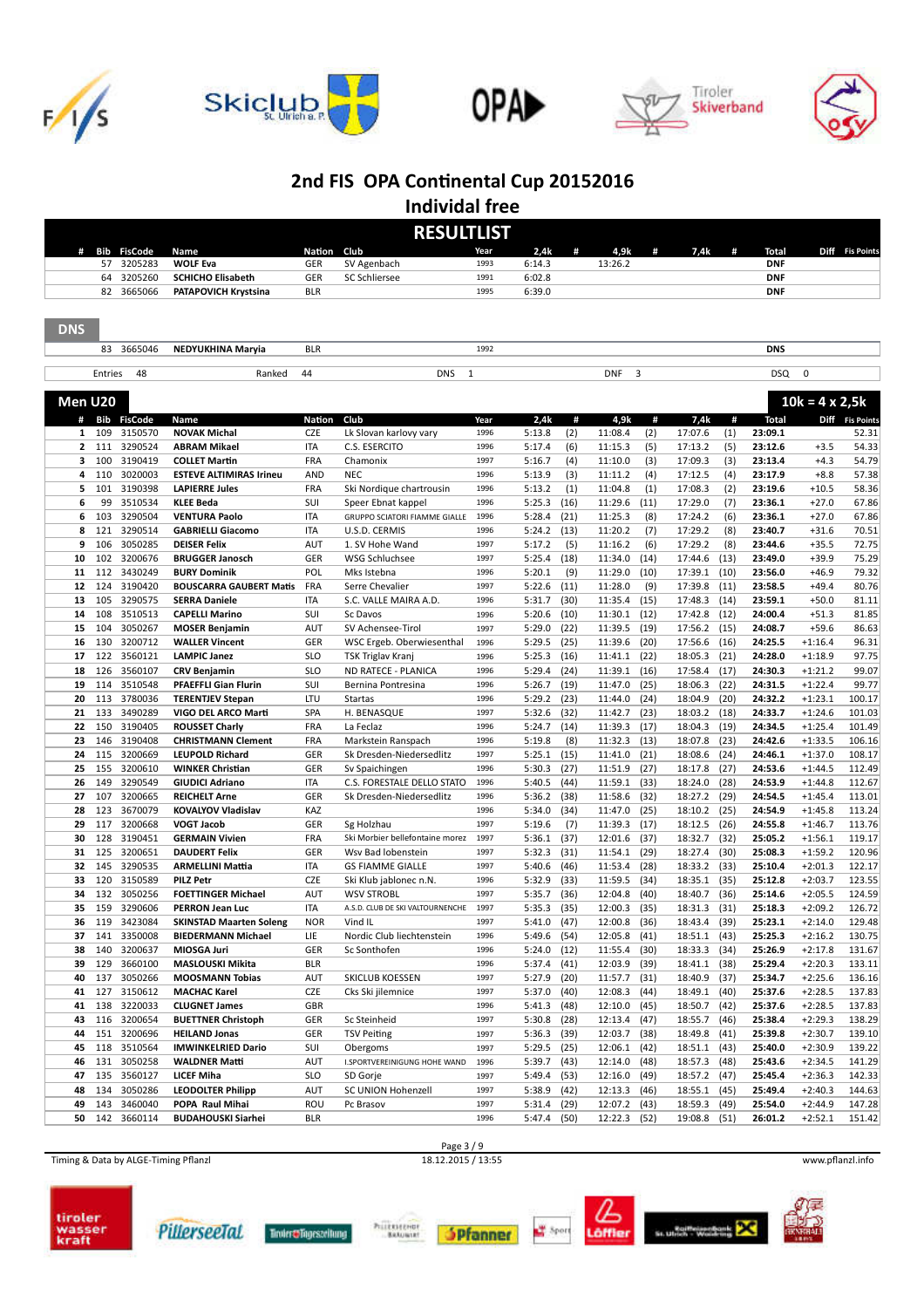









**Individal free**

|                |            |                        |                                                   |                          | <b>RESULTLIST</b>                                      |              |                                |              |                                    |                              |              |                    |                        |                  |
|----------------|------------|------------------------|---------------------------------------------------|--------------------------|--------------------------------------------------------|--------------|--------------------------------|--------------|------------------------------------|------------------------------|--------------|--------------------|------------------------|------------------|
| #              | Bib        | <b>FisCode</b>         | Name                                              | Nation                   | Club                                                   | Year         | 2,4k                           | #            | 4,9k                               | 7,4k<br>#                    | #            | <b>Total</b>       |                        | Diff Fis Points  |
|                | 57         | 3205283                | <b>WOLF Eva</b>                                   | <b>GER</b>               | SV Agenbach                                            | 1993         | 6:14.3                         |              | 13:26.2                            |                              |              | <b>DNF</b>         |                        |                  |
|                | 64         | 3205260                | <b>SCHICHO Elisabeth</b>                          | GER                      | SC Schliersee                                          | 1991         | 6:02.8                         |              |                                    |                              |              | <b>DNF</b>         |                        |                  |
|                | 82         | 3665066                | PATAPOVICH Krystsina                              | <b>BLR</b>               |                                                        | 1995         | 6:39.0                         |              |                                    |                              |              | <b>DNF</b>         |                        |                  |
| <b>DNS</b>     |            |                        |                                                   |                          |                                                        |              |                                |              |                                    |                              |              |                    |                        |                  |
|                |            | 83 3665046             | NEDYUKHINA Maryia                                 | <b>BLR</b>               |                                                        | 1992         |                                |              |                                    |                              |              | <b>DNS</b>         |                        |                  |
|                |            |                        |                                                   |                          |                                                        |              |                                |              |                                    |                              |              |                    |                        |                  |
|                | Entries    | 48                     | Ranked                                            | 44                       | <b>DNS</b><br>$\mathbf{1}$                             |              |                                |              | 3<br><b>DNF</b>                    |                              |              | DSQ                | $\mathbf 0$            |                  |
| Men U20        |            |                        |                                                   |                          |                                                        |              |                                |              |                                    |                              |              |                    | $10k = 4 \times 2,5k$  |                  |
| #              | Bib        | <b>FisCode</b>         | Name                                              | Nation                   | Club                                                   | Year         | 2,4k                           | #            | 4,9k                               | #<br>7,4k                    | #            | <b>Total</b>       |                        | Diff Fis Points  |
| 1              | 109        | 3150570                | <b>NOVAK Michal</b>                               | CZE                      | Lk Slovan karlovy vary                                 | 1996         | 5:13.8                         | (2)          | 11:08.4<br>(2)                     | 17:07.6                      | (1)          | 23:09.1            |                        | 52.31            |
| $\overline{2}$ | 111        | 3290524                | <b>ABRAM Mikael</b>                               | <b>ITA</b>               | C.S. ESERCITO                                          | 1996         | 5:17.4                         | (6)          | 11:15.3<br>(5)                     | 17:13.2                      | (5)          | 23:12.6            | $+3.5$                 | 54.33            |
| з              | 100        | 3190419                | <b>COLLET Martin</b>                              | <b>FRA</b>               | Chamonix                                               | 1997         | 5:16.7                         | (4)          | 11:10.0<br>(3)                     | 17:09.3                      | (3)          | 23:13.4            | $+4.3$                 | 54.79            |
| 4              | 110        | 3020003                | <b>ESTEVE ALTIMIRAS Irineu</b>                    | <b>AND</b>               | <b>NEC</b>                                             | 1996         | 5:13.9                         | (3)          | 11:11.2<br>(4)                     | 17:12.5                      | (4)          | 23:17.9            | $+8.8$                 | 57.38            |
| 5              | 101<br>99  | 3190398                | <b>LAPIERRE Jules</b>                             | <b>FRA</b>               | Ski Nordique chartrousin                               | 1996<br>1996 | 5:13.2                         | (1)          | 11:04.8<br>(1)                     | 17:08.3                      | (2)          | 23:19.6            | $+10.5$                | 58.36            |
| 6<br>6         | 103        | 3510534<br>3290504     | <b>KLEE Beda</b><br><b>VENTURA Paolo</b>          | <b>SUI</b><br><b>ITA</b> | Speer Ebnat kappel<br>GRUPPO SCIATORI FIAMME GIALLE    | 1996         | 5:25.3<br>5:28.4               | (16)<br>(21) | 11:29.6<br>(11)<br>11:25.3<br>(8)  | 17:29.0<br>17:24.2           | (7)<br>(6)   | 23:36.1<br>23:36.1 | $+27.0$<br>$+27.0$     | 67.86<br>67.86   |
| 8              | 121        | 3290514                | <b>GABRIELLI Giacomo</b>                          | <b>ITA</b>               | U.S.D. CERMIS                                          | 1996         | 5:24.2                         | (13)         | 11:20.2<br>(7)                     | 17:29.2                      | (8)          | 23:40.7            | $+31.6$                | 70.51            |
| 9              | 106        | 3050285                | <b>DEISER Felix</b>                               | AUT                      | 1. SV Hohe Wand                                        | 1997         | 5:17.2                         | (5)          | 11:16.2<br>(6)                     | 17:29.2                      | (8)          | 23:44.6            | $+35.5$                | 72.75            |
| 10             | 102        | 3200676                | <b>BRUGGER Janosch</b>                            | GER                      | WSG Schluchsee                                         | 1997         | 5:25.4                         | (18)         | 11:34.0<br>(14)                    | 17:44.6                      | (13)         | 23:49.0            | $+39.9$                | 75.29            |
| 11             | 112        | 3430249                | <b>BURY Dominik</b>                               | POL                      | Mks Istebna                                            | 1996         | 5:20.1                         | (9)          | 11:29.0<br>(10)                    | 17:39.1                      | (10)         | 23:56.0            | $+46.9$                | 79.32            |
| 12             | 124        | 3190420                | <b>BOUSCARRA GAUBERT Matis</b>                    | <b>FRA</b>               | Serre Chevalier                                        | 1997         | 5:22.6                         | (11)         | 11:28.0<br>(9)                     | 17:39.8                      | (11)         | 23:58.5            | $+49.4$                | 80.76            |
| 13             | 105        | 3290575                | <b>SERRA Daniele</b>                              | <b>ITA</b>               | S.C. VALLE MAIRA A.D.                                  | 1996         | 5:31.7                         | (30)         | 11:35.4<br>(15)                    | 17:48.3                      | (14)         | 23:59.1            | $+50.0$                | 81.11            |
| 14             | 108        | 3510513                | <b>CAPELLI Marino</b>                             | SUI                      | Sc Davos                                               | 1996         | 5:20.6                         | (10)         | 11:30.1<br>(12)                    | 17:42.8                      | (12)         | 24:00.4            | $+51.3$                | 81.85            |
| 15             | 104        | 3050267                | <b>MOSER Benjamin</b>                             | AUT                      | SV Achensee-Tirol                                      | 1997         | 5:29.0                         | (22)         | 11:39.5<br>(19)                    | 17:56.2                      | (15)         | 24:08.7            | $+59.6$                | 86.63            |
| 16             | 130        | 3200712                | <b>WALLER Vincent</b>                             | GER                      | WSC Ergeb. Oberwiesenthal                              | 1996         | 5:29.5                         | (25)         | 11:39.6<br>(20)                    | 17:56.6                      | (16)         | 24:25.5            | $+1:16.4$              | 96.31            |
| 17             | 122        | 3560121                | <b>LAMPIC Janez</b>                               | <b>SLO</b>               | <b>TSK Triglav Kranj</b>                               | 1996         | 5:25.3                         | (16)         | 11:41.1<br>(22)                    | 18:05.3                      | (21)         | 24:28.0            | $+1:18.9$              | 97.75            |
| 18             | 126        | 3560107                | <b>CRV Benjamin</b>                               | <b>SLO</b>               | ND RATECE - PLANICA                                    | 1996         | 5:29.4                         | (24)         | 11:39.1<br>(16)                    | 17:58.4                      | (17)         | 24:30.3            | $+1:21.2$              | 99.07            |
| 19             | 114        | 3510548                | <b>PFAEFFLI Gian Flurin</b>                       | SUI                      | Bernina Pontresina                                     | 1996         | 5:26.7                         | (19)         | 11:47.0<br>(25)                    | 18:06.3                      | (22)         | 24:31.5            | $+1:22.4$              | 99.77            |
| 20             | 113        | 3780036                | <b>TERENTJEV Stepan</b>                           | LTU                      | Startas                                                | 1996         | 5:29.2                         | (23)         | (24)<br>11:44.0                    | 18:04.9                      | (20)         | 24:32.2            | $+1:23.1$              | 100.17           |
| 21             | 133        | 3490289                | VIGO DEL ARCO Marti                               | SPA                      | H. BENASQUE                                            | 1997         | 5:32.6                         | (32)         | 11:42.7<br>(23)                    | 18:03.2                      | (18)         | 24:33.7            | $+1:24.6$              | 101.03           |
| 22             | 150        | 3190405                | <b>ROUSSET Charly</b>                             | <b>FRA</b>               | La Feclaz                                              | 1996         | 5:24.7                         | (14)         | 11:39.3<br>(17)                    | 18:04.3                      | (19)         | 24:34.5            | $+1:25.4$              | 101.49           |
| 23             | 146        | 3190408                | <b>CHRISTMANN Clement</b>                         | FRA                      | Markstein Ranspach                                     | 1996         | 5:19.8                         | (8)          | 11:32.3<br>(13)                    | 18:07.8                      | (23)         | 24:42.6            | $+1:33.5$              | 106.16           |
| 24             | 115        | 3200669                | <b>LEUPOLD Richard</b>                            | GER                      | Sk Dresden-Niedersedlitz                               | 1997         | 5:25.1                         | (15)         | 11:41.0<br>(21)                    | 18:08.6                      | (24)         | 24:46.1            | $+1:37.0$              | 108.17           |
| 25             | 155        | 3200610<br>3290549     | <b>WINKER Christian</b>                           | <b>GER</b><br><b>ITA</b> | Sv Spaichingen                                         | 1996<br>1996 | 5:30.3                         | (27)         | 11:51.9<br>(27)                    | 18:17.8                      | (27)         | 24:53.6            | $+1:44.5$<br>$+1:44.8$ | 112.49           |
| 26<br>27       | 149<br>107 | 3200665                | <b>GIUDICI Adriano</b><br><b>REICHELT Arne</b>    | GER                      | C.S. FORESTALE DELLO STATO<br>Sk Dresden-Niedersedlitz | 1996         | 5:40.5<br>5:36.2               | (44)<br>(38) | 11:59.1<br>(33)<br>11:58.6<br>(32) | 18:24.0<br>18:27.2           | (28)<br>(29) | 24:53.9<br>24:54.5 | $+1:45.4$              | 112.67<br>113.01 |
| 28             | 123        | 3670079                | <b>KOVALYOV Vladislav</b>                         | KAZ                      |                                                        | 1996         | 5:34.0                         | (34)         | 11:47.0<br>(25)                    | 18:10.2                      | (25)         | 24:54.9            | $+1:45.8$              | 113.24           |
| 29             | 117        | 3200668                | <b>VOGT Jacob</b>                                 | <b>GER</b>               | Sg Holzhau                                             | 1997         | 5:19.6                         | (7)          | 11:39.3<br>(17)                    | 18:12.5                      | (26)         | 24:55.8            | $+1:46.7$              | 113.76           |
| 30             | 128        | 3190451                | <b>GERMAIN Vivien</b>                             | <b>FRA</b>               | Ski Morbier bellefontaine morez                        | 1997         | 5:36.1                         | (37)         | 12:01.6<br>(37)                    | 18:32.7                      | (32)         | 25:05.2            | $+1:56.1$              | 119.17           |
| 31             | 125        | 3200651                | <b>DAUDERT Felix</b>                              | <b>GER</b>               | Wsv Bad lobenstein                                     | 1997         | 5:32.3                         | (31)         | 11:54.1<br>(29)                    | 18:27.4                      | (30)         | 25:08.3            | $+1:59.2$              | 120.96           |
| 32             | 145        | 3290535                | <b>ARMELLINI Mattia</b>                           | ITA                      | <b>GS FIAMME GIALLE</b>                                | 1997         | 5:40.6                         | (46)         | (28)<br>11:53.4                    | 18:33.2                      | (33)         | 25:10.4            | $+2:01.3$              | 122.17           |
| 33             | 120        | 3150589                | <b>PILZ Petr</b>                                  | CZE                      | Ski Klub jablonec n.N.                                 | 1996         | 5:32.9                         | (33)         | 11:59.5<br>(34)                    | 18:35.1                      | (35)         | 25:12.8            | $+2:03.7$              | 123.55           |
| 34             | 132        | 3050256                | <b>FOETTINGER Michael</b>                         | AUT                      | <b>WSV STROBL</b>                                      | 1997         | 5:35.7                         | (36)         | (40)<br>12:04.8                    | 18:40.7                      | (36)         | 25:14.6            | $+2:05.5$              | 124.59           |
| 35             | 159        | 3290606                | <b>PERRON Jean Luc</b>                            | <b>ITA</b>               | A.S.D. CLUB DE SKI VALTOURNENCHE                       | 1997         | 5:35.3                         | (35)         | 12:00.3<br>(35)                    | 18:31.3                      | (31)         | 25:18.3            | $+2:09.2$              | 126.72           |
| 36             | 119        | 3423084                | <b>SKINSTAD Maarten Soleng</b>                    | <b>NOR</b>               | Vind IL                                                | 1997         | 5:41.0 (47)                    |              | 12:00.8 (36)                       | 18:43.4 (39)                 |              | 25:23.1            | +2:14.0                | 129.48           |
| 37             | 141        | 3350008                | <b>BIEDERMANN Michael</b>                         | LIE                      | Nordic Club liechtenstein                              | 1996         | 5:49.6 (54)                    |              | 12:05.8 (41)                       | 18:51.1 (43)                 |              | 25:25.3            | $+2:16.2$              | 130.75           |
| 38             | 140        | 3200637                | MIOSGA Juri                                       | GER                      | Sc Sonthofen                                           | 1996         | $5:24.0$ (12)                  |              | 11:55.4<br>(30)                    | 18:33.3                      | (34)         | 25:26.9            | $+2:17.8$              | 131.67           |
| 39             | 129        | 3660100                | MASLOUSKI Mikita                                  | <b>BLR</b>               |                                                        | 1996         | $5:37.4$ (41)                  |              | 12:03.9 (39)                       | 18:41.1                      | (38)         | 25:29.4            | $+2:20.3$              | 133.11           |
| 40             | 137        | 3050266                | <b>MOOSMANN Tobias</b>                            | AUT                      | SKICLUB KOESSEN                                        | 1997         | 5:27.9 (20)                    |              | 11:57.7<br>(31)                    | 18:40.9                      | (37)         | 25:34.7            | $+2:25.6$              | 136.16           |
| 41             | 127        | 3150612                | <b>MACHAC Karel</b>                               | CZE                      | Cks Ski jilemnice                                      | 1997         | $5:37.0$ (40)                  |              | 12:08.3<br>(44)                    | 18:49.1 (40)                 |              | 25:37.6            | $+2:28.5$              | 137.83           |
| 41             |            | 138 3220033            | <b>CLUGNET James</b>                              | GBR                      |                                                        | 1996         | $5:41.3$ (48)                  |              | 12:10.0 (45)                       | 18:50.7                      | (42)         | 25:37.6            | $+2:28.5$              | 137.83           |
| 43             | 116        | 3200654                | <b>BUETTNER Christoph</b>                         | GER                      | Sc Steinheid                                           | 1997         | $5:30.8$ (28)                  |              | 12:13.4<br>(47)                    | 18:55.7                      | (46)         | 25:38.4            | $+2:29.3$              | 138.29           |
| 44             | 151        | 3200696                | <b>HEILAND Jonas</b><br><b>IMWINKELRIED Dario</b> | GER                      | <b>TSV Peiting</b>                                     | 1997<br>1997 | $5:36.3$ (39)                  |              | 12:03.7<br>(38)                    | 18:49.8 (41)                 |              | 25:39.8            | $+2:30.7$              | 139.10           |
| 45<br>46       | 131        | 118 3510564<br>3050258 | <b>WALDNER Matti</b>                              | SUI<br>AUT               | Obergoms<br>I.SPORTVEREINIGUNG HOHE WAND               | 1996         | $5:29.5$ (25)<br>$5:39.7$ (43) |              | 12:06.1 (42)<br>12:14.0 (48)       | 18:51.1 (43)<br>18:57.3 (48) |              | 25:40.0<br>25:43.6 | $+2:30.9$<br>$+2:34.5$ | 139.22<br>141.29 |
| 47             | 135        | 3560127                | <b>LICEF Miha</b>                                 | SLO                      | SD Gorje                                               | 1997         | 5:49.4 (53)                    |              | 12:16.0 (49)                       | 18:57.2 (47)                 |              | 25:45.4            | $+2:36.3$              | 142.33           |
| 48             | 134        | 3050286                | <b>LEODOLTER Philipp</b>                          | AUT                      | SC UNION Hohenzell                                     | 1997         | $5:38.9$ (42)                  |              | 12:13.3 (46)                       | 18:55.1 (45)                 |              | 25:49.4            | $+2:40.3$              | 144.63           |
| 49             | 143        | 3460040                | POPA Raul Mihai                                   | ROU                      | Pc Brasov                                              | 1997         | 5:31.4 (29)                    |              | 12:07.2 (43)                       | 18:59.3                      | (49)         | 25:54.0            | $+2:44.9$              | 147.28           |
| 50             |            | 142 3660114            | <b>BUDAHOUSKI Siarhei</b>                         | <b>BLR</b>               |                                                        | 1996         | 5:47.4 (50)                    |              | 12:22.3 (52)                       | 19:08.8 (51)                 |              | 26:01.2            | $+2:52.1$              | 151.42           |
|                |            |                        |                                                   |                          |                                                        |              |                                |              |                                    |                              |              |                    |                        |                  |

Timing & Data by ALGE-Timing Pflanzl 18.12.2015 / 13:55 www.pflanzl.info















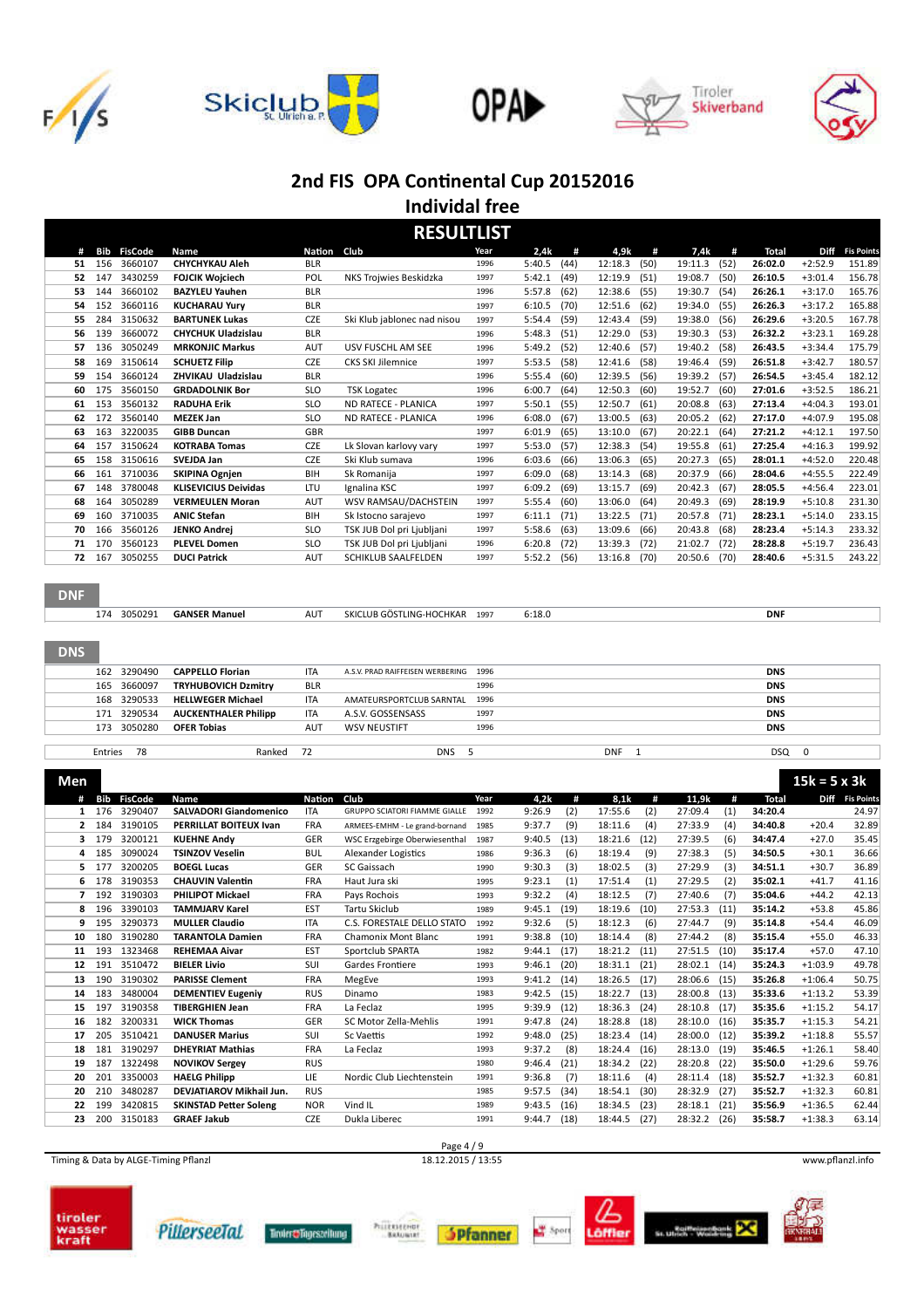









**Individal free**

|    | <b>RESULTLIST</b> |                |                             |            |                             |      |        |      |         |      |         |      |         |             |                   |
|----|-------------------|----------------|-----------------------------|------------|-----------------------------|------|--------|------|---------|------|---------|------|---------|-------------|-------------------|
| #  | Bib               | <b>FisCode</b> | Name                        | Nation     | Club                        | Year | 2,4k   | #    | 4,9k    | #    | 7,4k    | #    | Total   | <b>Diff</b> | <b>Fis Points</b> |
| 51 | 156               | 3660107        | <b>CHYCHYKAU Aleh</b>       | <b>BLR</b> |                             | 1996 | 5:40.5 | (44) | 12:18.3 | (50) | 19:11.3 | (52) | 26:02.0 | $+2:52.9$   | 151.89            |
| 52 | 147               | 3430259        | <b>FOJCIK Woiciech</b>      | POL        | NKS Trojwies Beskidzka      | 1997 | 5:42.1 | (49) | 12:19.9 | (51) | 19:08.7 | (50) | 26:10.5 | $+3:01.4$   | 156.78            |
| 53 | 144               | 3660102        | <b>BAZYLEU Yauhen</b>       | <b>BLR</b> |                             | 1996 | 5:57.8 | (62) | 12:38.6 | (55) | 19:30.7 | (54) | 26:26.1 | $+3:17.0$   | 165.76            |
| 54 | 152               | 3660116        | <b>KUCHARAU Yurv</b>        | <b>BLR</b> |                             | 1997 | 6:10.5 | (70) | 12:51.6 | (62) | 19:34.0 | (55) | 26:26.3 | $+3:17.2$   | 165.88            |
| 55 | 284               | 3150632        | <b>BARTUNEK Lukas</b>       | CZE        | Ski Klub jablonec nad nisou | 1997 | 5:54.4 | (59) | 12:43.4 | (59) | 19:38.0 | (56) | 26:29.6 | $+3:20.5$   | 167.78            |
| 56 | 139               | 3660072        | <b>CHYCHUK Uladzislau</b>   | <b>BLR</b> |                             | 1996 | 5:48.3 | (51) | 12:29.0 | (53) | 19:30.3 | (53) | 26:32.2 | $+3:23.1$   | 169.28            |
| 57 | 136               | 3050249        | <b>MRKONJIC Markus</b>      | <b>AUT</b> | USV FUSCHL AM SEE           | 1996 | 5:49.2 | (52) | 12:40.6 | (57) | 19:40.2 | (58) | 26:43.5 | $+3:34.4$   | 175.79            |
| 58 | 169               | 3150614        | <b>SCHUETZ Filip</b>        | <b>CZE</b> | <b>CKS SKI Jilemnice</b>    | 1997 | 5:53.5 | (58) | 12:41.6 | (58) | 19:46.4 | (59) | 26:51.8 | $+3:42.7$   | 180.57            |
| 59 | 154               | 3660124        | ZHVIKAU Uladzislau          | <b>BLR</b> |                             | 1996 | 5:55.4 | (60) | 12:39.5 | (56) | 19:39.2 | (57) | 26:54.5 | $+3:45.4$   | 182.12            |
| 60 | 175               | 3560150        | <b>GRDADOLNIK Bor</b>       | <b>SLO</b> | <b>TSK Logatec</b>          | 1996 | 6:00.7 | (64) | 12:50.3 | (60) | 19:52.7 | (60) | 27:01.6 | $+3:52.5$   | 186.21            |
| 61 | 153               | 3560132        | <b>RADUHA Erik</b>          | <b>SLO</b> | ND RATECE - PLANICA         | 1997 | 5:50.1 | (55) | 12:50.7 | (61) | 20:08.8 | (63) | 27:13.4 | $+4:04.3$   | 193.01            |
| 62 | 172               | 3560140        | <b>MEZEK Jan</b>            | <b>SLO</b> | ND RATECE - PLANICA         | 1996 | 6:08.0 | (67) | 13:00.5 | (63) | 20:05.2 | (62) | 27:17.0 | $+4:07.9$   | 195.08            |
| 63 | 163               | 3220035        | <b>GIBB Duncan</b>          | GBR        |                             | 1997 | 6:01.9 | (65) | 13:10.0 | (67) | 20:22.1 | (64) | 27:21.2 | $+4:12.1$   | 197.50            |
| 64 | 157               | 3150624        | <b>KOTRABA Tomas</b>        | <b>CZE</b> | Lk Slovan karlovy vary      | 1997 | 5:53.0 | (57) | 12:38.3 | (54) | 19:55.8 | (61) | 27:25.4 | $+4:16.3$   | 199.92            |
| 65 | 158               | 3150616        | <b>SVEJDA Jan</b>           | <b>CZE</b> | Ski Klub sumava             | 1996 | 6:03.6 | (66) | 13:06.3 | (65) | 20:27.3 | (65) | 28:01.1 | $+4:52.0$   | 220.48            |
| 66 | 161               | 3710036        | <b>SKIPINA Ognjen</b>       | <b>BIH</b> | Sk Romanija                 | 1997 | 6:09.0 | (68) | 13:14.3 | (68) | 20:37.9 | (66) | 28:04.6 | $+4:55.5$   | 222.49            |
| 67 | 148               | 3780048        | <b>KLISEVICIUS Deividas</b> | LTU        | Ignalina KSC                | 1997 | 6:09.2 | (69) | 13:15.7 | (69) | 20:42.3 | (67) | 28:05.5 | $+4:56.4$   | 223.01            |
| 68 | 164               | 3050289        | <b>VERMEULEN Moran</b>      | <b>AUT</b> | WSV RAMSAU/DACHSTEIN        | 1997 | 5:55.4 | (60) | 13:06.0 | (64) | 20:49.3 | (69) | 28:19.9 | $+5:10.8$   | 231.30            |
| 69 | 160               | 3710035        | <b>ANIC Stefan</b>          | <b>BIH</b> | Sk Istocno sarajevo         | 1997 | 6:11.1 | (71) | 13:22.5 | (71) | 20:57.8 | (71) | 28:23.1 | $+5:14.0$   | 233.15            |
| 70 | 166               | 3560126        | <b>JENKO Andrei</b>         | <b>SLO</b> | TSK JUB Dol pri Ljubljani   | 1997 | 5:58.6 | (63) | 13:09.6 | (66) | 20:43.8 | (68) | 28:23.4 | $+5:14.3$   | 233.32            |
| 71 | 170               | 3560123        | <b>PLEVEL Domen</b>         | <b>SLO</b> | TSK JUB Dol pri Ljubljani   | 1996 | 6:20.8 | (72) | 13:39.3 | (72) | 21:02.7 | (72) | 28:28.8 | $+5:19.7$   | 236.43            |
| 72 | 167               | 3050255        | <b>DUCI Patrick</b>         | <b>AUT</b> | <b>SCHIKLUB SAALFELDEN</b>  | 1997 | 5:52.2 | (56) | 13:16.8 | (70) | 20:50.6 | (70) | 28:40.6 | $+5:31.5$   | 243.22            |
|    |                   |                |                             |            |                             |      |        |      |         |      |         |      |         |             |                   |

#### **DNF**

| <b>GANSER Manuel</b><br>AU <sup>-</sup><br>3050291<br>$\sim$ $ \sim$<br><b>DNF</b><br>1997<br>6:18.0<br><b>-HOCHKAR</b><br>:LUB GÖSTLING-<br>SKICI<br>- 72 |  |
|------------------------------------------------------------------------------------------------------------------------------------------------------------|--|
|------------------------------------------------------------------------------------------------------------------------------------------------------------|--|

#### DNS

| 162 3290490                    | <b>CAPPELLO Florian</b>          | ITA        | A.S.V. PRAD RAIFFEISEN WERBERING 1996 |      |            | <b>DNS</b> |  |
|--------------------------------|----------------------------------|------------|---------------------------------------|------|------------|------------|--|
|                                | 165 3660097 TRYHUBOVICH Dzmitry  | <b>BLR</b> |                                       | 1996 |            | <b>DNS</b> |  |
|                                | 168 3290533 HELLWEGER Michael    | ITA        | AMATEURSPORTCLUB SARNTAL 1996         |      |            | <b>DNS</b> |  |
|                                | 171 3290534 AUCKENTHALER Philipp | <b>ITA</b> | A.S.V. GOSSENSASS                     | 1997 |            | <b>DNS</b> |  |
| 173 3050280 <b>OFER Tobias</b> |                                  | AUT        | <b>WSV NEUSTIFT</b>                   | 1996 |            | <b>DNS</b> |  |
|                                |                                  |            |                                       |      |            |            |  |
| Entries<br>- 78                | Ranked                           | -72        | <b>DNS</b>                            |      | <b>DNF</b> | DSQ        |  |

| Men |     |                |                               |               |                                      |      |        |      |         |      |         |      |              | $15k = 5 \times 3k$ |                 |
|-----|-----|----------------|-------------------------------|---------------|--------------------------------------|------|--------|------|---------|------|---------|------|--------------|---------------------|-----------------|
| #   | Bib | <b>FisCode</b> | Name                          | <b>Nation</b> | Club                                 | Year | 4,2k   | #    | 8.1k    | #    | 11,9k   | #    | <b>Total</b> |                     | Diff Fis Points |
| 1   | 176 | 3290407        | <b>SALVADORI Giandomenico</b> | <b>ITA</b>    | <b>GRUPPO SCIATORI FIAMME GIALLE</b> | 1992 | 9:26.9 | (2)  | 17:55.6 | (2)  | 27:09.4 | (1)  | 34:20.4      |                     | 24.97           |
| 2   | 184 | 3190105        | PERRILLAT BOITEUX Ivan        | <b>FRA</b>    | ARMEES-EMHM - Le grand-bornand       | 1985 | 9:37.7 | (9)  | 18:11.6 | (4)  | 27:33.9 | (4)  | 34:40.8      | $+20.4$             | 32.89           |
| 3   | 179 | 3200121        | <b>KUEHNE Andv</b>            | <b>GER</b>    | WSC Erzgebirge Oberwiesenthal        | 1987 | 9:40.5 | (13) | 18:21.6 | (12) | 27:39.5 | (6)  | 34:47.4      | $+27.0$             | 35.45           |
| 4   | 185 | 3090024        | <b>TSINZOV Veselin</b>        | <b>BUL</b>    | <b>Alexander Logistics</b>           | 1986 | 9:36.3 | (6)  | 18:19.4 | (9)  | 27:38.3 | (5)  | 34:50.5      | $+30.1$             | 36.66           |
| 5.  | 177 | 3200205        | <b>BOEGL Lucas</b>            | GER           | SC Gaissach                          | 1990 | 9:30.3 | (3)  | 18:02.5 | (3)  | 27:29.9 | (3)  | 34:51.1      | $+30.7$             | 36.89           |
| 6   | 178 | 3190353        | <b>CHAUVIN Valentin</b>       | <b>FRA</b>    | Haut Jura ski                        | 1995 | 9:23.1 | (1)  | 17:51.4 | (1)  | 27:29.5 | (2)  | 35:02.1      | $+41.7$             | 41.16           |
|     | 192 | 3190303        | <b>PHILIPOT Mickael</b>       | <b>FRA</b>    | Pays Rochois                         | 1993 | 9:32.2 | (4)  | 18:12.5 | (7)  | 27:40.6 | (7)  | 35:04.6      | $+44.2$             | 42.13           |
| 8   | 196 | 3390103        | <b>TAMMJARV Karel</b>         | <b>EST</b>    | <b>Tartu Skiclub</b>                 | 1989 | 9:45.1 | (19) | 18:19.6 | (10) | 27:53.3 | (11) | 35:14.2      | $+53.8$             | 45.86           |
| 9   | 195 | 3290373        | <b>MULLER Claudio</b>         | <b>ITA</b>    | C.S. FORESTALE DELLO STATO           | 1992 | 9:32.6 | (5)  | 18:12.3 | (6)  | 27:44.7 | (9)  | 35:14.8      | $+54.4$             | 46.09           |
| 10  | 180 | 3190280        | <b>TARANTOLA Damien</b>       | <b>FRA</b>    | <b>Chamonix Mont Blanc</b>           | 1991 | 9:38.8 | (10) | 18:14.4 | (8)  | 27:44.2 | (8)  | 35:15.4      | $+55.0$             | 46.33           |
| 11  | 193 | 1323468        | <b>REHEMAA Aivar</b>          | <b>EST</b>    | Sportclub SPARTA                     | 1982 | 9:44.1 | (17) | 18:21.2 | (11) | 27:51.5 | (10) | 35:17.4      | $+57.0$             | 47.10           |
| 12  | 191 | 3510472        | <b>BIELER Livio</b>           | <b>SUI</b>    | Gardes Frontiere                     | 1993 | 9:46.1 | (20) | 18:31.1 | (21) | 28:02.1 | (14) | 35:24.3      | $+1:03.9$           | 49.78           |
| 13  | 190 | 3190302        | <b>PARISSE Clement</b>        | <b>FRA</b>    | MegEve                               | 1993 | 9:41.2 | (14) | 18:26.5 | (17) | 28:06.6 | (15) | 35:26.8      | $+1:06.4$           | 50.75           |
| 14  | 183 | 3480004        | <b>DEMENTIEV Eugeniv</b>      | <b>RUS</b>    | Dinamo                               | 1983 | 9:42.5 | (15) | 18:22.7 | (13) | 28:00.8 | (13) | 35:33.6      | $+1:13.2$           | 53.39           |
| 15  | 197 | 3190358        | <b>TIBERGHIEN Jean</b>        | <b>FRA</b>    | La Feclaz                            | 1995 | 9:39.9 | (12) | 18:36.3 | (24) | 28:10.8 | (17) | 35:35.6      | $+1:15.2$           | 54.17           |
| 16  | 182 | 3200331        | <b>WICK Thomas</b>            | GER           | SC Motor Zella-Mehlis                | 1991 | 9:47.8 | (24) | 18:28.8 | (18) | 28:10.0 | (16) | 35:35.7      | $+1:15.3$           | 54.21           |
| 17  | 205 | 3510421        | <b>DANUSER Marius</b>         | <b>SUI</b>    | Sc Vaettis                           | 1992 | 9:48.0 | (25) | 18:23.4 | (14) | 28:00.0 | (12) | 35:39.2      | $+1:18.8$           | 55.57           |
| 18  | 181 | 3190297        | <b>DHEYRIAT Mathias</b>       | <b>FRA</b>    | La Feclaz                            | 1993 | 9:37.2 | (8)  | 18:24.4 | (16) | 28:13.0 | (19) | 35:46.5      | $+1:26.1$           | 58.40           |
| 19  | 187 | 1322498        | <b>NOVIKOV Sergey</b>         | <b>RUS</b>    |                                      | 1980 | 9:46.4 | (21) | 18:34.2 | (22) | 28:20.8 | (22) | 35:50.0      | $+1:29.6$           | 59.76           |
| 20  | 201 | 3350003        | <b>HAELG Philipp</b>          | <b>LIE</b>    | Nordic Club Liechtenstein            | 1991 | 9:36.8 | (7)  | 18:11.6 | (4)  | 28:11.4 | (18) | 35:52.7      | $+1:32.3$           | 60.81           |
| 20  | 210 | 3480287        | DEVJATIAROV Mikhail Jun.      | <b>RUS</b>    |                                      | 1985 | 9:57.5 | (34) | 18:54.1 | (30) | 28:32.9 | (27) | 35:52.7      | $+1:32.3$           | 60.81           |
| 22  | 199 | 3420815        | <b>SKINSTAD Petter Soleng</b> | <b>NOR</b>    | Vind IL                              | 1989 | 9:43.5 | (16) | 18:34.5 | (23) | 28:18.1 | (21) | 35:56.9      | $+1:36.5$           | 62.44           |
| 23  | 200 | 3150183        | <b>GRAEF Jakub</b>            | <b>CZE</b>    | Dukla Liberec                        | 1991 | 9:44.7 | (18) | 18:44.5 | (27) | 28:32.2 | (26) | 35:58.7      | $+1:38.3$           | 63.14           |
|     |     |                |                               |               |                                      |      |        |      |         |      |         |      |              |                     |                 |

















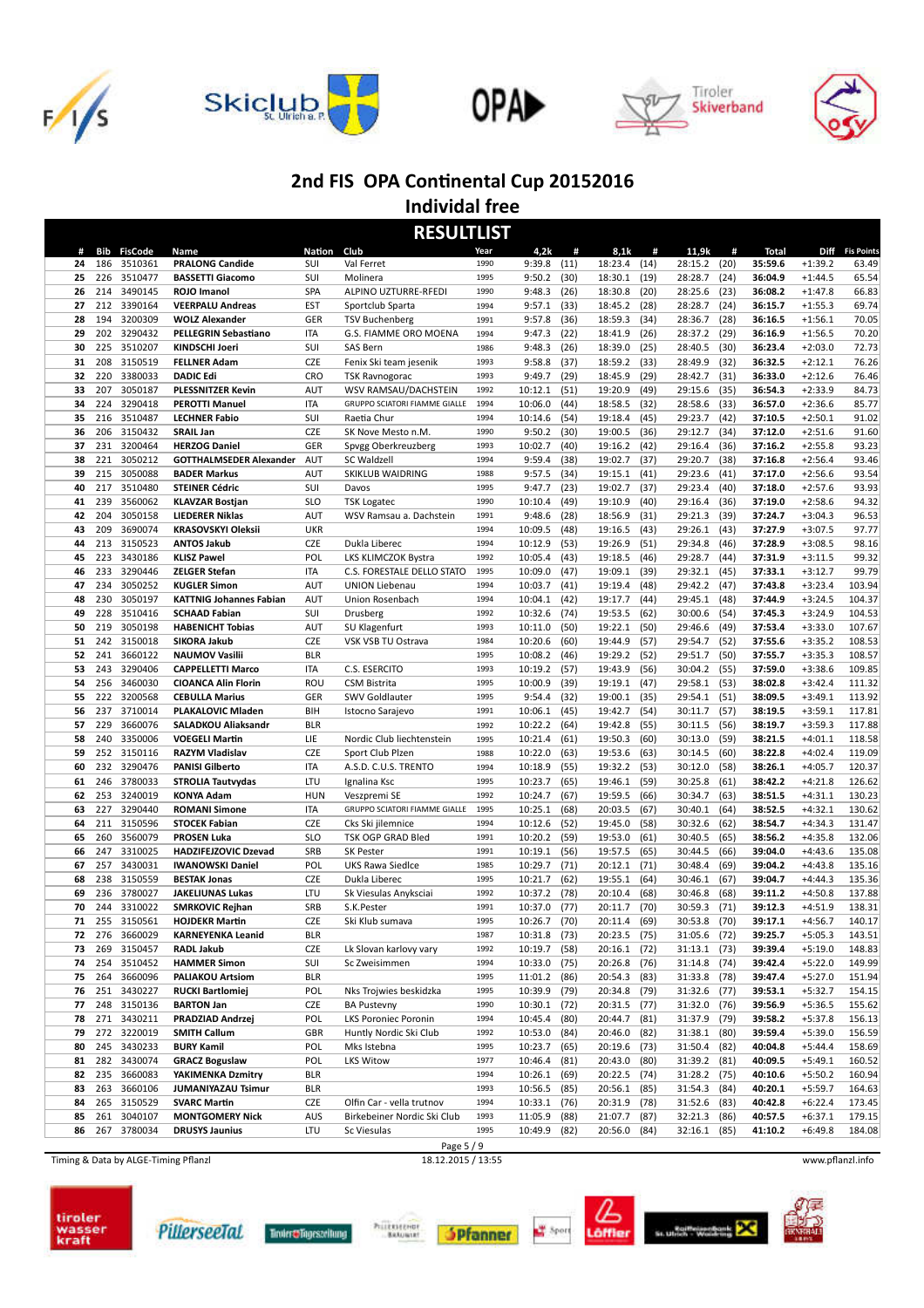









**Individal free RESULTLIST**

|    |     |                |                                |            | <u>KESULILISI</u>             |      |              |      |              |      |                |      |         |           |                 |
|----|-----|----------------|--------------------------------|------------|-------------------------------|------|--------------|------|--------------|------|----------------|------|---------|-----------|-----------------|
| #  | Bib | <b>FisCode</b> | Name                           | Nation     | Club                          | Year | 4,2k         | #    | 8,1k         | #    | 11,9k          | #    | Total   |           | Diff Fis Points |
| 24 | 186 | 3510361        | <b>PRALONG Candide</b>         | <b>SUI</b> | Val Ferret                    | 1990 | 9:39.8       | (11) | 18:23.4      | (14) | 28:15.2        | (20) | 35:59.6 | $+1:39.2$ | 63.49           |
| 25 | 226 | 3510477        | <b>BASSETTI Giacomo</b>        | SUI        | Molinera                      | 1995 | 9:50.2       | (30) | 18:30.1      | (19) | 28:28.7        | (24) | 36:04.9 | $+1:44.5$ | 65.54           |
| 26 | 214 | 3490145        | ROJO Imanol                    | <b>SPA</b> | ALPINO UZTURRE-RFEDI          | 1990 | 9:48.3       | (26) | 18:30.8      | (20) | 28:25.6        | (23) | 36:08.2 | $+1:47.8$ | 66.83           |
| 27 | 212 | 3390164        | <b>VEERPALU Andreas</b>        | EST        | Sportclub Sparta              | 1994 | 9:57.1       | (33) | 18:45.2      | (28) | 28:28.7        | (24) | 36:15.7 | $+1:55.3$ | 69.74           |
| 28 | 194 | 3200309        | <b>WOLZ Alexander</b>          | GER        | <b>TSV Buchenberg</b>         | 1991 | 9:57.8       | (36) | 18:59.3      | (34) | 28:36.7        | (28) | 36:16.5 | $+1:56.1$ | 70.05           |
| 29 | 202 | 3290432        | <b>PELLEGRIN Sebastiano</b>    | <b>ITA</b> | G.S. FIAMME ORO MOENA         | 1994 | 9:47.3       | (22) | 18:41.9      | (26) | 28:37.2        | (29) | 36:16.9 | $+1:56.5$ | 70.20           |
|    | 225 |                | KINDSCHI Joeri                 | SUI        | SAS Bern                      | 1986 |              |      |              |      |                |      |         | $+2:03.0$ | 72.73           |
| 30 |     | 3510207        |                                |            |                               |      | 9:48.3       | (26) | 18:39.0      | (25) | 28:40.5        | (30) | 36:23.4 |           |                 |
| 31 | 208 | 3150519        | <b>FELLNER Adam</b>            | <b>CZE</b> | Fenix Ski team jesenik        | 1993 | 9:58.8       | (37) | 18:59.2      | (33) | 28:49.9        | (32) | 36:32.5 | $+2:12.1$ | 76.26           |
| 32 | 220 | 3380033        | <b>DADIC Edi</b>               | <b>CRO</b> | <b>TSK Ravnogorac</b>         | 1993 | 9:49.7       | (29) | 18:45.9      | (29) | 28:42.7        | (31) | 36:33.0 | $+2:12.6$ | 76.46           |
| 33 | 207 | 3050187        | <b>PLESSNITZER Kevin</b>       | <b>AUT</b> | WSV RAMSAU/DACHSTEIN          | 1992 | 10:12.1      | (51) | 19:20.9      | (49) | 29:15.6        | (35) | 36:54.3 | $+2:33.9$ | 84.73           |
| 34 | 224 | 3290418        | <b>PEROTTI Manuel</b>          | <b>ITA</b> | GRUPPO SCIATORI FIAMME GIALLE | 1994 | 10:06.0      | (44) | 18:58.5      | (32) | 28:58.6        | (33) | 36:57.0 | $+2:36.6$ | 85.77           |
| 35 | 216 | 3510487        | <b>LECHNER Fabio</b>           | SUI        | Raetia Chur                   | 1994 | 10:14.6      | (54) | 19:18.4      | (45) | 29:23.7        | (42) | 37:10.5 | $+2:50.1$ | 91.02           |
| 36 | 206 | 3150432        | <b>SRAIL Jan</b>               | <b>CZE</b> | SK Nove Mesto n.M.            | 1990 | 9:50.2       | (30) | 19:00.5      | (36) | 29:12.7        | (34) | 37:12.0 | $+2:51.6$ | 91.60           |
| 37 | 231 | 3200464        | <b>HERZOG Daniel</b>           | GER        | Spvgg Oberkreuzberg           | 1993 | 10:02.7      | (40) | 19:16.2      | (42) | 29:16.4        | (36) | 37:16.2 | $+2:55.8$ | 93.23           |
| 38 | 221 | 3050212        | <b>GOTTHALMSEDER Alexander</b> | AUT        | SC Waldzell                   | 1994 | 9:59.4       | (38) | 19:02.7      | (37) | 29:20.7        | (38) | 37:16.8 | $+2:56.4$ | 93.46           |
| 39 | 215 | 3050088        | <b>BADER Markus</b>            | AUT        | SKIKLUB WAIDRING              | 1988 | 9:57.5       | (34) | 19:15.1      | (41) | 29:23.6        | (41) | 37:17.0 | $+2:56.6$ | 93.54           |
| 40 | 217 | 3510480        | <b>STEINER Cédric</b>          | SUI        | Davos                         | 1995 | 9:47.7       | (23) | 19:02.7      | (37) | 29:23.4        | (40) | 37:18.0 | $+2:57.6$ | 93.93           |
|    | 239 | 3560062        |                                | <b>SLO</b> |                               | 1990 |              |      |              | (40) |                |      |         | $+2:58.6$ |                 |
| 41 |     |                | <b>KLAVZAR Bostjan</b>         |            | <b>TSK Logatec</b>            |      | 10:10.4      | (49) | 19:10.9      |      | 29:16.4        | (36) | 37:19.0 |           | 94.32           |
| 42 | 204 | 3050158        | <b>LIEDERER Niklas</b>         | AUT        | WSV Ramsau a. Dachstein       | 1991 | 9:48.6       | (28) | 18:56.9      | (31) | 29:21.3        | (39) | 37:24.7 | $+3:04.3$ | 96.53           |
| 43 | 209 | 3690074        | <b>KRASOVSKYI Oleksii</b>      | <b>UKR</b> |                               | 1994 | 10:09.5      | (48) | 19:16.5      | (43) | 29:26.1        | (43) | 37:27.9 | $+3:07.5$ | 97.77           |
| 44 | 213 | 3150523        | <b>ANTOS Jakub</b>             | <b>CZE</b> | Dukla Liberec                 | 1994 | 10:12.9      | (53) | 19:26.9      | (51) | 29:34.8        | (46) | 37:28.9 | $+3:08.5$ | 98.16           |
| 45 | 223 | 3430186        | <b>KLISZ Pawel</b>             | POL        | LKS KLIMCZOK Bystra           | 1992 | 10:05.4      | (43) | 19:18.5      | (46) | 29:28.7        | (44) | 37:31.9 | $+3:11.5$ | 99.32           |
| 46 | 233 | 3290446        | <b>ZELGER Stefan</b>           | <b>ITA</b> | C.S. FORESTALE DELLO STATO    | 1995 | 10:09.0      | (47) | 19:09.1      | (39) | 29:32.1        | (45) | 37:33.1 | $+3:12.7$ | 99.79           |
| 47 | 234 | 3050252        | <b>KUGLER Simon</b>            | <b>AUT</b> | <b>UNION Liebenau</b>         | 1994 | 10:03.7      | (41) | 19:19.4      | (48) | 29:42.2        | (47) | 37:43.8 | $+3:23.4$ | 103.94          |
| 48 | 230 | 3050197        | <b>KATTNIG Johannes Fabian</b> | AUT        | Union Rosenbach               | 1994 | 10:04.1      | (42) | 19:17.7      | (44) | 29:45.1        | (48) | 37:44.9 | $+3:24.5$ | 104.37          |
| 49 | 228 | 3510416        | <b>SCHAAD Fabian</b>           | SUI        | Drusberg                      | 1992 | 10:32.6      | (74) | 19:53.5      | (62) | 30:00.6        | (54) | 37:45.3 | $+3:24.9$ | 104.53          |
| 50 | 219 | 3050198        | <b>HABENICHT Tobias</b>        | <b>AUT</b> | SU Klagenfurt                 | 1993 | 10:11.0      | (50) | 19:22.1      | (50) | 29:46.6        | (49) | 37:53.4 | $+3:33.0$ | 107.67          |
| 51 | 242 | 3150018        | <b>SIKORA Jakub</b>            | <b>CZE</b> | VSK VSB TU Ostrava            | 1984 | 10:20.6      | (60) | 19:44.9      | (57) | 29:54.7        | (52) | 37:55.6 | $+3:35.2$ | 108.53          |
|    | 241 | 3660122        |                                |            |                               | 1995 | 10:08.2      |      | 19:29.2      |      |                |      |         | $+3:35.3$ | 108.57          |
| 52 |     |                | <b>NAUMOV Vasilii</b>          | <b>BLR</b> |                               | 1993 |              | (46) |              | (52) | 29:51.7        | (50) | 37:55.7 |           |                 |
| 53 | 243 | 3290406        | <b>CAPPELLETTI Marco</b>       | <b>ITA</b> | C.S. ESERCITO                 |      | 10:19.2      | (57) | 19:43.9      | (56) | 30:04.2        | (55) | 37:59.0 | $+3:38.6$ | 109.85          |
| 54 | 256 | 3460030        | <b>CIOANCA Alin Florin</b>     | ROU        | <b>CSM Bistrita</b>           | 1995 | 10:00.9      | (39) | 19:19.1      | (47) | 29:58.1        | (53) | 38:02.8 | $+3:42.4$ | 111.32          |
| 55 | 222 | 3200568        | <b>CEBULLA Marius</b>          | GER        | SWV Goldlauter                | 1995 | 9:54.4       | (32) | 19:00.1      | (35) | 29:54.1        | (51) | 38:09.5 | $+3:49.1$ | 113.92          |
| 56 | 237 | 3710014        | <b>PLAKALOVIC Mladen</b>       | BIH        | Istocno Sarajevo              | 1991 | 10:06.1      | (45) | 19:42.7      | (54) | 30:11.7        | (57) | 38:19.5 | $+3:59.1$ | 117.81          |
| 57 | 229 | 3660076        | <b>SALADKOU Aliaksandr</b>     | <b>BLR</b> |                               | 1992 | 10:22.2      | (64) | 19:42.8      | (55) | 30:11.5        | (56) | 38:19.7 | $+3:59.3$ | 117.88          |
| 58 | 240 | 3350006        | <b>VOEGELI Martin</b>          | LIE        | Nordic Club liechtenstein     | 1995 | 10:21.4      | (61) | 19:50.3      | (60) | 30:13.0        | (59) | 38:21.5 | $+4:01.1$ | 118.58          |
| 59 | 252 | 3150116        | <b>RAZYM Vladislav</b>         | <b>CZE</b> | Sport Club Plzen              | 1988 | 10:22.0      | (63) | 19:53.6      | (63) | 30:14.5        | (60) | 38:22.8 | $+4:02.4$ | 119.09          |
| 60 | 232 | 3290476        | <b>PANISI Gilberto</b>         | <b>ITA</b> | A.S.D. C.U.S. TRENTO          | 1994 | 10:18.9      | (55) | 19:32.2      | (53) | 30:12.0        | (58) | 38:26.1 | $+4:05.7$ | 120.37          |
| 61 | 246 | 3780033        | <b>STROLIA Tautvydas</b>       | LTU        | Ignalina Ksc                  | 1995 | 10:23.7      | (65) | 19:46.1      | (59) | 30:25.8        | (61) | 38:42.2 | $+4:21.8$ | 126.62          |
| 62 | 253 | 3240019        | <b>KONYA Adam</b>              | <b>HUN</b> | Veszpremi SE                  | 1992 | 10:24.7      | (67) | 19:59.5      | (66) | 30:34.7        | (63) | 38:51.5 | $+4:31.1$ | 130.23          |
| 63 | 227 | 3290440        | <b>ROMANI Simone</b>           | <b>ITA</b> | GRUPPO SCIATORI FIAMME GIALLE | 1995 | 10:25.1      | (68) | 20:03.5      | (67) | 30:40.1        | (64) | 38:52.5 | $+4:32.1$ | 130.62          |
| 64 | 211 | 3150596        | <b>STOCEK Fabian</b>           | <b>CZE</b> | Cks Ski jilemnice             | 1994 | 10:12.6      | (52) | 19:45.0      | (58) | 30:32.6        | (62) | 38:54.7 | $+4:34.3$ | 131.47          |
|    | 260 | 3560079        | <b>PROSEN Luka</b>             | <b>SLO</b> | TSK OGP GRAD Bled             | 1991 | 10:20.2      | (59) | 19:53.0      | (61) | 30:40.5        | (65) | 38:56.2 | $+4:35.8$ | 132.06          |
| 65 |     |                |                                |            |                               | 1991 |              |      |              |      |                |      |         |           |                 |
| 66 | 247 | 3310025        | <b>HADZIFEJZOVIC Dzevad</b>    | SRB        | <b>SK Pester</b>              |      | 10:19.1      | (56) | 19:57.5      | (65) | 30:44.5        | (66) | 39:04.0 | $+4:43.6$ | 135.08          |
| 67 | 257 | 3430031        | <b>IWANOWSKI Daniel</b>        | POL        | UKS Rawa Siedlce              | 1985 | 10:29.7      | (71) | 20:12.1      | (71) | 30:48.4        | (69) | 39:04.2 | $+4:43.8$ | 135.16          |
| 68 | 238 | 3150559        | <b>BESTAK Jonas</b>            | <b>CZE</b> | Dukla Liberec                 | 1995 | 10:21.7      | (62) | 19:55.1      | (64) | 30:46.1        | (67) | 39:04.7 | $+4:44.3$ | 135.36          |
| 69 | 236 | 3780027        | <b>JAKELIUNAS Lukas</b>        | LTU        | Sk Viesulas Anyksciai         | 1992 | 10:37.2      | (78) | 20:10.4      | (68) | 30:46.8        | (68) | 39:11.2 | $+4:50.8$ | 137.88          |
| 70 | 244 | 3310022        | <b>SMRKOVIC Rejhan</b>         | SRB        | S.K.Pester                    | 1991 | 10:37.0      | (77) | 20:11.7      | (70) | 30:59.3        | (71) | 39:12.3 | $+4:51.9$ | 138.31          |
| 71 | 255 | 3150561        | <b>HOJDEKR Martin</b>          | <b>CZE</b> | Ski Klub sumava               | 1995 | 10:26.7      | (70) | 20:11.4      | (69) | 30:53.8        | (70) | 39:17.1 | $+4:56.7$ | 140.17          |
| 72 |     | 276 3660029    | <b>KARNEYENKA Leanid</b>       | <b>BLR</b> |                               | 1987 | 10:31.8 (73) |      | 20:23.5 (75) |      | 31:05.6 (72)   |      | 39:25.7 | $+5:05.3$ | 143.51          |
| 73 | 269 | 3150457        | <b>RADL Jakub</b>              | CZE        | Lk Slovan karlovy vary        | 1992 | 10:19.7      | (58) | 20:16.1      | (72) | $31:13.1$ (73) |      | 39:39.4 | $+5:19.0$ | 148.83          |
| 74 | 254 | 3510452        | <b>HAMMER Simon</b>            | SUI        | Sc Zweisimmen                 | 1994 | 10:33.0 (75) |      | 20:26.8      | (76) | 31:14.8 (74)   |      | 39:42.4 | $+5:22.0$ | 149.99          |
| 75 | 264 | 3660096        | <b>PALIAKOU Artsiom</b>        | <b>BLR</b> |                               | 1995 | 11:01.2      | (86) | 20:54.3 (83) |      | 31:33.8        | (78) | 39:47.4 | $+5:27.0$ | 151.94          |
| 76 |     | 251 3430227    | <b>RUCKI Bartlomiej</b>        | POL        | Nks Trojwies beskidzka        | 1995 | 10:39.9      | (79) | 20:34.8      | (79) | 31:32.6        | (77) | 39:53.1 | $+5:32.7$ | 154.15          |
| 77 |     | 248 3150136    | <b>BARTON Jan</b>              | CZE        | <b>BA Pustevny</b>            | 1990 | 10:30.1      | (72) | 20:31.5      | (77) | 31:32.0        | (76) | 39:56.9 | $+5:36.5$ | 155.62          |
| 78 |     | 271 3430211    | <b>PRADZIAD Andrzej</b>        | POL        | <b>LKS Poroniec Poronin</b>   | 1994 | 10:45.4      | (80) | 20:44.7      | (81) | 31:37.9        | (79) | 39:58.2 | $+5:37.8$ | 156.13          |
| 79 |     | 272 3220019    | <b>SMITH Callum</b>            | GBR        | Huntly Nordic Ski Club        | 1992 | 10:53.0      | (84) | 20:46.0      | (82) | 31:38.1        | (80) | 39:59.4 | $+5:39.0$ | 156.59          |
|    |     |                |                                |            |                               |      |              |      |              |      |                |      |         |           |                 |
| 80 |     | 245 3430233    | <b>BURY Kamil</b>              | POL        | Mks Istebna                   | 1995 | 10:23.7      | (65) | 20:19.6      | (73) | 31:50.4        | (82) | 40:04.8 | $+5:44.4$ | 158.69          |
| 81 |     | 282 3430074    | <b>GRACZ Boguslaw</b>          | POL        | <b>LKS Witow</b>              | 1977 | 10:46.4      | (81) | 20:43.0      | (80) | 31:39.2        | (81) | 40:09.5 | $+5:49.1$ | 160.52          |
| 82 |     | 235 3660083    | YAKIMENKA Dzmitry              | <b>BLR</b> |                               | 1994 | 10:26.1      | (69) | 20:22.5 (74) |      | 31:28.2 (75)   |      | 40:10.6 | $+5:50.2$ | 160.94          |
| 83 |     | 263 3660106    | <b>JUMANIYAZAU Tsimur</b>      | <b>BLR</b> |                               | 1993 | 10:56.5      | (85) | 20:56.1      | (85) | 31:54.3        | (84) | 40:20.1 | $+5:59.7$ | 164.63          |
| 84 |     | 265 3150529    | <b>SVARC Martin</b>            | CZE        | Olfin Car - vella trutnov     | 1994 | 10:33.1      | (76) | 20:31.9      | (78) | 31:52.6        | (83) | 40:42.8 | $+6:22.4$ | 173.45          |
| 85 | 261 | 3040107        | <b>MONTGOMERY Nick</b>         | AUS        | Birkebeiner Nordic Ski Club   | 1993 | 11:05.9      | (88) | 21:07.7      | (87) | 32:21.3        | (86) | 40:57.5 | $+6:37.1$ | 179.15          |
| 86 |     | 267 3780034    | <b>DRUSYS Jaunius</b>          | LTU        | Sc Viesulas                   | 1995 | 10:49.9      | (82) | 20:56.0 (84) |      | 32:16.1        | (85) | 41:10.2 | $+6:49.8$ | 184.08          |
|    |     |                |                                |            | $D_{200}$ $\sqrt{9}$          |      |              |      |              |      |                |      |         |           |                 |

Timing & Data by ALGE-Timing Pflanzl 18.12.2015 / 13:55 www.pflanzl.info









Printenener<br>Batuwan





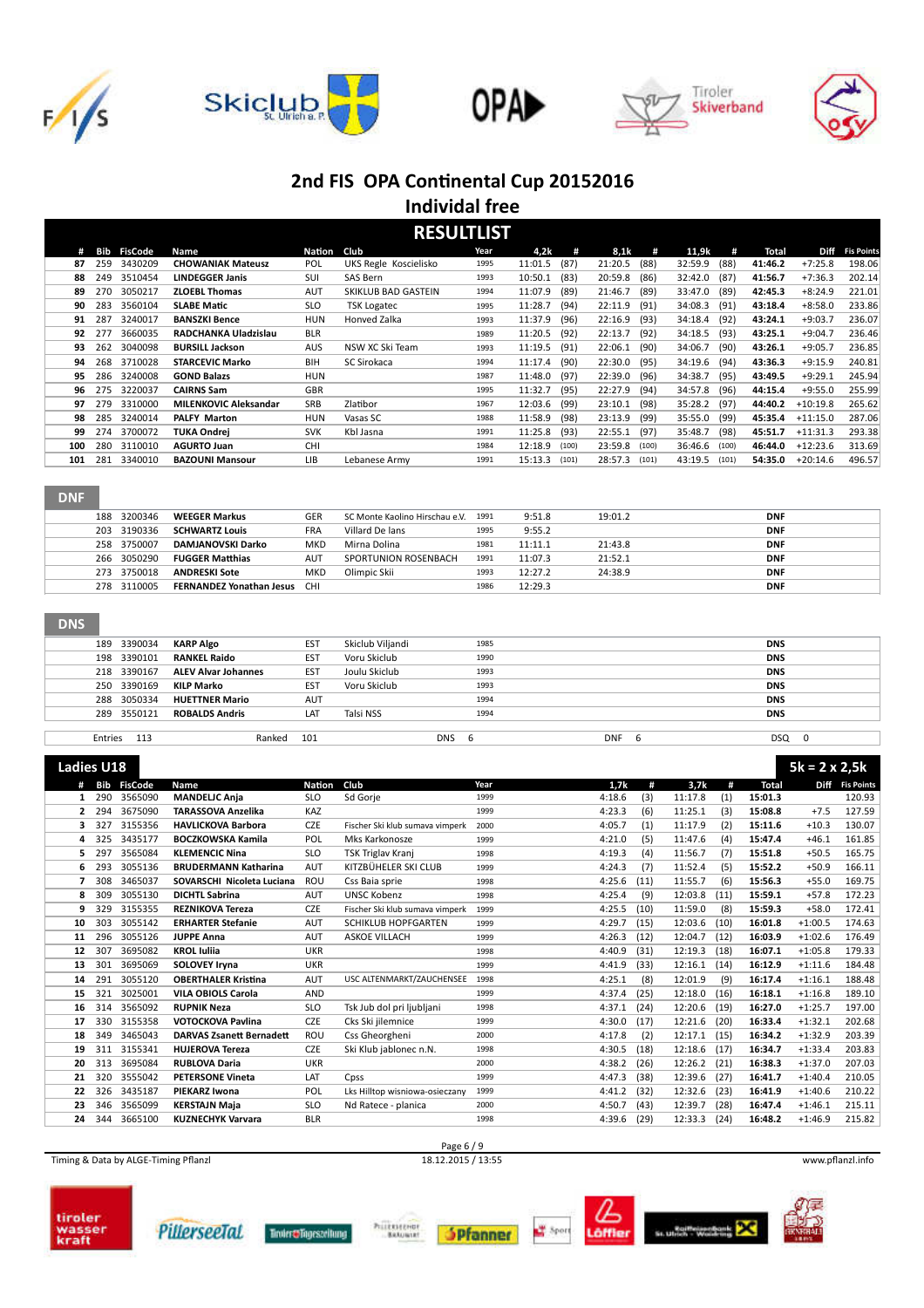









#### **Individal free RESULTLIST**

|     | REJULI LIJI |                    |                              |            |                       |      |                |       |         |       |         |       |         |            |                   |
|-----|-------------|--------------------|------------------------------|------------|-----------------------|------|----------------|-------|---------|-------|---------|-------|---------|------------|-------------------|
| #   |             | <b>Bib FisCode</b> | Name                         | Nation     | Club                  | Year | 4,2k           | #     | 8,1k    | #     | 11,9k   | #     | Total   | Diff       | <b>Fis Points</b> |
| 87  | 259         | 3430209            | <b>CHOWANIAK Mateusz</b>     | <b>POL</b> | UKS Regle Koscielisko | 1995 | 11:01.5        | (87)  | 21:20.5 | (88)  | 32:59.9 | (88)  | 41:46.2 | $+7:25.8$  | 198.06            |
| 88  | 249         | 3510454            | <b>LINDEGGER Janis</b>       | SUI        | SAS Bern              | 1993 | 10:50.1        | (83)  | 20:59.8 | (86)  | 32:42.0 | (87)  | 41:56.7 | $+7:36.3$  | 202.14            |
| 89  | 270         | 3050217            | <b>ZLOEBL Thomas</b>         | <b>AUT</b> | SKIKLUB BAD GASTEIN   | 1994 | 11:07.9 (89)   |       | 21:46.7 | (89)  | 33:47.0 | (89)  | 42:45.3 | $+8:24.9$  | 221.01            |
| 90  | 283         | 3560104            | <b>SLABE Matic</b>           | <b>SLO</b> | <b>TSK Logatec</b>    | 1995 | 11:28.7        | (94)  | 22:11.9 | (91)  | 34:08.3 | (91)  | 43:18.4 | $+8:58.0$  | 233.86            |
| 91  | 287         | 3240017            | <b>BANSZKI Bence</b>         | <b>HUN</b> | Honved Zalka          | 1993 | 11:37.9        | (96)  | 22:16.9 | (93)  | 34:18.4 | (92)  | 43:24.1 | $+9:03.7$  | 236.07            |
| 92  | 277         | 3660035            | RADCHANKA Uladzislau         | <b>BLR</b> |                       | 1989 | 11:20.5        | (92)  | 22:13.7 | (92)  | 34:18.5 | (93)  | 43:25.1 | $+9:04.7$  | 236.46            |
| 93. | 262         | 3040098            | <b>BURSILL Jackson</b>       | AUS        | NSW XC Ski Team       | 1993 | $11:19.5$ (91) |       | 22:06.1 | (90)  | 34:06.7 | (90)  | 43:26.1 | $+9:05.7$  | 236.85            |
| 94  | 268         | 3710028            | <b>STARCEVIC Marko</b>       | <b>BIH</b> | SC Sirokaca           | 1994 | 11:17.4        | (90)  | 22:30.0 | (95)  | 34:19.6 | (94)  | 43:36.3 | $+9:15.9$  | 240.81            |
| 95  | 286         | 3240008            | <b>GOND Balazs</b>           | <b>HUN</b> |                       | 1987 | 11:48.0 (97)   |       | 22:39.0 | (96)  | 34:38.7 | (95)  | 43:49.5 | $+9:29.1$  | 245.94            |
| 96  | 275         | 3220037            | <b>CAIRNS Sam</b>            | <b>GBR</b> |                       | 1995 | 11:32.7        | (95)  | 22:27.9 | (94)  | 34:57.8 | (96)  | 44:15.4 | $+9:55.0$  | 255.99            |
| 97  | 279         | 3310000            | <b>MILENKOVIC Aleksandar</b> | <b>SRB</b> | Zlatibor              | 1967 | 12:03.6        | (99)  | 23:10.1 | (98)  | 35:28.2 | (97)  | 44:40.2 | $+10:19.8$ | 265.62            |
| 98  | 285         | 3240014            | <b>PALFY Marton</b>          | <b>HUN</b> | Vasas SC              | 1988 | 11:58.9        | (98)  | 23:13.9 | (99)  | 35:55.0 | (99)  | 45:35.4 | $+11:15.0$ | 287.06            |
| 99  | 274         | 3700072            | <b>TUKA Ondrei</b>           | <b>SVK</b> | Kbl Jasna             | 1991 | 11:25.8 (93)   |       | 22:55.1 | (97)  | 35:48.7 | (98)  | 45:51.7 | $+11:31.3$ | 293.38            |
| 100 | 280         | 3110010            | <b>AGURTO Juan</b>           | <b>CHI</b> |                       | 1984 | 12:18.9        | (100) | 23:59.8 | (100) | 36:46.6 | (100) | 46:44.0 | $+12:23.6$ | 313.69            |
| 101 | 281         | 3340010            | <b>BAZOUNI Mansour</b>       | <b>LIB</b> | Lebanese Army         | 1991 | 15:13.3        | (101) | 28:57.3 | (101) | 43:19.5 | (101) | 54:35.0 | $+20:14.6$ | 496.57            |
|     |             |                    |                              |            |                       |      |                |       |         |       |         |       |         |            |                   |

### DNF

| 188 3200346 | <b>WEEGER Markus</b>                | <b>GER</b> | SC Monte Kaolino Hirschau e.V. 1991 |      | 9:51.8  | 19:01.2 | <b>DNF</b> |
|-------------|-------------------------------------|------------|-------------------------------------|------|---------|---------|------------|
| 203 3190336 | <b>SCHWARTZ Louis</b>               | <b>FRA</b> | Villard De lans                     | 1995 | 9:55.2  |         | <b>DNF</b> |
| 258 3750007 | DAMJANOVSKI Darko                   | <b>MKD</b> | Mirna Dolina                        | 1981 | 11:11.1 | 21:43.8 | <b>DNF</b> |
| 266 3050290 | <b>FUGGER Matthias</b>              | <b>AUT</b> | SPORTUNION ROSENBACH                | 1991 | 11:07.3 | 21:52.1 | <b>DNF</b> |
| 273 3750018 | <b>ANDRESKI Sote</b>                | <b>MKD</b> | Olimpic Skii                        | 1993 | 12:27.2 | 24:38.9 | <b>DNF</b> |
| 278 3110005 | <b>FERNANDEZ Yonathan Jesus CHI</b> |            |                                     | 1986 | 12:29.3 |         | <b>DNF</b> |

#### DNS

| 189 3390034 | <b>KARP Algo</b>           | <b>EST</b> | Skiclub Viljandi | 1985            |                 | <b>DNS</b> |  |
|-------------|----------------------------|------------|------------------|-----------------|-----------------|------------|--|
| 198 3390101 | <b>RANKEL Raido</b>        | <b>EST</b> | Voru Skiclub     | 1990            |                 | <b>DNS</b> |  |
| 218 3390167 | <b>ALEV Alvar Johannes</b> | <b>EST</b> | Joulu Skiclub    | 1993            |                 | <b>DNS</b> |  |
| 250 3390169 | KILP Marko                 | <b>EST</b> | Voru Skiclub     | 1993            |                 | <b>DNS</b> |  |
| 288 3050334 | <b>HUETTNER Mario</b>      | <b>AUT</b> |                  | 1994            |                 | <b>DNS</b> |  |
| 289 3550121 | <b>ROBALDS Andris</b>      | LAT        | Talsi NSS        | 1994            |                 | <b>DNS</b> |  |
|             |                            |            |                  |                 |                 |            |  |
| Entries 113 | Ranked                     | 101        |                  | <b>DNS</b><br>b | <b>DNF</b><br>6 | DSQ<br>0   |  |
|             |                            |            |                  |                 |                 |            |  |

| <b>Ladies U18</b> |     |                |                                 |               |                                 |      |        |      |         |      |              | $5k = 2 \times 2,5k$ |                   |
|-------------------|-----|----------------|---------------------------------|---------------|---------------------------------|------|--------|------|---------|------|--------------|----------------------|-------------------|
|                   | Bib | <b>FisCode</b> | Name                            | <b>Nation</b> | Club                            | Year | 1.7k   | #    | 3,7k    | #    | <b>Total</b> | <b>Diff</b>          | <b>Fis Points</b> |
| 1                 | 290 | 3565090        | <b>MANDELIC Ania</b>            | <b>SLO</b>    | Sd Gorje                        | 1999 | 4:18.6 | (3)  | 11:17.8 | (1)  | 15:01.3      |                      | 120.93            |
| 2                 | 294 | 3675090        | <b>TARASSOVA Anzelika</b>       | KAZ           |                                 | 1999 | 4:23.3 | (6)  | 11:25.1 | (3)  | 15:08.8      | $+7.5$               | 127.59            |
| з                 | 327 | 3155356        | <b>HAVLICKOVA Barbora</b>       | <b>CZE</b>    | Fischer Ski klub sumava vimperk | 2000 | 4:05.7 | (1)  | 11:17.9 | (2)  | 15:11.6      | $+10.3$              | 130.07            |
| 4                 | 325 | 3435177        | <b>BOCZKOWSKA Kamila</b>        | POL           | Mks Karkonosze                  | 1999 | 4:21.0 | (5)  | 11:47.6 | (4)  | 15:47.4      | $+46.1$              | 161.85            |
| 5                 | 297 | 3565084        | <b>KLEMENCIC Nina</b>           | <b>SLO</b>    | <b>TSK Triglav Kranj</b>        | 1998 | 4:19.3 | (4)  | 11:56.7 | (7)  | 15:51.8      | $+50.5$              | 165.75            |
| 6                 | 293 | 3055136        | <b>BRUDERMANN Katharina</b>     | <b>AUT</b>    | KITZBÜHELER SKI CLUB            | 1999 | 4:24.3 | (7)  | 11:52.4 | (5)  | 15:52.2      | $+50.9$              | 166.11            |
| 7                 | 308 | 3465037        | SOVARSCHI Nicoleta Luciana      | <b>ROU</b>    | Css Baia sprie                  | 1998 | 4:25.6 | (11) | 11:55.7 | (6)  | 15:56.3      | $+55.0$              | 169.75            |
| 8                 | 309 | 3055130        | <b>DICHTL Sabrina</b>           | <b>AUT</b>    | <b>UNSC Kobenz</b>              | 1998 | 4:25.4 | (9)  | 12:03.8 | (11) | 15:59.1      | $+57.8$              | 172.23            |
| 9                 | 329 | 3155355        | <b>REZNIKOVA Tereza</b>         | <b>CZE</b>    | Fischer Ski klub sumava vimperk | 1999 | 4:25.5 | (10) | 11:59.0 | (8)  | 15:59.3      | $+58.0$              | 172.41            |
| 10                | 303 | 3055142        | <b>ERHARTER Stefanie</b>        | <b>AUT</b>    | <b>SCHIKLUB HOPFGARTEN</b>      | 1999 | 4:29.7 | (15) | 12:03.6 | (10) | 16:01.8      | $+1:00.5$            | 174.63            |
| 11                | 296 | 3055126        | <b>JUPPE Anna</b>               | <b>AUT</b>    | <b>ASKOE VILLACH</b>            | 1999 | 4:26.3 | (12) | 12:04.7 | (12) | 16:03.9      | $+1:02.6$            | 176.49            |
| 12                | 307 | 3695082        | <b>KROL Iuliia</b>              | <b>UKR</b>    |                                 | 1998 | 4:40.9 | (31) | 12:19.3 | (18) | 16:07.1      | $+1:05.8$            | 179.33            |
| 13                | 301 | 3695069        | <b>SOLOVEY Irvna</b>            | <b>UKR</b>    |                                 | 1999 | 4:41.9 | (33) | 12:16.1 | (14) | 16:12.9      | $+1:11.6$            | 184.48            |
| 14                | 291 | 3055120        | <b>OBERTHALER Kristina</b>      | <b>AUT</b>    | USC ALTENMARKT/ZAUCHENSEE       | 1998 | 4:25.1 | (8)  | 12:01.9 | (9)  | 16:17.4      | $+1:16.1$            | 188.48            |
| 15                | 321 | 3025001        | <b>VILA OBIOLS Carola</b>       | AND           |                                 | 1999 | 4:37.4 | (25) | 12:18.0 | (16) | 16:18.1      | $+1:16.8$            | 189.10            |
| 16                | 314 | 3565092        | <b>RUPNIK Neza</b>              | <b>SLO</b>    | Tsk Jub dol pri ljubljani       | 1998 | 4:37.1 | (24) | 12:20.6 | (19) | 16:27.0      | $+1:25.7$            | 197.00            |
| 17                | 330 | 3155358        | <b>VOTOCKOVA Pavlina</b>        | <b>CZE</b>    | Cks Ski iilemnice               | 1999 | 4:30.0 | (17) | 12:21.6 | (20) | 16:33.4      | $+1:32.1$            | 202.68            |
| 18                | 349 | 3465043        | <b>DARVAS Zsanett Bernadett</b> | <b>ROU</b>    | Css Gheorgheni                  | 2000 | 4:17.8 | (2)  | 12:17.1 | (15) | 16:34.2      | $+1:32.9$            | 203.39            |
| 19                | 311 | 3155341        | <b>HUJEROVA Tereza</b>          | <b>CZE</b>    | Ski Klub jablonec n.N.          | 1998 | 4:30.5 | (18) | 12:18.6 | (17) | 16:34.7      | $+1:33.4$            | 203.83            |
| 20                | 313 | 3695084        | <b>RUBLOVA Daria</b>            | <b>UKR</b>    |                                 | 2000 | 4:38.2 | (26) | 12:26.2 | (21) | 16:38.3      | $+1:37.0$            | 207.03            |
| 21                | 320 | 3555042        | <b>PETERSONE Vineta</b>         | LAT           | Cpss                            | 1999 | 4:47.3 | (38) | 12:39.6 | (27) | 16:41.7      | $+1:40.4$            | 210.05            |
| 22                | 326 | 3435187        | <b>PIEKARZ Iwona</b>            | POL           | Lks Hilltop wisniowa-osieczany  | 1999 | 4:41.2 | (32) | 12:32.6 | (23) | 16:41.9      | $+1:40.6$            | 210.22            |
| 23                | 346 | 3565099        | <b>KERSTAJN Maja</b>            | <b>SLO</b>    | Nd Ratece - planica             | 2000 | 4:50.7 | (43) | 12:39.7 | (28) | 16:47.4      | $+1:46.1$            | 215.11            |
| 24                | 344 | 3665100        | <b>KUZNECHYK Varvara</b>        | <b>BLR</b>    |                                 | 1998 | 4:39.6 | (29) | 12:33.3 | (24) | 16:48.2      | $+1:46.9$            | 215.82            |

Timing & Data by ALGE-Timing Pflanzl 18.12.2015 / 13:55 1992 18.12.2015 / 13:55 www.pflanzl.info















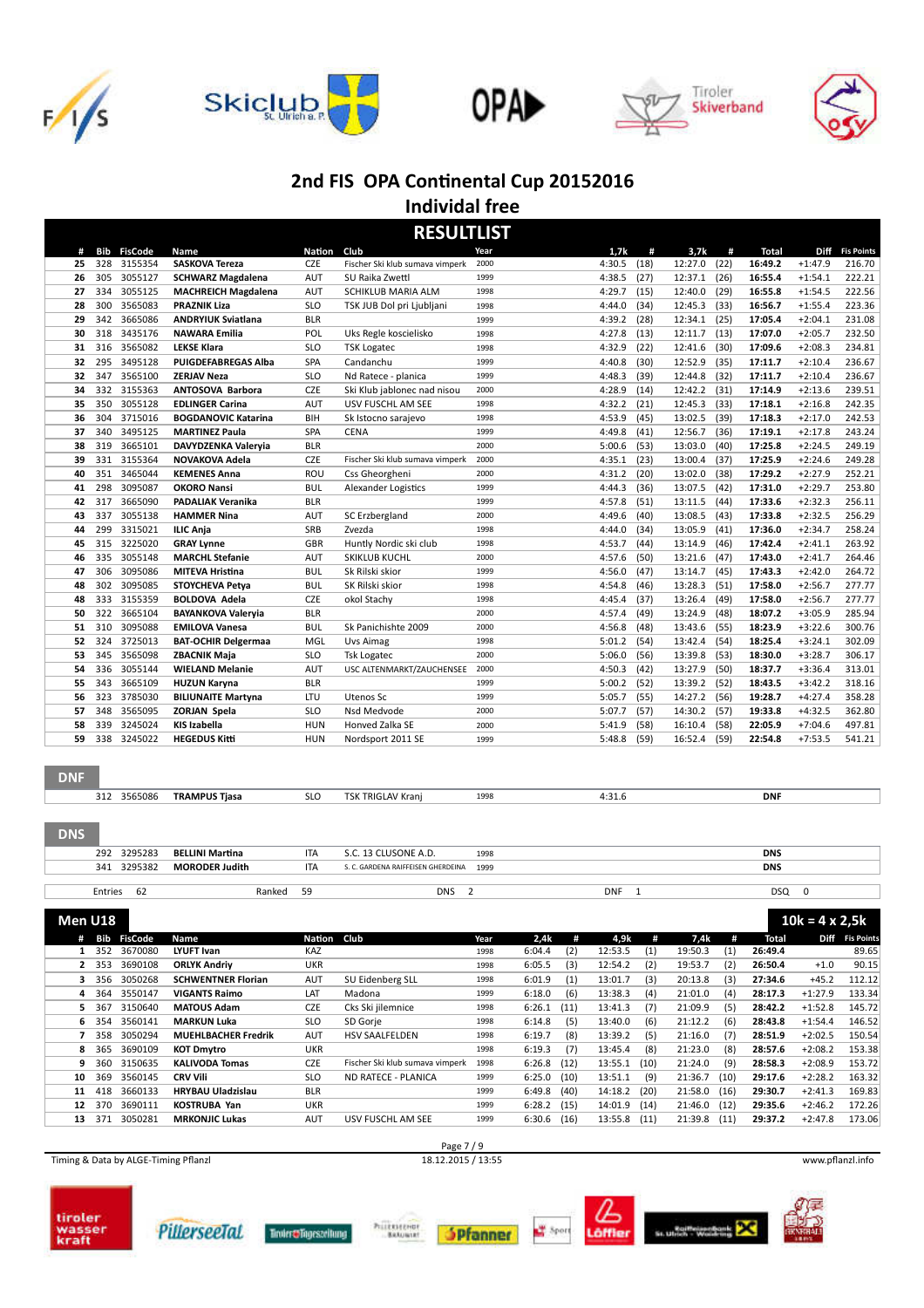









**Individal free**

|            | <b>RESULTLIST</b> |                    |                                               |                          |                                                 |                |                  |              |                    |              |                    |                        |                   |
|------------|-------------------|--------------------|-----------------------------------------------|--------------------------|-------------------------------------------------|----------------|------------------|--------------|--------------------|--------------|--------------------|------------------------|-------------------|
| #          | Bib               | <b>FisCode</b>     | Name                                          | <b>Nation</b>            | Club                                            | Year           | 1,7k             | #            | 3,7k               | #            | <b>Total</b>       | <b>Diff</b>            | <b>Fis Points</b> |
| 25         | 328               | 3155354            | SASKOVA Tereza                                | CZE                      | Fischer Ski klub sumava vimperk                 | 2000           | 4:30.5           | (18)         | 12:27.0            | (22)         | 16:49.2            | $+1:47.9$              | 216.70            |
| 26         | 305               | 3055127            | <b>SCHWARZ Magdalena</b>                      | <b>AUT</b>               | SU Raika Zwettl                                 | 1999           | 4:38.5           | (27)         | 12:37.1            | (26)         | 16:55.4            | $+1:54.1$              | 222.21            |
| 27         | 334               | 3055125            | <b>MACHREICH Magdalena</b>                    | <b>AUT</b>               | SCHIKLUB MARIA ALM                              | 1998           | 4:29.7           | (15)         | 12:40.0            | (29)         | 16:55.8            | $+1:54.5$              | 222.56            |
| 28         | 300               | 3565083            | <b>PRAZNIK Liza</b>                           | <b>SLO</b>               | TSK JUB Dol pri Ljubljani                       | 1998           | 4:44.0           | (34)         | 12:45.3            | (33)         | 16:56.7            | $+1:55.4$              | 223.36            |
| 29         | 342               | 3665086            | <b>ANDRYIUK Sviatlana</b>                     | <b>BLR</b>               |                                                 | 1999           | 4:39.2           | (28)         | 12:34.1            | (25)         | 17:05.4            | $+2:04.1$              | 231.08            |
| 30         | 318               | 3435176            | <b>NAWARA Emilia</b>                          | POL                      | Uks Regle koscielisko                           | 1998           | 4:27.8           | (13)         | 12:11.7            | (13)         | 17:07.0            | $+2:05.7$              | 232.50            |
| 31         | 316               | 3565082            | <b>LEKSE Klara</b>                            | <b>SLO</b>               | <b>TSK Logatec</b>                              | 1998           | 4:32.9           | (22)         | 12:41.6            | (30)         | 17:09.6            | $+2:08.3$              | 234.81            |
| 32         | 295               | 3495128            | PUIGDEFABREGAS Alba                           | SPA                      | Candanchu                                       | 1999           | 4:40.8           | (30)         | 12:52.9            | (35)         | 17:11.7            | $+2:10.4$              | 236.67            |
| 32         | 347               | 3565100            | <b>ZERJAV Neza</b>                            | <b>SLO</b>               | Nd Ratece - planica                             | 1999           | 4:48.3           | (39)         | 12:44.8            | (32)         | 17:11.7            | $+2:10.4$              | 236.67            |
| 34         | 332               | 3155363            | ANTOSOVA Barbora                              | <b>CZE</b>               | Ski Klub jablonec nad nisou                     | 2000           | 4:28.9           | (14)         | 12:42.2            | (31)         | 17:14.9            | $+2:13.6$              | 239.51            |
| 35         | 350               | 3055128            | <b>EDLINGER Carina</b>                        | <b>AUT</b>               | USV FUSCHL AM SEE                               | 1998           | 4:32.2           | (21)         | 12:45.3            | (33)         | 17:18.1            | $+2:16.8$              | 242.35            |
| 36         | 304               | 3715016            | <b>BOGDANOVIC Katarina</b>                    | BIH                      | Sk Istocno sarajevo                             | 1998           | 4:53.9           | (45)         | 13:02.5            | (39)         | 17:18.3            | $+2:17.0$              | 242.53            |
| 37         | 340               | 3495125            | <b>MARTINEZ Paula</b>                         | SPA                      | <b>CENA</b>                                     | 1999           | 4:49.8           | (41)         | 12:56.7            | (36)         | 17:19.1            | $+2:17.8$              | 243.24            |
| 38         | 319               | 3665101            | DAVYDZENKA Valeryia                           | <b>BLR</b>               |                                                 | 2000           | 5:00.6           | (53)         | 13:03.0            | (40)         | 17:25.8            | $+2:24.5$              | 249.19            |
| 39         | 331               | 3155364            | NOVAKOVA Adela                                | <b>CZE</b>               | Fischer Ski klub sumava vimperk                 | 2000           | 4:35.1           | (23)         | 13:00.4            | (37)         | 17:25.9            | $+2:24.6$              | 249.28            |
| 40         | 351               | 3465044            | <b>KEMENES Anna</b>                           | ROU                      | Css Gheorgheni                                  | 2000           | 4:31.2           | (20)         | 13:02.0            | (38)         | 17:29.2            | $+2:27.9$              | 252.21            |
| 41         | 298               | 3095087            | <b>OKORO Nansi</b>                            | <b>BUL</b>               | Alexander Logistics                             | 1999           | 4:44.3           | (36)         | 13:07.5            | (42)         | 17:31.0            | $+2:29.7$              | 253.80            |
| 42         | 317               | 3665090            | <b>PADALIAK Veranika</b>                      | <b>BLR</b>               |                                                 | 1999           | 4:57.8           | (51)         | 13:11.5            | (44)         | 17:33.6            | $+2:32.3$              | 256.11            |
| 43         | 337               | 3055138            | <b>HAMMER Nina</b>                            | <b>AUT</b>               | SC Erzbergland                                  | 2000           | 4:49.6           | (40)         | 13:08.5            | (43)         | 17:33.8            | $+2:32.5$              | 256.29            |
| 44         | 299               | 3315021            | <b>ILIC Anja</b>                              | <b>SRB</b>               | Zvezda                                          | 1998           | 4:44.0           | (34)         | 13:05.9            | (41)         | 17:36.0            | $+2:34.7$              | 258.24            |
| 45         | 315               | 3225020            | <b>GRAY Lynne</b>                             | GBR                      | Huntly Nordic ski club                          | 1998           | 4:53.7           | (44)         | 13:14.9            | (46)         | 17:42.4            | $+2:41.1$              | 263.92            |
| 46         | 335               | 3055148            | <b>MARCHL Stefanie</b>                        | <b>AUT</b>               | <b>SKIKLUB KUCHL</b>                            | 2000           | 4:57.6           | (50)         | 13:21.6            | (47)         | 17:43.0            | $+2:41.7$              | 264.46            |
| 47         | 306               | 3095086            | MITEVA Hristina                               | <b>BUL</b>               | Sk Rilski skior                                 | 1999           | 4:56.0           | (47)         | 13:14.7            | (45)         | 17:43.3            | $+2:42.0$              | 264.72            |
| 48         | 302               | 3095085            | STOYCHEVA Petya                               | <b>BUL</b>               | SK Rilski skior                                 | 1998           | 4:54.8           | (46)         | 13:28.3            | (51)         | 17:58.0            | $+2:56.7$              | 277.77            |
| 48         | 333               | 3155359            | <b>BOLDOVA Adela</b>                          | CZE                      | okol Stachy                                     | 1998<br>2000   | 4:45.4           | (37)         | 13:26.4            | (49)         | 17:58.0            | $+2:56.7$              | 277.77            |
| 50         | 322               | 3665104            | <b>BAYANKOVA Valeryia</b>                     | <b>BLR</b>               |                                                 | 2000           | 4:57.4           | (49)         | 13:24.9            | (48)         | 18:07.2            | $+3:05.9$              | 285.94            |
| 51         | 310               | 3095088            | <b>EMILOVA Vanesa</b>                         | <b>BUL</b>               | Sk Panichishte 2009                             | 1998           | 4:56.8           | (48)         | 13:43.6            | (55)         | 18:23.9            | $+3:22.6$              | 300.76            |
| 52         | 324               | 3725013            | <b>BAT-OCHIR Delgermaa</b>                    | MGL                      | <b>Uvs Aimag</b>                                | 2000           | 5:01.2           | (54)         | 13:42.4            | (54)         | 18:25.4            | $+3:24.1$              | 302.09            |
| 53         | 345               | 3565098            | <b>ZBACNIK Maja</b><br><b>WIELAND Melanie</b> | <b>SLO</b><br><b>AUT</b> | <b>Tsk Logatec</b><br>USC ALTENMARKT/ZAUCHENSEE | 2000           | 5:06.0           | (56)         | 13:39.8            | (53)         | 18:30.0            | $+3:28.7$              | 306.17<br>313.01  |
| 54<br>55   | 336<br>343        | 3055144<br>3665109 | <b>HUZUN Karyna</b>                           | <b>BLR</b>               |                                                 | 1999           | 4:50.3<br>5:00.2 | (42)<br>(52) | 13:27.9<br>13:39.2 | (50)<br>(52) | 18:37.7<br>18:43.5 | $+3:36.4$<br>$+3:42.2$ | 318.16            |
| 56         | 323               | 3785030            | <b>BILIUNAITE Martyna</b>                     | LTU                      | Utenos Sc                                       | 1999           | 5:05.7           | (55)         | 14:27.2            | (56)         | 19:28.7            | $+4:27.4$              | 358.28            |
| 57         | 348               | 3565095            | <b>ZORJAN Spela</b>                           | <b>SLO</b>               | Nsd Medvode                                     | 2000           | 5:07.7           | (57)         | 14:30.2            | (57)         | 19:33.8            | $+4:32.5$              | 362.80            |
| 58         | 339               | 3245024            | <b>KIS Izabella</b>                           | <b>HUN</b>               | Honved Zalka SE                                 | 2000           | 5:41.9           | (58)         | 16:10.4            | (58)         | 22:05.9            | $+7:04.6$              | 497.81            |
| 59         | 338               | 3245022            | <b>HEGEDUS Kitti</b>                          | <b>HUN</b>               | Nordsport 2011 SE                               | 1999           | 5:48.8           | (59)         | 16:52.4            | (59)         | 22:54.8            | $+7:53.5$              | 541.21            |
|            |                   |                    |                                               |                          |                                                 |                |                  |              |                    |              |                    |                        |                   |
| <b>DNF</b> |                   |                    |                                               |                          |                                                 |                |                  |              |                    |              |                    |                        |                   |
|            |                   | 312 3565086        | <b>TRAMPUS Tjasa</b>                          | <b>SLO</b>               | TSK TRIGLAV Kranj                               | 1998           | 4:31.6           |              |                    |              | <b>DNF</b>         |                        |                   |
| <b>DNS</b> |                   |                    |                                               |                          |                                                 |                |                  |              |                    |              |                    |                        |                   |
|            | 292               | 3295283            | <b>BELLINI Martina</b>                        | <b>ITA</b>               | S.C. 13 CLUSONE A.D.                            | 1998           |                  |              |                    |              | <b>DNS</b>         |                        |                   |
|            | 341               | 3295382            | <b>MORODER Judith</b>                         | <b>ITA</b>               | S. C. GARDENA RAIFFEISEN GHERDEINA              | 1999           |                  |              |                    |              | <b>DNS</b>         |                        |                   |
|            | Entries           | 62                 | Ranked                                        | 59                       | <b>DNS</b>                                      | $\overline{2}$ | <b>DNF</b>       | $\mathbf{1}$ |                    |              | <b>DSQ</b>         | 0                      |                   |

**Men U18 10k = 4 x 2,5k # Bib FisCode Name Na
on Club Year 2,4k # 4,9k # 7,4k # Total Diff Fis Points** 352 3670080 **LYUFT Ivan** KAZ 1998 6:04.4 (2) 12:53.5 (1) 19:50.3 (1) **26:49.4** 89.65 353 3690108 **ORLYK Andriy** UKR 1998 6:05.5 (3) 12:54.2 (2) 19:53.7 (2) **26:50.4** +1.0 90.15 356 3050268 **SCHWENTNER Florian** AUT SU Eidenberg SLL 1998 6:01.9 (1) 13:01.7 (3) 20:13.8 (3) **27:34.6** +45.2 112.12 364 3550147 **VIGANTS Raimo** LAT Madona 1999 6:18.0 (6) 13:38.3 (4) 21:01.0 (4) **28:17.3** +1:27.9 133.34 367 3150640 **MATOUS Adam** CZE Cks Ski jilemnice 1998 6:26.1 (11) 13:41.3 (7) 21:09.9 (5) **28:42.2** +1:52.8 145.72 354 3560141 **MARKUN Luka** SLO SD Gorje 1998 6:14.8 (5) 13:40.0 (6) 21:12.2 (6) **28:43.8** +1:54.4 146.52 358 3050294 **MUEHLBACHER Fredrik** AUT HSV SAALFELDEN 1998 6:19.7 (8) 13:39.2 (5) 21:16.0 (7) **28:51.9** +2:02.5 150.54 365 3690109 **KOT Dmytro** UKR 1998 6:19.3 (7) 13:45.4 (8) 21:23.0 (8) **28:57.6** +2:08.2 153.38 360 3150635 **KALIVODA Tomas** CZE Fischer Ski klub sumava vimperk 1998 6:26.8 (12) 13:55.1 (10) 21:24.0 (9) **28:58.3** +2:08.9 153.72 369 3560145 **CRV Vili** SLO ND RATECE - PLANICA 1999 6:25.0 (10) 13:51.1 (9) 21:36.7 (10) **29:17.6** +2:28.2 163.32 418 3660133 **HRYBAU Uladzislau** BLR 1999 6:49.8 (40) 14:18.2 (20) 21:58.0 (16) **29:30.7** +2:41.3 169.83 370 3690111 **KOSTRUBA Yan** UKR 1999 6:28.2 (15) 14:01.9 (14) 21:46.0 (12) **29:35.6** +2:46.2 172.26 371 3050281 **MRKONJIC Lukas** AUT USV FUSCHL AM SEE 1999 6:30.6 (16) 13:55.8 (11) 21:39.8 (11) **29:37.2** +2:47.8 173.06

Timing & Data by ALGE-Timing Pflanzl 18.12.2015 / 13:55 www.pflanzl.info















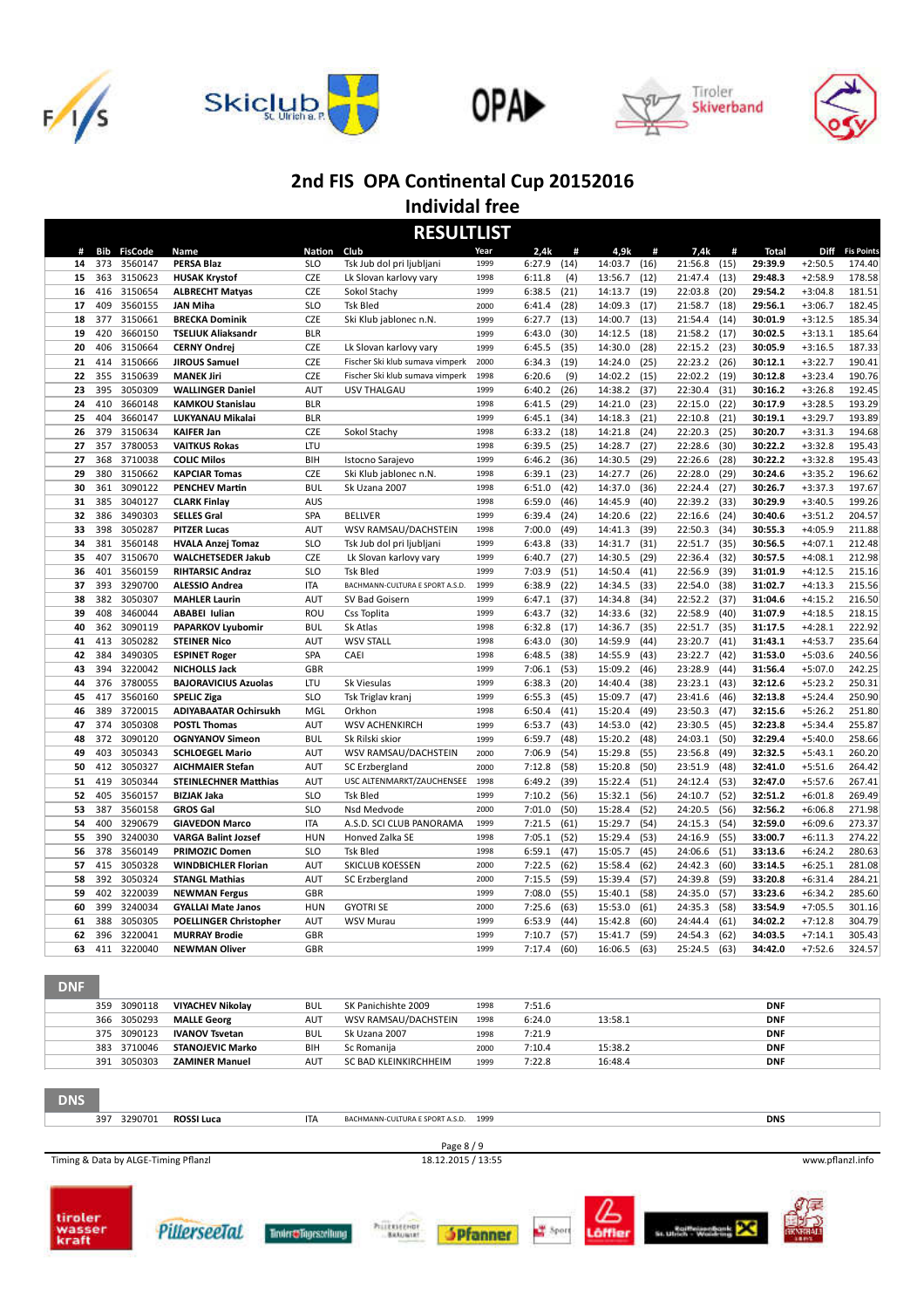









**Individal free**

| <b>RESULTLIST</b> |            |                    |                                               |                          |                                         |              |                  |              |                    |              |                    |              |                    |                        |                   |
|-------------------|------------|--------------------|-----------------------------------------------|--------------------------|-----------------------------------------|--------------|------------------|--------------|--------------------|--------------|--------------------|--------------|--------------------|------------------------|-------------------|
| #                 | Bib        | <b>FisCode</b>     | Name                                          | Nation                   | Club                                    | Year         | 2,4k             | #            | 4,9k               | #            | 7,4k               | #            | <b>Total</b>       | <b>Diff</b>            | <b>Fis Points</b> |
| 14                | 373        | 3560147            | <b>PERSA Blaz</b>                             | <b>SLO</b>               | Tsk Jub dol pri ljubljani               | 1999         | 6:27.9           | (14)         | 14:03.7            | (16)         | 21:56.8            | (15)         | 29:39.9            | $+2:50.5$              | 174.40            |
| 15                | 363        | 3150623            | <b>HUSAK Krystof</b>                          | CZE                      | Lk Slovan karlovy vary                  | 1998         | 6:11.8           | (4)          | 13:56.7            | (12)         | 21:47.4            | (13)         | 29:48.3            | $+2:58.9$              | 178.58            |
| 16                | 416        | 3150654            | <b>ALBRECHT Matyas</b>                        | <b>CZE</b>               | Sokol Stachy                            | 1999         | 6:38.5           | (21)         | 14:13.7            | (19)         | 22:03.8            | (20)         | 29:54.2            | $+3:04.8$              | 181.51            |
| 17                | 409        | 3560155            | <b>JAN Miha</b>                               | <b>SLO</b>               | <b>Tsk Bled</b>                         | 2000         | 6:41.4           | (28)         | 14:09.3            | (17)         | 21:58.7            | (18)         | 29:56.1            | $+3:06.7$              | 182.45            |
| 18                | 377        | 3150661            | <b>BRECKA Dominik</b>                         | CZE                      | Ski Klub jablonec n.N.                  | 1999         | 6:27.7           | (13)         | 14:00.7            | (13)         | 21:54.4            | (14)         | 30:01.9            | $+3:12.5$              | 185.34            |
| 19                | 420        | 3660150            | <b>TSELIUK Aliaksandr</b>                     | <b>BLR</b>               |                                         | 1999         | 6:43.0           | (30)         | 14:12.5            | (18)         | 21:58.2            | (17)         | 30:02.5            | $+3:13.1$              | 185.64            |
| 20                | 406        | 3150664            | <b>CERNY Ondrei</b>                           | <b>CZE</b>               | Lk Slovan karlovy vary                  | 1999         | 6:45.5           | (35)         | 14:30.0            | (28)         | 22:15.2            | (23)         | 30:05.9            | $+3:16.5$              | 187.33            |
| 21                | 414        | 3150666            | <b>JIROUS Samuel</b>                          | CZE                      | Fischer Ski klub sumava vimperk         | 2000         | 6:34.3           | (19)         | 14:24.0            | (25)         | 22:23.2            | (26)         | 30:12.1            | $+3:22.7$              | 190.41            |
| 22                | 355        | 3150639            | <b>MANEK Jiri</b>                             | <b>CZE</b>               | Fischer Ski klub sumava vimperk         | 1998         | 6:20.6           | (9)          | 14:02.2            | (15)         | 22:02.2            | (19)         | 30:12.8            | $+3:23.4$              | 190.76            |
| 23                | 395        | 3050309            | <b>WALLINGER Daniel</b>                       | <b>AUT</b>               | USV THALGAU                             | 1999         | 6:40.2           | (26)         | 14:38.2            | (37)         | 22:30.4            | (31)         | 30:16.2            | $+3:26.8$              | 192.45            |
| 24                | 410        | 3660148            | <b>KAMKOU Stanislau</b>                       | <b>BLR</b>               |                                         | 1998         | 6:41.5           | (29)         | 14:21.0            | (23)         | 22:15.0            | (22)         | 30:17.9            | $+3:28.5$              | 193.29            |
| 25                | 404        | 3660147            | LUKYANAU Mikalai                              | <b>BLR</b>               |                                         | 1999         | 6:45.1           | (34)         | 14:18.3            | (21)         | 22:10.8            | (21)         | 30:19.1            | $+3:29.7$              | 193.89            |
| 26                | 379        | 3150634            | <b>KAIFER Jan</b>                             | <b>CZE</b>               | Sokol Stachy                            | 1998         | 6:33.2           | (18)         | 14:21.8            | (24)         | 22:20.3            | (25)         | 30:20.7            | $+3:31.3$              | 194.68            |
| 27                | 357        | 3780053            | <b>VAITKUS Rokas</b>                          | LTU                      |                                         | 1998         | 6:39.5           | (25)         | 14:28.7            | (27)         | 22:28.6            | (30)         | 30:22.2            | $+3:32.8$              | 195.43            |
| 27                | 368        | 3710038            | <b>COLIC Milos</b>                            | BIH                      | Istocno Sarajevo                        | 1999         | 6:46.2           | (36)         | 14:30.5            | (29)         | 22:26.6            | (28)         | 30:22.2            | $+3:32.8$              | 195.43            |
| 29<br>30          | 380<br>361 | 3150662<br>3090122 | <b>KAPCIAR Tomas</b><br><b>PENCHEV Martin</b> | <b>CZE</b><br><b>BUL</b> | Ski Klub jablonec n.N.<br>Sk Uzana 2007 | 1998<br>1998 | 6:39.1<br>6:51.0 | (23)<br>(42) | 14:27.7<br>14:37.0 | (26)<br>(36) | 22:28.0<br>22:24.4 | (29)<br>(27) | 30:24.6<br>30:26.7 | $+3:35.2$<br>$+3:37.3$ | 196.62<br>197.67  |
| 31                | 385        | 3040127            | <b>CLARK Finlay</b>                           | <b>AUS</b>               |                                         | 1998         |                  | (46)         | 14:45.9            | (40)         | 22:39.2            |              | 30:29.9            | $+3:40.5$              | 199.26            |
| 32                | 386        | 3490303            | <b>SELLES Gral</b>                            | SPA                      | <b>BELLVER</b>                          | 1999         | 6:59.0<br>6:39.4 | (24)         | 14:20.6            | (22)         | 22:16.6            | (33)<br>(24) | 30:40.6            | $+3:51.2$              | 204.57            |
| 33                | 398        | 3050287            | <b>PITZER Lucas</b>                           | <b>AUT</b>               | WSV RAMSAU/DACHSTEIN                    | 1998         | 7:00.0           | (49)         | 14:41.3            | (39)         | 22:50.3            | (34)         | 30:55.3            | $+4:05.9$              | 211.88            |
| 34                | 381        | 3560148            | <b>HVALA Anzej Tomaz</b>                      | <b>SLO</b>               | Tsk Jub dol pri ljubljani               | 1999         | 6:43.8           | (33)         | 14:31.7            | (31)         | 22:51.7            | (35)         | 30:56.5            | $+4:07.1$              | 212.48            |
| 35                | 407        | 3150670            | <b>WALCHETSEDER Jakub</b>                     | <b>CZE</b>               | Lk Slovan karlovy vary                  | 1999         | 6:40.7           | (27)         | 14:30.5            | (29)         | 22:36.4            | (32)         | 30:57.5            | $+4:08.1$              | 212.98            |
| 36                | 401        | 3560159            | <b>RIHTARSIC Andraz</b>                       | <b>SLO</b>               | <b>Tsk Bled</b>                         | 1999         | 7:03.9           | (51)         | 14:50.4            | (41)         | 22:56.9            | (39)         | 31:01.9            | $+4:12.5$              | 215.16            |
| 37                | 393        | 3290700            | <b>ALESSIO Andrea</b>                         | <b>ITA</b>               | BACHMANN-CULTURA E SPORT A.S.D.         | 1999         | 6:38.9           | (22)         | 14:34.5            | (33)         | 22:54.0            | (38)         | 31:02.7            | $+4:13.3$              | 215.56            |
| 38                | 382        | 3050307            | <b>MAHLER Laurin</b>                          | AUT                      | SV Bad Goisern                          | 1999         | 6:47.1           | (37)         | 14:34.8            | (34)         | 22:52.2            | (37)         | 31:04.6            | $+4:15.2$              | 216.50            |
| 39                | 408        | 3460044            | <b>ABABEI Iulian</b>                          | ROU                      | Css Toplita                             | 1999         | 6:43.7           | (32)         | 14:33.6            | (32)         | 22:58.9            | (40)         | 31:07.9            | $+4:18.5$              | 218.15            |
| 40                | 362        | 3090119            | PAPARKOV Lyubomir                             | <b>BUL</b>               | Sk Atlas                                | 1998         | 6:32.8           | (17)         | 14:36.7            | (35)         | 22:51.7            | (35)         | 31:17.5            | $+4:28.1$              | 222.92            |
| 41                | 413        | 3050282            | <b>STEINER Nico</b>                           | AUT                      | <b>WSV STALL</b>                        | 1998         | 6:43.0           | (30)         | 14:59.9            | (44)         | 23:20.7            | (41)         | 31:43.1            | $+4:53.7$              | 235.64            |
| 42                | 384        | 3490305            | <b>ESPINET Roger</b>                          | SPA                      | CAEI                                    | 1998         | 6:48.5           | (38)         | 14:55.9            | (43)         | 23:22.7            | (42)         | 31:53.0            | $+5:03.6$              | 240.56            |
| 43                | 394        | 3220042            | <b>NICHOLLS Jack</b>                          | GBR                      |                                         | 1999         | 7:06.1           | (53)         | 15:09.2            | (46)         | 23:28.9            | (44)         | 31:56.4            | $+5:07.0$              | 242.25            |
| 44                | 376        | 3780055            | <b>BAJORAVICIUS Azuolas</b>                   | LTU                      | Sk Viesulas                             | 1999         | 6:38.3           | (20)         | 14:40.4            | (38)         | 23:23.1            | (43)         | 32:12.6            | $+5:23.2$              | 250.31            |
| 45                | 417        | 3560160            | <b>SPELIC Ziga</b>                            | <b>SLO</b>               | Tsk Triglav kranj                       | 1999         | 6:55.3           | (45)         | 15:09.7            | (47)         | 23:41.6            | (46)         | 32:13.8            | $+5:24.4$              | 250.90            |
| 46                | 389        | 3720015            | <b>ADIYABAATAR Ochirsukh</b>                  | MGL                      | Orkhon                                  | 1998         | 6:50.4           | (41)         | 15:20.4            | (49)         | 23:50.3            | (47)         | 32:15.6            | $+5:26.2$              | 251.80            |
| 47                | 374        | 3050308            | <b>POSTL Thomas</b>                           | <b>AUT</b>               | WSV ACHENKIRCH                          | 1999         | 6:53.7           | (43)         | 14:53.0            | (42)         | 23:30.5            | (45)         | 32:23.8            | $+5:34.4$              | 255.87            |
| 48                | 372        | 3090120            | <b>OGNYANOV Simeon</b>                        | <b>BUL</b>               | Sk Rilski skior                         | 1999         | 6:59.7           | (48)         | 15:20.2            | (48)         | 24:03.1            | (50)         | 32:29.4            | $+5:40.0$              | 258.66            |
| 49                | 403        | 3050343            | <b>SCHLOEGEL Mario</b>                        | <b>AUT</b>               | WSV RAMSAU/DACHSTEIN                    | 2000         | 7:06.9           | (54)         | 15:29.8            | (55)         | 23:56.8            | (49)         | 32:32.5            | $+5:43.1$              | 260.20            |
| 50                | 412        | 3050327            | <b>AICHMAIER Stefan</b>                       | <b>AUT</b>               | SC Erzbergland                          | 2000         | 7:12.8           | (58)         | 15:20.8            | (50)         | 23:51.9            | (48)         | 32:41.0            | $+5:51.6$              | 264.42            |
| 51                | 419        | 3050344            | <b>STEINLECHNER Matthias</b>                  | <b>AUT</b>               | USC ALTENMARKT/ZAUCHENSEE               | 1998         | 6:49.2           | (39)         | 15:22.4            | (51)         | 24:12.4            | (53)         | 32:47.0            | $+5:57.6$              | 267.41            |
| 52                | 405        | 3560157            | <b>BIZJAK Jaka</b>                            | <b>SLO</b>               | <b>Tsk Bled</b>                         | 1999         | 7:10.2           | (56)         | 15:32.1            | (56)         | 24:10.7            | (52)         | 32:51.2            | $+6:01.8$              | 269.49            |
| 53                | 387        | 3560158            | <b>GROS Gal</b>                               | <b>SLO</b>               | Nsd Medvode                             | 2000         | 7:01.0           | (50)         | 15:28.4            | (52)         | 24:20.5            | (56)         | 32:56.2            | $+6:06.8$              | 271.98            |
| 54                | 400        | 3290679            | <b>GIAVEDON Marco</b>                         | <b>ITA</b>               | A.S.D. SCI CLUB PANORAMA                | 1999         | 7:21.5           | (61)         | 15:29.7            | (54)         | 24:15.3            | (54)         | 32:59.0            | $+6:09.6$              | 273.37            |
| 55                | 390        | 3240030            | <b>VARGA Balint Jozsef</b>                    | <b>HUN</b>               | Honved Zalka SE                         | 1998         | 7:05.1           | (52)         | 15:29.4            | (53)         | 24:16.9            | (55)         | 33:00.7            | $+6:11.3$              | 274.22            |
| 56                | 378        | 3560149            | <b>PRIMOZIC Domen</b>                         | <b>SLO</b>               | <b>Tsk Bled</b>                         | 1998         | 6:59.1           | (47)         | 15:05.7            | (45)         | 24:06.6            | (51)         | 33:13.6            | $+6:24.2$              | 280.63            |
| 57                | 415        | 3050328            | <b>WINDBICHLER Florian</b>                    | AUT                      | SKICLUB KOESSEN                         | 2000         | 7:22.5           | (62)         | 15:58.4            | (62)         | 24:42.3            | (60)         | 33:14.5            | $+6:25.1$              | 281.08            |
| 58                | 392        | 3050324            | <b>STANGL Mathias</b>                         | AUT                      | SC Erzbergland                          | 2000<br>1999 | 7:15.5           | (59)         | 15:39.4            | (57)         | 24:39.8            | (59)         | 33:20.8            | $+6:31.4$              | 284.21            |
| 59                | 402        | 3220039            | <b>NEWMAN Fergus</b>                          | GBR                      |                                         | 2000         | 7:08.0           | (55)         | 15:40.1            | (58)         | 24:35.0            | (57)         | 33:23.6            | $+6:34.2$              | 285.60            |
| 60                | 399<br>388 | 3240034<br>3050305 | <b>GYALLAI Mate Janos</b>                     | <b>HUN</b>               | <b>GYOTRI SE</b>                        | 1999         | 7:25.6           | (63)         | 15:53.0            | (61)         | 24:35.3            | (58)         | 33:54.9            | $+7:05.5$<br>$+7:12.8$ | 301.16            |
| 61                | 396        | 3220041            | <b>POELLINGER Christopher</b>                 | AUT<br>GBR               | <b>WSV Murau</b>                        | 1999         | 6:53.9<br>7:10.7 | (44)         | 15:42.8            | (60)<br>(59) | 24:44.4<br>24:54.3 | (61)         | 34:02.2            | $+7:14.1$              | 304.79<br>305.43  |
| 62                | 411        |                    | <b>MURRAY Brodie</b>                          |                          |                                         | 1999         | 7:17.4           | (57)         | 15:41.7            |              |                    | (62)         | 34:03.5<br>34:42.0 |                        |                   |
| 63                |            | 3220040            | <b>NEWMAN Oliver</b>                          | <b>GBR</b>               |                                         |              |                  | (60)         | 16:06.5            | (63)         | 25:24.5            | (63)         |                    | $+7:52.6$              | 324.57            |

| <b>DNF</b> |     |             |                         |            |                       |      |        |         |            |
|------------|-----|-------------|-------------------------|------------|-----------------------|------|--------|---------|------------|
|            | 359 | 3090118     | VIYACHEV Nikolay        | BUL        | SK Panichishte 2009   | 1998 | 7:51.6 |         | <b>DNF</b> |
|            |     | 366 3050293 | <b>MALLE Georg</b>      | <b>AUT</b> | WSV RAMSAU/DACHSTEIN  | 1998 | 6:24.0 | 13:58.1 | <b>DNF</b> |
|            |     | 375 3090123 | <b>IVANOV Tsvetan</b>   | <b>BUL</b> | Sk Uzana 2007         | 1998 | 7:21.9 |         | <b>DNF</b> |
|            |     | 383 3710046 | <b>STANOJEVIC Marko</b> | BIH        | Sc Romanija           | 2000 | 7:10.4 | 15:38.2 | <b>DNF</b> |
|            | 391 | 3050303     | <b>ZAMINER Manuel</b>   | <b>AUT</b> | SC BAD KLEINKIRCHHEIM | 1999 | 7:22.8 | 16:48.4 | <b>DNF</b> |

**DNS**

| _____ |                                      |                   |     |                                      |                  |
|-------|--------------------------------------|-------------------|-----|--------------------------------------|------------------|
| 397   | 3290701                              | <b>ROSSI Luca</b> | ITA | BACHMANN-CULTURA E SPORT A.S.D. 1999 | <b>DNS</b>       |
|       |                                      |                   |     |                                      |                  |
|       |                                      |                   |     | Page $8/9$                           |                  |
|       | Timing & Data by ALGE-Timing Pflanzl |                   |     | 18.12.2015 / 13:55                   | www.pflanzl.info |